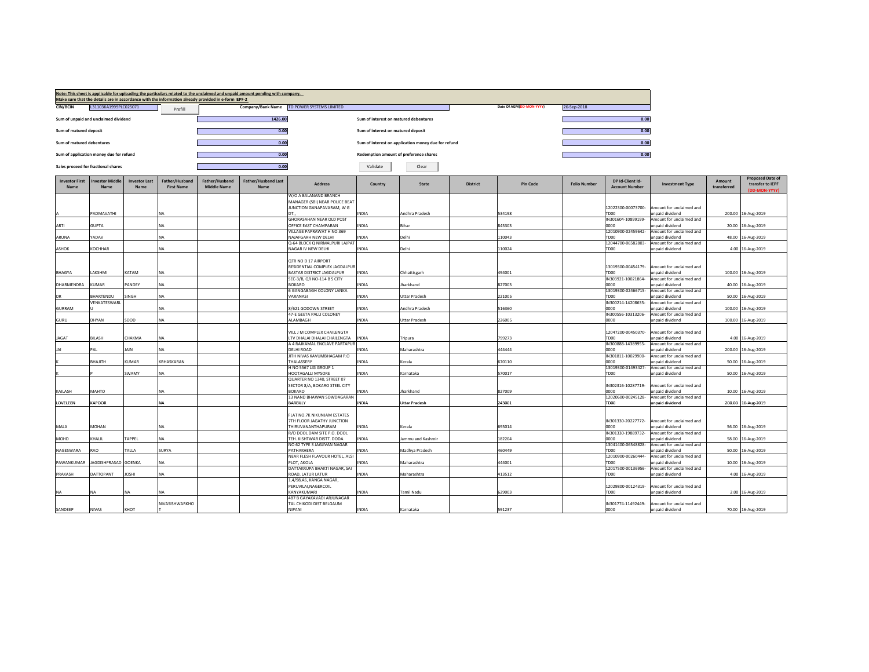|                                      |                                         |                                     |                                     | Make sure that the details are in accordance with the information already provided in e-form IEPF-2 | Note: This sheet is applicable for uploading the particulars related to the unclaimed and unpaid amount pending with company. |                                                              |                                       |                                                     |                 |                          |                     |                                           |                                             |                       |                                                              |
|--------------------------------------|-----------------------------------------|-------------------------------------|-------------------------------------|-----------------------------------------------------------------------------------------------------|-------------------------------------------------------------------------------------------------------------------------------|--------------------------------------------------------------|---------------------------------------|-----------------------------------------------------|-----------------|--------------------------|---------------------|-------------------------------------------|---------------------------------------------|-----------------------|--------------------------------------------------------------|
| CIN/BCIN                             | L31103KA1999PLC025071                   |                                     | Prefill                             |                                                                                                     | Company/Bank Name                                                                                                             | TD POWER SYSTEMS LIMITED                                     |                                       |                                                     |                 | Date Of AGM(DD-MON-YYYY) | 26-Sep-2018         |                                           |                                             |                       |                                                              |
|                                      | Sum of unpaid and unclaimed dividend    |                                     |                                     |                                                                                                     | 1426.00                                                                                                                       |                                                              | Sum of interest on matured debentures |                                                     |                 |                          |                     | 0.00                                      |                                             |                       |                                                              |
| Sum of matured deposit               |                                         |                                     |                                     |                                                                                                     | 0.00                                                                                                                          |                                                              | Sum of interest on matured deposit    |                                                     |                 |                          |                     | 0.00                                      |                                             |                       |                                                              |
| Sum of matured debentures            |                                         |                                     |                                     |                                                                                                     | 0.00                                                                                                                          |                                                              |                                       | Sum of interest on application money due for refund |                 |                          |                     | 0.00                                      |                                             |                       |                                                              |
|                                      |                                         |                                     |                                     |                                                                                                     |                                                                                                                               |                                                              |                                       |                                                     |                 |                          |                     |                                           |                                             |                       |                                                              |
|                                      | Sum of application money due for refund |                                     |                                     |                                                                                                     | 0.00                                                                                                                          |                                                              |                                       | Redemption amount of preference shares              |                 |                          |                     | 0.00                                      |                                             |                       |                                                              |
|                                      | Sales proceed for fractional shares     |                                     |                                     |                                                                                                     | 0.00                                                                                                                          |                                                              | Validate                              | Clear                                               |                 |                          |                     |                                           |                                             |                       |                                                              |
| <b>Investor First</b><br><b>Name</b> | <b>Investor Middle</b><br><b>Name</b>   | <b>Investor Last</b><br><b>Name</b> | Father/Husband<br><b>First Name</b> | Father/Husband<br><b>Middle Name</b>                                                                | <b>Father/Husband Last</b><br>Name                                                                                            | Address                                                      | Country                               | <b>State</b>                                        | <b>District</b> | <b>Pin Code</b>          | <b>Folio Number</b> | DP Id-Client Id-<br><b>Account Number</b> | <b>Investment Type</b>                      | Amount<br>transferred | <b>Proposed Date of</b><br>transfer to IEPF<br>(DD-MON-YYYY) |
|                                      |                                         |                                     |                                     |                                                                                                     |                                                                                                                               | W/O A BALANAND BRANCH<br>MANAGER (SBI) NEAR POLICE BEAT      |                                       |                                                     |                 |                          |                     |                                           |                                             |                       |                                                              |
|                                      |                                         |                                     |                                     |                                                                                                     |                                                                                                                               | JUNCTION GANAPAVARAM, W G                                    |                                       |                                                     |                 |                          |                     | 12022300-00073700-                        | Amount for unclaimed and                    |                       |                                                              |
|                                      | PADMAVATHI                              |                                     | NA                                  |                                                                                                     |                                                                                                                               | DT.<br>GHORASAHAN NEAR OLD POST                              | INDIA                                 | Andhra Pradesh                                      |                 | 534198                   |                     | TD00<br>IN301604-10899199-                | unpaid dividend<br>Amount for unclaimed and |                       | 200.00 16-Aug-2019                                           |
| ARTI                                 | <b>GUPTA</b>                            |                                     | NA                                  |                                                                                                     |                                                                                                                               | OFFICE EAST CHAMPARAN                                        | INDIA                                 | Bihar                                               |                 | 845303                   |                     | nnnn                                      | inpaid dividend                             | 20.00                 | 16-Aug-2019                                                  |
|                                      |                                         |                                     |                                     |                                                                                                     |                                                                                                                               | VILLAGE PAPRAWAT H NO.369                                    |                                       |                                                     |                 |                          |                     | 12010900-02459642-                        | Amount for unclaimed and                    |                       |                                                              |
| ARUNA                                | YADAV                                   |                                     | NA                                  |                                                                                                     |                                                                                                                               | NAJAFGARH NEW DELHI<br>Q-64 BLOCK Q NIRMALPURI LAJPAT        | <b>INDIA</b>                          | Delhi                                               |                 | 110043                   |                     | TD00<br>12044700-06582803-                | inpaid dividend<br>Amount for unclaimed and | 48.00                 | 16-Aug-2019                                                  |
| <b>ASHOK</b>                         | KOCHHAR                                 |                                     | NA                                  |                                                                                                     |                                                                                                                               | NAGAR IV NEW DELHI                                           | INDIA                                 | Delhi                                               |                 | 110024                   |                     | TD00                                      | unpaid dividend                             |                       | 4.00 16-Aug-2019                                             |
|                                      |                                         |                                     |                                     |                                                                                                     |                                                                                                                               | QTR NO D 17 AIRPORT                                          |                                       |                                                     |                 |                          |                     |                                           |                                             |                       |                                                              |
|                                      |                                         |                                     |                                     |                                                                                                     |                                                                                                                               | RESIDENTIAL COMPLEX JAGDALPUR                                |                                       |                                                     |                 |                          |                     | 13019300-00454179-                        | Amount for unclaimed and                    |                       |                                                              |
| <b>BHAGYA</b>                        | LAKSHMI                                 | KATAM                               | NA                                  |                                                                                                     |                                                                                                                               | BASTAR DISTRICT JAGDALPUR                                    | INDIA                                 | Chhattisgarh                                        |                 | 494001                   |                     | TD00                                      | unpaid dividend                             |                       | 100.00 16-Aug-2019                                           |
| DHARMENDRA                           | KUMAR                                   | PANDEY                              | NA                                  |                                                                                                     |                                                                                                                               | SEC-3/B, QR NO-114 B S CITY<br><b>BOKARO</b>                 | INDIA                                 | Jharkhand                                           |                 | 827003                   |                     | N303921-10021864-<br>0000                 | Amount for unclaimed and<br>unpaid dividend |                       | 40.00 16-Aug-2019                                            |
|                                      |                                         |                                     |                                     |                                                                                                     |                                                                                                                               | <b>6 GANGABAGH COLONY LANKA</b>                              |                                       |                                                     |                 |                          |                     | 13019300-02466715-                        | Amount for unclaimed and                    |                       |                                                              |
|                                      | BHARTENDU<br>VENKATESWARL               | SINGH                               | <b>NA</b>                           |                                                                                                     |                                                                                                                               | VARANASI                                                     | <b>INDIA</b>                          | <b>Uttar Pradesh</b>                                |                 | 221005                   |                     | TD00<br>IN300214-14208635-                | unpaid dividend<br>Amount for unclaimed and |                       | 50.00 16-Aug-2019                                            |
| <b>GURRAM</b>                        |                                         |                                     | ΝA                                  |                                                                                                     |                                                                                                                               | 8/621 GODOWN STREET                                          | <b>INDIA</b>                          | Andhra Pradesh                                      |                 | 516360                   |                     | 0000                                      | inpaid dividend                             |                       | 100.00 16-Aug-2019                                           |
| GURU                                 | DHYAN                                   | SOOD                                | NA                                  |                                                                                                     |                                                                                                                               | 47-E GEETA PALLI COLONEY<br>ALAMBAGH                         | INDIA                                 | <b>Uttar Pradesh</b>                                |                 | 226005                   |                     | IN300556-10313206-<br>0000                | Amount for unclaimed and<br>inpaid dividend |                       | 100.00 16-Aug-2019                                           |
|                                      |                                         |                                     |                                     |                                                                                                     |                                                                                                                               |                                                              |                                       |                                                     |                 |                          |                     |                                           |                                             |                       |                                                              |
|                                      |                                         |                                     |                                     |                                                                                                     |                                                                                                                               | VILL J M COMPLEX CHAILENGTA                                  |                                       |                                                     |                 |                          |                     | 12047200-00450370-                        | Amount for unclaimed and                    |                       |                                                              |
| <b>JAGAT</b>                         | BILASH                                  | CHAKMA                              | NA                                  |                                                                                                     |                                                                                                                               | TV DHALAI DHALAI CHAILENGTA<br>A 4 RAJKAMAL ENCLAVE PARTAPUR | INDIA                                 | Tripura                                             |                 | 799273                   |                     | TD00<br>IN300888-14389955-                | inpaid dividend<br>Amount for unclaimed and |                       | 4.00 16-Aug-2019                                             |
|                                      | PAL                                     | JAIN                                | NA.                                 |                                                                                                     |                                                                                                                               | DELHI ROAD                                                   | NDIA                                  | Maharashtra                                         |                 | 444444                   |                     | oooo                                      | inpaid dividend                             |                       | 200.00 16-Aug-2019                                           |
|                                      | BHAJITH                                 | KUMAR                               | KBHASKARAN                          |                                                                                                     |                                                                                                                               | JITH NIVAS KAVUMBHAGAM P.O<br>THALASSERY                     | INDIA                                 | Kerala                                              |                 | 670110                   |                     | IN301811-10029900-<br>noon                | Amount for unclaimed and<br>unpaid dividend | 50.00                 | 16-Aug-2019                                                  |
|                                      |                                         |                                     |                                     |                                                                                                     |                                                                                                                               | H NO 5567 LIG GROUP 1                                        |                                       |                                                     |                 |                          |                     | 13019300-01493427-                        | Amount for unclaimed and                    |                       |                                                              |
|                                      |                                         | SWAMY                               | NA                                  |                                                                                                     |                                                                                                                               | HOOTAGALLI MYSORE                                            | <b>INDIA</b>                          | Karnataka                                           |                 | 570017                   |                     | TD00                                      | unpaid dividend                             | 50.00                 | 16-Aug-2019                                                  |
|                                      |                                         |                                     |                                     |                                                                                                     |                                                                                                                               | QUARTER NO 1340, STREET 07<br>SECTOR 8/A, BOKARO STEEL CITY  |                                       |                                                     |                 |                          |                     | IN302316-10287719-                        | Amount for unclaimed and                    |                       |                                                              |
| KAILASH                              | MAHTO                                   |                                     | NA                                  |                                                                                                     |                                                                                                                               | <b>BOKARO</b>                                                | NDIA                                  | Iharkhand                                           |                 | 827009                   |                     | nnnn                                      | inpaid dividend                             | 10.00                 | 16-Aug-2019                                                  |
| LOVELEEN                             | <b>KAPOOR</b>                           |                                     | NA                                  |                                                                                                     |                                                                                                                               | 13 NAND BHAWAN SOWDAGARAN<br>BAREILLY                        | INDIA                                 | <b>Uttar Pradesh</b>                                |                 | 243001                   |                     | 12020600-00245128-<br><b>TD00</b>         | Amount for unclaimed and<br>unpaid dividend |                       | 200.00 16-Aug-2019                                           |
|                                      |                                         |                                     |                                     |                                                                                                     |                                                                                                                               |                                                              |                                       |                                                     |                 |                          |                     |                                           |                                             |                       |                                                              |
|                                      |                                         |                                     |                                     |                                                                                                     |                                                                                                                               | FLAT NO.7K NIKUNJAM ESTATES<br>7TH FLOOR JAGATHY JUNCTION    |                                       |                                                     |                 |                          |                     | IN301330-20227772-                        | Amount for unclaimed and                    |                       |                                                              |
| MALA                                 | MOHAN                                   |                                     | NA                                  |                                                                                                     |                                                                                                                               | THIRUVANANTHAPURAM                                           | INDIA                                 | Kerala                                              |                 | 695014                   |                     | 0000                                      | unpaid dividend                             |                       | 56.00 16-Aug-2019                                            |
|                                      |                                         |                                     |                                     |                                                                                                     |                                                                                                                               | R/O DOOL DAM SITE P.O. DOOL                                  |                                       |                                                     |                 |                          |                     | IN301330-19889732-                        | Amount for unclaimed and                    |                       |                                                              |
| MOHD                                 | KHALIL                                  | TAPPEL                              | NA                                  |                                                                                                     |                                                                                                                               | TEH. KISHTWAR DISTT. DODA<br>NO 62 TYPE 3 JAGJIVAN NAGAR     | INDIA                                 | Jammu and Kashmir                                   |                 | 182204                   |                     | 0000<br>13041400-06548828-                | unpaid dividend<br>Amount for unclaimed and | 58.00                 | 16-Aug-2019                                                  |
| NAGESWARA                            | RAO                                     | TALLA                               | SURYA                               |                                                                                                     |                                                                                                                               | PATHAKHERA                                                   | <b>INDIA</b>                          | Madhya Pradesh                                      |                 | 460449                   |                     | TD00                                      | unpaid dividend                             | 50.00                 | 16-Aug-2019                                                  |
| PAWANKUMAR                           | JAGDISHPRASAD GOENKA                    |                                     | NA                                  |                                                                                                     |                                                                                                                               | NEAR FLESH FLAVOUR HOTEL, ALSI<br>PLOT, AKOLA                | <b>INDIA</b>                          | Maharashtra                                         |                 | 444001                   |                     | 12010900-00260444-<br>TDOO                | Amount for unclaimed and<br>inpaid dividend |                       | 10.00 16-Aug-2019                                            |
|                                      |                                         |                                     |                                     |                                                                                                     |                                                                                                                               | DATTAKRUPA BHAKTI NAGAR, SAI                                 |                                       |                                                     |                 |                          |                     | 12017500-00136956-                        | Amount for unclaimed and                    |                       |                                                              |
| PRAKASH                              | DATTOPANT                               | <b>IOSHI</b>                        | NA.                                 |                                                                                                     |                                                                                                                               | ROAD, LATUR LATUR                                            | <b>NDIA</b>                           | Maharashtra                                         |                 | 413512                   |                     | OOOT                                      | <b>Inpaid dividend</b>                      |                       | 4.00 16-Aug-2019                                             |
|                                      |                                         |                                     |                                     |                                                                                                     |                                                                                                                               | 1,4/98,A6, KANGA NAGAR,<br>PERUVILAI, NAGERCOIL              |                                       |                                                     |                 |                          |                     | 12029800-00124319-                        | Amount for unclaimed and                    |                       |                                                              |
| <b>NA</b>                            | NΑ                                      | NΑ                                  | NΔ                                  |                                                                                                     |                                                                                                                               | KANYAKUMARI                                                  | NDIA.                                 | Tamil Nadu                                          |                 | 629003                   |                     | TD00                                      | unpaid dividend                             |                       | 2.00 16-Aug-2019                                             |
|                                      |                                         |                                     | NIVASISHWARKHO                      |                                                                                                     |                                                                                                                               | 487 B GAYAKAVADI ARJUNAGAR<br>TAL CHIKODI DIST BELGAUM       |                                       |                                                     |                 |                          |                     | IN301774-11492449-                        | Amount for unclaimed and                    |                       |                                                              |
| SANDEEP                              | <b>NIVAS</b>                            | KHOT                                |                                     |                                                                                                     |                                                                                                                               | NIPANI                                                       | <b>INDIA</b>                          | Karnataka                                           |                 | 591237                   |                     | 0000                                      | unpaid dividend                             |                       | 70.00 16-Aug-2019                                            |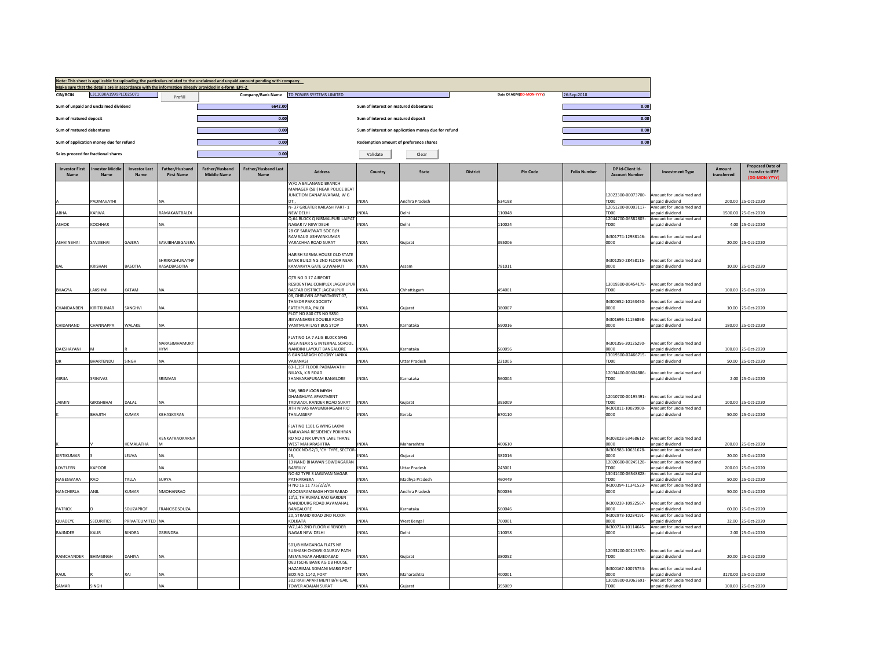|                               |                                         |                              |                                     | Make sure that the details are in accordance with the information already provided in e-form IEPF-2 | Note: This sheet is applicable for uploading the particulars related to the unclaimed and unpaid amount pending with company. |                                                                 |                                        |                                                     |                 |                          |                     |                                           |                                             |                       |                                             |
|-------------------------------|-----------------------------------------|------------------------------|-------------------------------------|-----------------------------------------------------------------------------------------------------|-------------------------------------------------------------------------------------------------------------------------------|-----------------------------------------------------------------|----------------------------------------|-----------------------------------------------------|-----------------|--------------------------|---------------------|-------------------------------------------|---------------------------------------------|-----------------------|---------------------------------------------|
| <b>CIN/BCIN</b>               | L31103KA1999PLC025071                   |                              | Prefill                             |                                                                                                     |                                                                                                                               | Company/Bank Name TD POWER SYSTEMS LIMITED                      |                                        |                                                     |                 | Date Of AGM(DD-MON-YYYY) | 26-Sep-2018         |                                           |                                             |                       |                                             |
|                               | Sum of unpaid and unclaimed dividend    |                              |                                     |                                                                                                     | 6642.00                                                                                                                       |                                                                 | Sum of interest on matured debentures  |                                                     |                 |                          |                     | 0.00                                      |                                             |                       |                                             |
| Sum of matured deposit        |                                         |                              |                                     |                                                                                                     | 0.00                                                                                                                          |                                                                 | Sum of interest on matured deposit     |                                                     |                 |                          |                     | 0.00                                      |                                             |                       |                                             |
| Sum of matured debentures     |                                         |                              |                                     |                                                                                                     | 0.00                                                                                                                          |                                                                 |                                        | Sum of interest on application money due for refund |                 |                          |                     | 0.00                                      |                                             |                       |                                             |
|                               | Sum of application money due for refund |                              |                                     |                                                                                                     | 0.00                                                                                                                          |                                                                 | Redemption amount of preference shares |                                                     |                 |                          |                     | 0.00                                      |                                             |                       |                                             |
|                               | Sales proceed for fractional shares     |                              |                                     |                                                                                                     | 0.00                                                                                                                          |                                                                 | Validate                               | Clear                                               |                 |                          |                     |                                           |                                             |                       |                                             |
| <b>Investor First</b><br>Name | vestor Middle<br><b>Name</b>            | <b>Investor Last</b><br>Name | Father/Husband<br><b>First Name</b> | Father/Husband<br><b>Middle Name</b>                                                                | <b>Father/Husband Last</b><br>Name                                                                                            | <b>Address</b>                                                  | Country                                | State                                               | <b>District</b> | <b>Pin Code</b>          | <b>Folio Number</b> | DP Id-Client Id-<br><b>Account Number</b> | <b>Investment Type</b>                      | Amount<br>transferred | <b>Proposed Date of</b><br>transfer to IEPF |
|                               |                                         |                              |                                     |                                                                                                     |                                                                                                                               | W/O A BALANAND BRANCH<br>MANAGER (SBI) NEAR POLICE BEAT         |                                        |                                                     |                 |                          |                     |                                           |                                             |                       |                                             |
|                               | PADMAVATHI                              |                              |                                     |                                                                                                     |                                                                                                                               | JUNCTION GANAPAVARAM, W G                                       | <b>INDIA</b>                           | <b>Andhra Pradesh</b>                               |                 | 534198                   |                     | 12022300-00073700-<br>TD <sub>00</sub>    | mount for unclaimed and<br>hnebivib hisonu  |                       | 200.00 25-Oct-2020                          |
|                               |                                         |                              |                                     |                                                                                                     |                                                                                                                               | N-37 GREATER KAILASH PART-1                                     |                                        |                                                     |                 |                          |                     | 12051200-00003117-                        | Amount for unclaimed and                    |                       |                                             |
| ABHA                          | KARWA                                   |                              | RAMAKANTBALDI                       |                                                                                                     |                                                                                                                               | <b>NEW DELHI</b><br>3-64 BLOCK Q NIRMALPURI LAJPAT              | INDIA                                  | Delhi                                               |                 | 10048                    |                     | OOOT<br>12044700-06582803-                | inpaid dividend<br>Amount for unclaimed and |                       | 1500.00 25-Oct-2020                         |
| ASHOK                         | KOCHHAR                                 |                              |                                     |                                                                                                     |                                                                                                                               | VAGAR IV NEW DELHI                                              | INDIA                                  | Delhi                                               |                 | 10024                    |                     | TD00                                      | inpaid dividend                             |                       | 4.00 25-Oct-2020                            |
|                               |                                         |                              |                                     |                                                                                                     |                                                                                                                               | 28 GF SARASWATI SOC B/H<br>RAMBAUG ASHWINKUMAR                  |                                        |                                                     |                 |                          |                     | IN301774-12988146-                        | mount for unclaimed and                     |                       |                                             |
| ASHVINBHAI                    | <b>SAVJIBHAI</b>                        | GAJERA                       | SAVJIBHAIBGAJERA                    |                                                                                                     |                                                                                                                               | VARACHHA ROAD SURAT                                             | <b>INDIA</b>                           | Gujarat                                             |                 | 395006                   |                     | noon                                      | unpaid dividend                             |                       | 20.00 25-Oct-2020                           |
|                               |                                         |                              |                                     |                                                                                                     |                                                                                                                               | ARISH SARMA HOUSE OLD STATE                                     |                                        |                                                     |                 |                          |                     |                                           |                                             |                       |                                             |
|                               |                                         |                              | SHRIRAGHUNATHP                      |                                                                                                     |                                                                                                                               | <b>BANK BUILDING 2ND FLOOR NEAR</b>                             |                                        |                                                     |                 |                          |                     | IN301250-28458115-                        | Amount for unclaimed and                    |                       |                                             |
| BAL                           | KRISHAN                                 | BASOTIA                      | RASADBASOTIA                        |                                                                                                     |                                                                                                                               | <b>AMAKHYA GATE GUWAHATI</b>                                    | <b>INDIA</b>                           | Assam                                               |                 | 781011                   |                     | 0000                                      | unpaid dividend                             |                       | 10.00 25-Oct-2020                           |
|                               |                                         |                              |                                     |                                                                                                     |                                                                                                                               | QTR NO D 17 AIRPORT<br>RESIDENTIAL COMPLEX JAGDALPUR            |                                        |                                                     |                 |                          |                     | 13019300-00454179-                        | Amount for unclaimed and                    |                       |                                             |
| <b>BHAGYA</b>                 | LAKSHMI                                 | KATAM                        |                                     |                                                                                                     |                                                                                                                               | BASTAR DISTRICT JAGDALPUR                                       | <b>INDIA</b>                           | Chhattisgarh                                        |                 | 494001                   |                     | TD00                                      | unpaid dividend                             |                       | 100.00 25-Oct-2020                          |
|                               |                                         |                              |                                     |                                                                                                     |                                                                                                                               | 08. DHRUVIN APPARTMENT 07.<br><b>THAKOR PARK SOCIETY</b>        |                                        |                                                     |                 |                          |                     | IN300652-10163450-                        | mount for unclaimed and                     |                       |                                             |
| CHANDANBEN                    | KIRITKUMAR                              | SANGHVI                      | NΑ                                  |                                                                                                     |                                                                                                                               | FATEHPURA, PALDI                                                | INDIA                                  | Guiarat                                             |                 | 380007                   |                     | 0000                                      | unpaid dividend                             |                       | 10.00 25-Oct-2020                           |
|                               |                                         |                              |                                     |                                                                                                     |                                                                                                                               | PLOT NO 840 CTS NO 5850<br>EEVANSHREE DOUBLE ROAD               |                                        |                                                     |                 |                          |                     | IN301696-11156898-                        | mount for unclaimed and                     |                       |                                             |
| CHIDANAND                     | CHANNAPPA                               | WALAKE                       | NA                                  |                                                                                                     |                                                                                                                               | VANTMURI LAST BUS STOP                                          | <b>INDIA</b>                           | Karnataka                                           |                 | 590016                   |                     | looon                                     | unpaid dividend                             |                       | 180.00 25-Oct-2020                          |
|                               |                                         |                              |                                     |                                                                                                     |                                                                                                                               | <b>I AT NO 1A 7 ALIG BLOCK SEHS</b>                             |                                        |                                                     |                 |                          |                     |                                           |                                             |                       |                                             |
|                               |                                         |                              | NARASIMHAMURT                       |                                                                                                     |                                                                                                                               | AREA NEAR S G INTERNAL SCHOOL                                   |                                        |                                                     |                 |                          |                     | IN301356-20125290-                        | mount for unclaimed and                     |                       |                                             |
| DAKSHAYANI                    |                                         |                              | <b>HYM</b>                          |                                                                                                     |                                                                                                                               | NANDINI LAYOUT BANGALORE                                        | <b>INDIA</b>                           | Kamataka                                            |                 | 560096                   |                     | looon                                     | hnebivib bisnnu                             |                       | 100.00 25-Oct-2020                          |
| <b>DR</b>                     | BHARTENDU                               | SINGH                        | NA                                  |                                                                                                     |                                                                                                                               | <b>GANGABAGH COLONY LANKA</b><br><b>ARANASI</b>                 | NDIA                                   | Uttar Pradesh                                       |                 | 221005                   |                     | 13019300-02466715-<br>TD00                | Amount for unclaimed and<br>unpaid dividend |                       | 50.00 25-Oct-2020                           |
|                               |                                         |                              |                                     |                                                                                                     |                                                                                                                               | 83-1,1ST FLOOR PADMAVATHI<br><b>NILAYA, K R ROAD</b>            |                                        |                                                     |                 |                          |                     | 12034400-00604886-                        |                                             |                       |                                             |
| GIRIJA                        | SRINIVAS                                |                              | SRINIVAS                            |                                                                                                     |                                                                                                                               | SHANKARAPURAM BANGLORE                                          | <b>INDIA</b>                           | Karnataka                                           |                 | 60004                    |                     | TD00                                      | mount for unclaimed and<br>unpaid dividend  |                       | 2.00 25-Oct-2020                            |
|                               |                                         |                              |                                     |                                                                                                     |                                                                                                                               | 306. 3RD FLOOR MEGH                                             |                                        |                                                     |                 |                          |                     |                                           |                                             |                       |                                             |
|                               |                                         |                              |                                     |                                                                                                     |                                                                                                                               | DHANSHUYA APARTMENT                                             |                                        |                                                     |                 |                          |                     | 12010700-00195491-                        | Amount for unclaimed and                    |                       |                                             |
| <b>JAIMIN</b>                 | <b>GIRISHBHAI</b>                       | DALAL                        | NA                                  |                                                                                                     |                                                                                                                               | ADWADI. RANDER ROAD SURAT                                       | <b>INDIA</b>                           | Guiarat                                             |                 | 395009                   |                     | TD00                                      | unpaid dividend<br>Amount for unclaimed and |                       | 100.00 25-Oct-2020                          |
|                               | BHAJITH                                 | KUMAR                        | KBHASKARAN                          |                                                                                                     |                                                                                                                               | ITH NIVAS KAVUMBHAGAM P.O<br><b>HAI ASSERY</b>                  | INDIA                                  | Kerala                                              |                 | 670110                   |                     | IN301811-10029900-<br>0000                | unpaid dividend                             |                       | 50.00 25-Oct-2020                           |
|                               |                                         |                              |                                     |                                                                                                     |                                                                                                                               | LAT NO 1101 G WING LAXMI                                        |                                        |                                                     |                 |                          |                     |                                           |                                             |                       |                                             |
|                               |                                         |                              |                                     |                                                                                                     |                                                                                                                               | NARAYANA RESIDENCY POKHRAN                                      |                                        |                                                     |                 |                          |                     |                                           |                                             |                       |                                             |
|                               |                                         | HEMALATHA                    | VENKATRAOKARNA                      |                                                                                                     |                                                                                                                               | RD NO 2 NR UPVAN LAKE THANE<br>WEST MAHARASHTRA                 | INDIA                                  | Maharashtra                                         |                 | 400610                   |                     | IN303028-53468612-<br>0000                | Amount for unclaimed and<br>unpaid dividend |                       | 200.00 25-Oct-2020                          |
|                               |                                         |                              |                                     |                                                                                                     |                                                                                                                               | BLOCK NO-52/1, 'CH' TYPE, SECTOR-                               |                                        |                                                     |                 |                          |                     | IN301983-10631678-                        | Amount for unclaimed and                    |                       |                                             |
| KIRTIKUMAR                    |                                         | LEUVA                        | NA                                  |                                                                                                     |                                                                                                                               | 13 NAND BHAWAN SOWDAGARAN                                       | INDIA                                  | Guiarat                                             |                 | 382016                   |                     | 0000<br>12020600-00245128-                | unpaid dividend<br>Amount for unclaimed and |                       | 20.00 25-Oct-2020                           |
| LOVELEEN                      | KAPOOR                                  |                              | NA.                                 |                                                                                                     |                                                                                                                               | <b>BAREILLY</b>                                                 | INDIA                                  | Uttar Pradesh                                       |                 | 243001                   |                     | TD00                                      | unpaid dividend                             |                       | 200.00 25-Oct-2020                          |
| NAGESWARA                     | RAO                                     | TALLA                        | SURYA                               |                                                                                                     |                                                                                                                               | NO 62 TYPE 3 JAGJIVAN NAGAR<br>PATHAKHERA                       | INDIA                                  | Madhya Pradesh                                      |                 | 460449                   |                     | 13041400-06548828-<br>TD00                | Amount for unclaimed and<br>unpaid dividend |                       | 50.00 25-Oct-2020                           |
|                               |                                         |                              |                                     |                                                                                                     |                                                                                                                               | INO 16 11 775/2/2/A                                             |                                        |                                                     |                 |                          |                     | IN300394-11341523-                        | Amount for unclaimed and                    |                       |                                             |
| NANCHERLA                     | ANIL                                    | KUMAR                        | NMOHANRAO                           |                                                                                                     |                                                                                                                               | MOOSARAMBAGH HYDERABAD<br>10\1, THIRUMAL RAO GARDEN             | <b>INDIA</b>                           | Andhra Pradesh                                      |                 | 500036                   |                     | 0000                                      | inpaid dividend                             |                       | 50.00 25-Oct-2020                           |
|                               |                                         |                              |                                     |                                                                                                     |                                                                                                                               | NANDIDURG ROAD JAYAMAHAL                                        |                                        |                                                     |                 |                          |                     | IN300239-10922567-                        | mount for unclaimed and                     |                       |                                             |
| <b>PATRICK</b>                |                                         | SOUZAPROF                    | FRANCISDSOUZA                       |                                                                                                     |                                                                                                                               | <b>BANGALORE</b><br>20. STRAND ROAD 2ND FLOOR                   | INDIA                                  | Karnataka                                           |                 | 560046                   |                     | 0000<br>IN302978-10284191-                | unpaid dividend<br>Amount for unclaimed and |                       | 60.00 25-Oct-2020                           |
| QUADEYE                       | SECURITIES                              | PRIVATELIMITED NA            |                                     |                                                                                                     |                                                                                                                               | KOLKATA                                                         | <b>INDIA</b>                           | <b>West Bengal</b>                                  |                 | 700001                   |                     | 0000                                      | Inpaid dividend                             |                       | 32.00 25-Oct-2020                           |
| RAJINDER                      | KAUR                                    | <b>BINDRA</b>                | <b>GSBINDRA</b>                     |                                                                                                     |                                                                                                                               | WZ,146 2ND FLOOR VIRENDER<br>VAGAR NEW DELHI                    | INDIA                                  | Delhi                                               |                 | 10058                    |                     | IN300724-10114645-<br>0000                | Amount for unclaimed and<br>inpaid dividend |                       | 2.00 25-Oct-2020                            |
|                               |                                         |                              |                                     |                                                                                                     |                                                                                                                               |                                                                 |                                        |                                                     |                 |                          |                     |                                           |                                             |                       |                                             |
|                               |                                         |                              |                                     |                                                                                                     |                                                                                                                               | 501/B HIMGANGA FLATS NR<br>SUBHASH CHOWK GAURAV PATH            |                                        |                                                     |                 |                          |                     | 12033200-00113570-                        | Amount for unclaimed and                    |                       |                                             |
| RAMCHANDER                    | <b>BHIMSINGH</b>                        | DAHIYA                       |                                     |                                                                                                     |                                                                                                                               | MEMNAGAR AHMEDABAD                                              | <b>NDIA</b>                            | Gujarat                                             |                 | 380052                   |                     | TD00                                      | npaid dividend                              |                       | 20.00 25-Oct-2020                           |
|                               |                                         |                              |                                     |                                                                                                     |                                                                                                                               | DEUTSCHE BANK AG DB HOUSE,<br><b>HAZARIMAL SOMANI MARG POST</b> |                                        |                                                     |                 |                          |                     | IN300167-10075754-                        | mount for unclaimed and                     |                       |                                             |
| RAUL                          |                                         |                              | ٧A                                  |                                                                                                     |                                                                                                                               | 30X NO. 1142, FORT<br>302 RAVI APARTMENT B/H GAIL               | INDIA                                  | Maharashtra                                         |                 | 100001                   |                     | 0000<br>13019300-02063691-                | inpaid dividend<br>Amount for unclaimed and |                       | 3170.00 25-Oct-2020                         |
| SAMAR                         | SINGH                                   |                              |                                     |                                                                                                     |                                                                                                                               | TOWER ADAJAN SURAT                                              | <b>INDIA</b>                           | Gujarat                                             |                 | 395009                   |                     | TD00                                      | unpaid dividend                             |                       | 100.00 25-Oct-2020                          |
|                               |                                         |                              |                                     |                                                                                                     |                                                                                                                               |                                                                 |                                        |                                                     |                 |                          |                     |                                           |                                             |                       |                                             |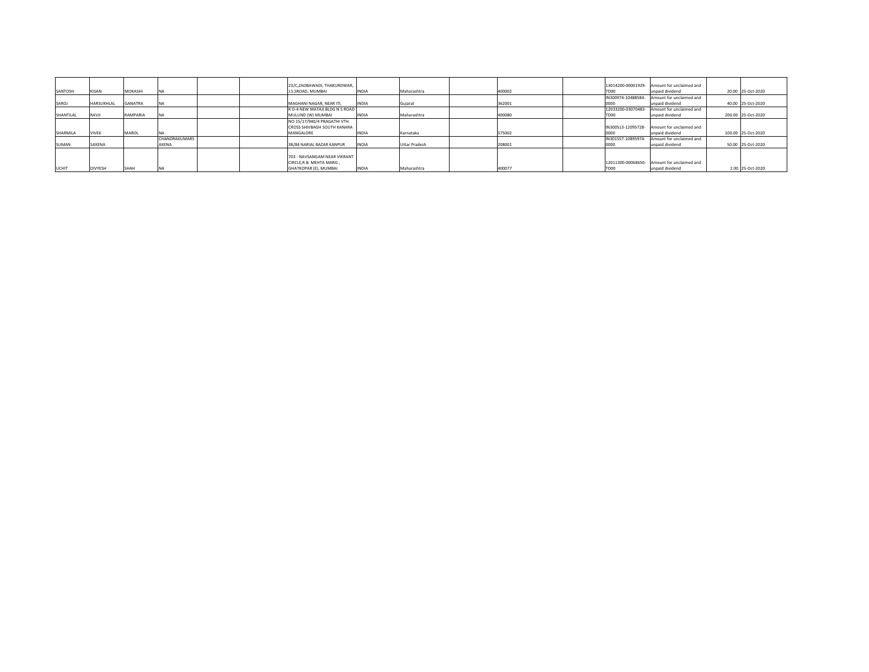|                |                                                     |                           |               | 23/C.ZAOBAWADI. THAKURDWAR. |                                                                               |                                                                                                                                |                                                    |        |                                      |                    |                                       |                                                                                                                                                                                                                                                                                          |                    |
|----------------|-----------------------------------------------------|---------------------------|---------------|-----------------------------|-------------------------------------------------------------------------------|--------------------------------------------------------------------------------------------------------------------------------|----------------------------------------------------|--------|--------------------------------------|--------------------|---------------------------------------|------------------------------------------------------------------------------------------------------------------------------------------------------------------------------------------------------------------------------------------------------------------------------------------|--------------------|
|                |                                                     |                           |               |                             |                                                                               |                                                                                                                                |                                                    |        |                                      |                    |                                       |                                                                                                                                                                                                                                                                                          | 20.00 25-Oct-2020  |
|                |                                                     |                           |               |                             |                                                                               |                                                                                                                                |                                                    |        |                                      |                    |                                       |                                                                                                                                                                                                                                                                                          |                    |
|                |                                                     |                           |               |                             |                                                                               | Gujarat                                                                                                                        |                                                    |        |                                      | 0000               | unpaid dividend                       |                                                                                                                                                                                                                                                                                          | 40.00 25-Oct-2020  |
|                |                                                     |                           |               |                             |                                                                               |                                                                                                                                |                                                    |        |                                      | 12033200-03070483- |                                       |                                                                                                                                                                                                                                                                                          |                    |
| <b>IRAVJI</b>  | RAMPARIA                                            |                           |               | MULUND (W) MUMBAI           |                                                                               | Maharashtra                                                                                                                    |                                                    | 400080 |                                      | FD00               |                                       |                                                                                                                                                                                                                                                                                          | 200.00 25-Oct-2020 |
|                |                                                     |                           |               | NO 15/17/940/4 PRAGATHI VTH |                                                                               |                                                                                                                                |                                                    |        |                                      |                    |                                       |                                                                                                                                                                                                                                                                                          |                    |
|                |                                                     |                           |               | CROSS SHIVBAGH SOUTH KANARA |                                                                               |                                                                                                                                |                                                    |        |                                      | IN300513-12095728- |                                       |                                                                                                                                                                                                                                                                                          |                    |
| <b>VIVEK</b>   | <b>MAROL</b>                                        |                           |               | MANGALORE                   |                                                                               | Karnataka                                                                                                                      |                                                    |        |                                      | 0000               | unpaid dividend                       |                                                                                                                                                                                                                                                                                          | 100.00 25-Oct-2020 |
|                |                                                     |                           |               |                             |                                                                               |                                                                                                                                |                                                    |        |                                      | IN301557-10895974  |                                       |                                                                                                                                                                                                                                                                                          |                    |
| SAXENA         |                                                     | AXENA                     |               | 38/84 NARIAL BAZAR KANPUR   |                                                                               |                                                                                                                                |                                                    | 208001 |                                      | 0000               |                                       |                                                                                                                                                                                                                                                                                          | 50.00 25-Oct-2020  |
|                |                                                     |                           |               |                             |                                                                               |                                                                                                                                |                                                    |        |                                      |                    |                                       |                                                                                                                                                                                                                                                                                          |                    |
|                |                                                     |                           |               |                             |                                                                               |                                                                                                                                |                                                    |        |                                      |                    |                                       |                                                                                                                                                                                                                                                                                          |                    |
|                |                                                     |                           |               | CIRCLE, R.B. MEHTA MARG,    |                                                                               |                                                                                                                                |                                                    |        |                                      |                    |                                       |                                                                                                                                                                                                                                                                                          |                    |
| <b>DIVYESH</b> | <b>SHAH</b>                                         |                           |               | GHATKOPAR (E), MUMBAI       |                                                                               |                                                                                                                                |                                                    |        |                                      | TD <sub>00</sub>   |                                       |                                                                                                                                                                                                                                                                                          | 2.00 25-Oct-2020   |
|                | <b>KISAN</b><br>HARSUKHLAL<br>SHANTILAL<br>SHARMILA | <b>MOKASHI</b><br>GANATRA | CHANDRAKUMARS |                             | I.S.SROAD, MUMBAI<br>MAGHANI NAGAR, NEAR ITI.<br>703 - NAVSANGAM NEAR VIKRANT | <b>INDIA</b><br><b>INDIA</b><br>R D-4 NEW MATAJI BLDG N S ROAD<br><b>INDIA</b><br><b>INDIA</b><br><b>INDIA</b><br><b>INDIA</b> | Maharashtra<br><b>Uttar Pradesh</b><br>Maharashtra |        | 400002<br>362001<br>575002<br>400077 |                    | FD <sub>00</sub><br>IN300974-10488584 | 13014200-00001929- Amount for unclaimed and<br>unpaid dividend<br>Amount for unclaimed and<br>Amount for unclaimed and<br>unpaid dividend<br>- Amount for unclaimed and<br>Amount for unclaimed and<br>unpaid dividend<br>12011300-00068650- Amount for unclaimed and<br>unpaid dividend |                    |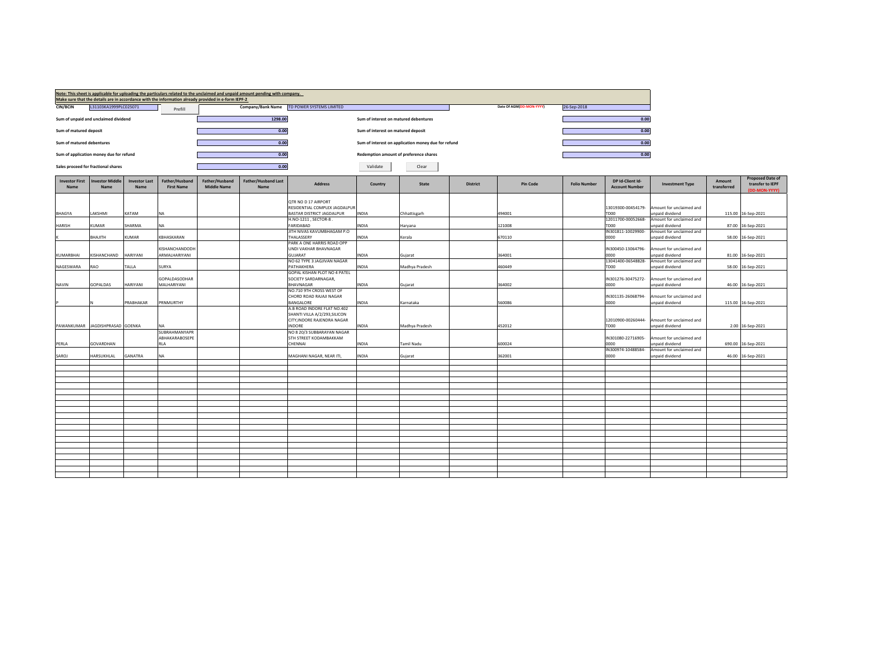|                                      |                                         |                              |                                     | Make sure that the details are in accordance with the information already provided in e-form IEPF-2 | Note: This sheet is applicable for uploading the particulars related to the unclaimed and unpaid amount pending with company. |                                                            |                                       |                                                     |                 |                          |                     |                                           |                                             |                       |                                                              |
|--------------------------------------|-----------------------------------------|------------------------------|-------------------------------------|-----------------------------------------------------------------------------------------------------|-------------------------------------------------------------------------------------------------------------------------------|------------------------------------------------------------|---------------------------------------|-----------------------------------------------------|-----------------|--------------------------|---------------------|-------------------------------------------|---------------------------------------------|-----------------------|--------------------------------------------------------------|
| <b>CIN/BCIN</b>                      | L31103KA1999PLC025071                   |                              | Prefill                             |                                                                                                     | Company/Bank Name                                                                                                             | TD POWER SYSTEMS LIMITED                                   |                                       |                                                     |                 | Date Of AGM(DD-MON-YYYY) | 26-Sep-2018         |                                           |                                             |                       |                                                              |
|                                      | Sum of unpaid and unclaimed dividend    |                              |                                     |                                                                                                     | 1298.00                                                                                                                       |                                                            | Sum of interest on matured debentures |                                                     |                 |                          |                     | 0.00                                      |                                             |                       |                                                              |
| Sum of matured deposit               |                                         |                              |                                     |                                                                                                     | 0.00                                                                                                                          |                                                            | Sum of interest on matured deposit    |                                                     |                 |                          |                     | 0.00                                      |                                             |                       |                                                              |
| Sum of matured debentures            |                                         |                              |                                     |                                                                                                     | 0.00                                                                                                                          |                                                            |                                       | Sum of interest on application money due for refund |                 |                          |                     | 0.00                                      |                                             |                       |                                                              |
|                                      | Sum of application money due for refund |                              |                                     |                                                                                                     | 0.00                                                                                                                          |                                                            |                                       | Redemption amount of preference shares              |                 |                          |                     | 0.00                                      |                                             |                       |                                                              |
|                                      | Sales proceed for fractional shares     |                              |                                     |                                                                                                     | 0.00                                                                                                                          |                                                            | Validate                              | Clear                                               |                 |                          |                     |                                           |                                             |                       |                                                              |
| <b>Investor First</b><br><b>Name</b> | nvestor Middle<br>Name                  | <b>Investor Last</b><br>Name | Father/Husband<br><b>First Name</b> | Father/Husband<br><b>Middle Name</b>                                                                | Father/Husband Last<br>Name                                                                                                   | <b>Address</b>                                             | Country                               | State                                               | <b>District</b> | <b>Pin Code</b>          | <b>Folio Number</b> | DP Id-Client Id-<br><b>Account Number</b> | <b>Investment Type</b>                      | Amount<br>transferred | <b>Proposed Date of</b><br>transfer to IEPF<br>(DD-MON-YYYY) |
|                                      |                                         |                              |                                     |                                                                                                     |                                                                                                                               | QTR NO D 17 AIRPORT                                        |                                       |                                                     |                 |                          |                     |                                           |                                             |                       |                                                              |
| <b>BHAGYA</b>                        | LAKSHMI                                 | KATAM                        | ΝA                                  |                                                                                                     |                                                                                                                               | RESIDENTIAL COMPLEX JAGDALPUR<br>BASTAR DISTRICT JAGDALPUR | <b>INDIA</b>                          | Chhattisgarh                                        |                 | 494001                   |                     | 13019300-00454179-<br>TD00                | Amount for unclaimed and<br>unpaid dividend | 115.00                | 16-Sep-2021                                                  |
|                                      |                                         |                              |                                     |                                                                                                     |                                                                                                                               | H.NO-1211, SECTOR-8.                                       |                                       |                                                     |                 |                          |                     | 12011700-00052668-                        | Amount for unclaimed and                    |                       |                                                              |
| HARISH                               | KUMAR                                   | SHARMA                       | NA                                  |                                                                                                     |                                                                                                                               | FARIDABAD                                                  | INDIA                                 | Haryana                                             |                 | 121008                   |                     | TD00                                      | unpaid dividend                             | 87.00                 | 16-Sep-2021                                                  |
|                                      |                                         |                              |                                     |                                                                                                     |                                                                                                                               | JITH NIVAS KAVUMBHAGAM P.O                                 |                                       |                                                     |                 |                          |                     | IN301811-10029900-                        | Amount for unclaimed and                    |                       |                                                              |
|                                      | <b>BHAJITH</b>                          | KUMAR                        | KBHASKARAN                          |                                                                                                     |                                                                                                                               | THALASSERY<br>PARK A ONE HARRIS ROAD OPP                   | INDIA                                 | Kerala                                              |                 | 670110                   |                     | 0000                                      | inpaid dividend                             | 58.00                 | 16-Sep-2021                                                  |
|                                      |                                         |                              | KISHANCHANDODH                      |                                                                                                     |                                                                                                                               | UNDI VAKHAR BHAVNAGAR                                      |                                       |                                                     |                 |                          |                     | IN300450-13064796-                        | Amount for unclaimed and                    |                       |                                                              |
| KUMARBHAI                            | KISHANCHAND                             | HARIYANI                     | ARMALHARIYANI                       |                                                                                                     |                                                                                                                               | <b>GUJARAT</b>                                             | <b>INDIA</b>                          | Gujarat                                             |                 | 364001                   |                     | 0000                                      | unpaid dividend                             | 81.00                 | 16-Sep-2021                                                  |
|                                      |                                         |                              |                                     |                                                                                                     |                                                                                                                               | NO 62 TYPE 3 JAGJIVAN NAGAR                                |                                       |                                                     |                 |                          |                     | 13041400-06548828-                        | Amount for unclaimed and                    |                       |                                                              |
| NAGESWARA                            | RAO                                     | TALLA                        | SURYA                               |                                                                                                     |                                                                                                                               | PATHAKHERA<br>GOPAL KISHAN PLOT NO 4 PATEL                 | <b>INDIA</b>                          | Madhya Pradesh                                      |                 | 460449                   |                     | TD00                                      | unpaid dividend                             | 58.00                 | 16-Sep-2021                                                  |
|                                      |                                         |                              | GOPALDASODHAR                       |                                                                                                     |                                                                                                                               | SOCIETY SARDARNAGAR,                                       |                                       |                                                     |                 |                          |                     | IN301276-30475272-                        | Amount for unclaimed and                    |                       |                                                              |
| NAVIN                                | <b>GOPALDAS</b>                         | HARIYANI                     | MALHARIYANI                         |                                                                                                     |                                                                                                                               | BHAVNAGAR                                                  | NDIA                                  | Gujarat                                             |                 | 364002                   |                     | 0000                                      | unpaid dividend                             | 46.00                 | 16-Sep-2021                                                  |
|                                      |                                         |                              |                                     |                                                                                                     |                                                                                                                               | NO.710 9TH CROSS WEST OF                                   |                                       |                                                     |                 |                          |                     |                                           |                                             |                       |                                                              |
|                                      |                                         | PRABHAKAR                    | PRNMURTHY                           |                                                                                                     |                                                                                                                               | CHORD ROAD RAJAJI NAGAR<br>BANGALORE                       | <b>INDIA</b>                          | Karnataka                                           |                 | 560086                   |                     | IN301135-26068794-<br>0000                | Amount for unclaimed and<br>unpaid dividend |                       | 115.00 16-Sep-2021                                           |
|                                      |                                         |                              |                                     |                                                                                                     |                                                                                                                               | A.B ROAD INDORE FLAT NO.402                                |                                       |                                                     |                 |                          |                     |                                           |                                             |                       |                                                              |
|                                      |                                         |                              |                                     |                                                                                                     |                                                                                                                               | SHANTI VILLA A/2/293, SILICON                              |                                       |                                                     |                 |                          |                     |                                           |                                             |                       |                                                              |
|                                      |                                         |                              |                                     |                                                                                                     |                                                                                                                               | CITY, INDORE RAJENDRA NAGAR                                |                                       |                                                     |                 |                          |                     | 12010900-00260444-                        | Amount for unclaimed and                    |                       |                                                              |
|                                      | PAWANKUMAR JAGDISHPRASAD GOENKA         |                              | NΑ<br>SUBRAHMANYAPR                 |                                                                                                     |                                                                                                                               | <b>INDORE</b><br>NO 8 20/3 SUBBARAYAN NAGAR                | <b>INDIA</b>                          | Madhya Pradesh                                      |                 | 452012                   |                     | TD00                                      | unpaid dividend                             |                       | 2.00 16-Sep-2021                                             |
|                                      |                                         |                              | ABHAKARABOSEPE                      |                                                                                                     |                                                                                                                               | 5TH STREET KODAMBAKKAM                                     |                                       |                                                     |                 |                          |                     | IN301080-22716905-                        | Amount for unclaimed and                    |                       |                                                              |
| PERLA                                | GOVARDHAN                               |                              | RLA                                 |                                                                                                     |                                                                                                                               | CHENNAI                                                    | <b>INDIA</b>                          | Tamil Nadu                                          |                 | 600024                   |                     | 0000                                      | unpaid dividend                             | 690.00                | 16-Sep-2021                                                  |
|                                      |                                         |                              |                                     |                                                                                                     |                                                                                                                               |                                                            |                                       |                                                     |                 |                          |                     | IN300974-10488584-                        | Amount for unclaimed and                    |                       |                                                              |
| SAROJ                                | HARSUKHLAL                              | <b>GANATRA</b>               | <b>NA</b>                           |                                                                                                     |                                                                                                                               | MAGHANI NAGAR, NEAR ITI,                                   | <b>INDIA</b>                          | Guiarat                                             |                 | 362001                   |                     | 0000                                      | unpaid dividend                             | 46.00                 | 16-Sep-2021                                                  |
|                                      |                                         |                              |                                     |                                                                                                     |                                                                                                                               |                                                            |                                       |                                                     |                 |                          |                     |                                           |                                             |                       |                                                              |
|                                      |                                         |                              |                                     |                                                                                                     |                                                                                                                               |                                                            |                                       |                                                     |                 |                          |                     |                                           |                                             |                       |                                                              |
|                                      |                                         |                              |                                     |                                                                                                     |                                                                                                                               |                                                            |                                       |                                                     |                 |                          |                     |                                           |                                             |                       |                                                              |
|                                      |                                         |                              |                                     |                                                                                                     |                                                                                                                               |                                                            |                                       |                                                     |                 |                          |                     |                                           |                                             |                       |                                                              |
|                                      |                                         |                              |                                     |                                                                                                     |                                                                                                                               |                                                            |                                       |                                                     |                 |                          |                     |                                           |                                             |                       |                                                              |
|                                      |                                         |                              |                                     |                                                                                                     |                                                                                                                               |                                                            |                                       |                                                     |                 |                          |                     |                                           |                                             |                       |                                                              |
|                                      |                                         |                              |                                     |                                                                                                     |                                                                                                                               |                                                            |                                       |                                                     |                 |                          |                     |                                           |                                             |                       |                                                              |
|                                      |                                         |                              |                                     |                                                                                                     |                                                                                                                               |                                                            |                                       |                                                     |                 |                          |                     |                                           |                                             |                       |                                                              |
|                                      |                                         |                              |                                     |                                                                                                     |                                                                                                                               |                                                            |                                       |                                                     |                 |                          |                     |                                           |                                             |                       |                                                              |
|                                      |                                         |                              |                                     |                                                                                                     |                                                                                                                               |                                                            |                                       |                                                     |                 |                          |                     |                                           |                                             |                       |                                                              |
|                                      |                                         |                              |                                     |                                                                                                     |                                                                                                                               |                                                            |                                       |                                                     |                 |                          |                     |                                           |                                             |                       |                                                              |
|                                      |                                         |                              |                                     |                                                                                                     |                                                                                                                               |                                                            |                                       |                                                     |                 |                          |                     |                                           |                                             |                       |                                                              |
|                                      |                                         |                              |                                     |                                                                                                     |                                                                                                                               |                                                            |                                       |                                                     |                 |                          |                     |                                           |                                             |                       |                                                              |
|                                      |                                         |                              |                                     |                                                                                                     |                                                                                                                               |                                                            |                                       |                                                     |                 |                          |                     |                                           |                                             |                       |                                                              |
|                                      |                                         |                              |                                     |                                                                                                     |                                                                                                                               |                                                            |                                       |                                                     |                 |                          |                     |                                           |                                             |                       |                                                              |
|                                      |                                         |                              |                                     |                                                                                                     |                                                                                                                               |                                                            |                                       |                                                     |                 |                          |                     |                                           |                                             |                       |                                                              |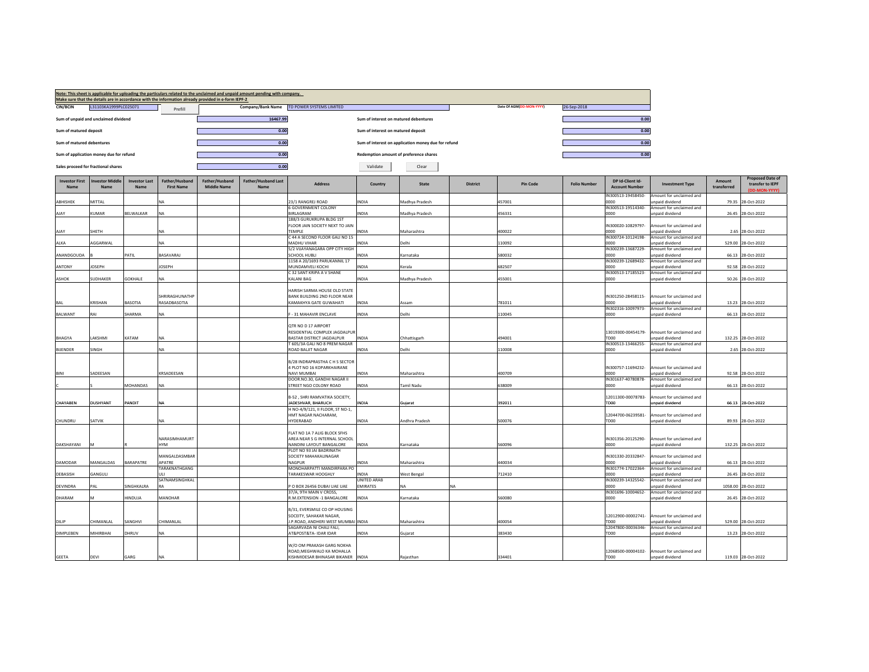|                               |                                         |                              |                                     | Make sure that the details are in accordance with the information already provided in e-form IEPF-2 | Note: This sheet is applicable for uploading the particulars related to the unclaimed and unpaid amount pending with company. |                                                                                                                           |                                        |                                                     |                 |                          |                     |                                                  |                                                                         |                       |                                                              |
|-------------------------------|-----------------------------------------|------------------------------|-------------------------------------|-----------------------------------------------------------------------------------------------------|-------------------------------------------------------------------------------------------------------------------------------|---------------------------------------------------------------------------------------------------------------------------|----------------------------------------|-----------------------------------------------------|-----------------|--------------------------|---------------------|--------------------------------------------------|-------------------------------------------------------------------------|-----------------------|--------------------------------------------------------------|
| <b>CIN/BCIN</b>               | L31103KA1999PLC025071                   |                              | Prefill                             |                                                                                                     |                                                                                                                               | Company/Bank Name TD POWER SYSTEMS LIMITED                                                                                |                                        |                                                     |                 | Date Of AGM(DD-MON-YYYY) | 26-Sep-2018         |                                                  |                                                                         |                       |                                                              |
|                               | Sum of unpaid and unclaimed dividend    |                              |                                     |                                                                                                     | 16467.99                                                                                                                      |                                                                                                                           | Sum of interest on matured debentures  |                                                     |                 |                          |                     | 0.00                                             |                                                                         |                       |                                                              |
| Sum of matured deposit        |                                         |                              |                                     |                                                                                                     | 0.00                                                                                                                          |                                                                                                                           | Sum of interest on matured deposit     |                                                     |                 |                          |                     | 0.00                                             |                                                                         |                       |                                                              |
| Sum of matured debentures     |                                         |                              |                                     |                                                                                                     | 0.00                                                                                                                          |                                                                                                                           |                                        | Sum of interest on application money due for refund |                 |                          |                     | 0.00                                             |                                                                         |                       |                                                              |
|                               | Sum of application money due for refund |                              |                                     |                                                                                                     | 0.00                                                                                                                          |                                                                                                                           | Redemption amount of preference shares |                                                     |                 |                          |                     | 0.00                                             |                                                                         |                       |                                                              |
|                               | Sales proceed for fractional shares     |                              |                                     |                                                                                                     | 0.00                                                                                                                          |                                                                                                                           | Validate                               | Clear                                               |                 |                          |                     |                                                  |                                                                         |                       |                                                              |
| <b>Investor First</b><br>Name | nvestor Middle<br>Name                  | <b>Investor Last</b><br>Name | Father/Husband<br><b>First Name</b> | Father/Husband<br><b>Middle Name</b>                                                                | <b>Father/Husband Last</b><br>Name                                                                                            | <b>Address</b>                                                                                                            | Country                                | <b>State</b>                                        | <b>District</b> | <b>Pin Code</b>          | <b>Folio Number</b> | DP Id-Client Id-<br><b>Account Number</b>        | <b>Investment Type</b>                                                  | Amount<br>transferred | <b>Proposed Date of</b><br>transfer to IEPF<br>(DD-MON-YYYY) |
| ABHISHEK                      | MITTAL                                  |                              | NA                                  |                                                                                                     |                                                                                                                               | 3/1 RANGREJ ROAD                                                                                                          | <b>NDIA</b>                            | Madhya Pradesh                                      |                 | 457001                   |                     | IN300513-19458450-<br>nnnn                       | Amount for unclaimed and<br>unpaid dividend                             | 79.35                 | 28-Oct-2022                                                  |
| AIAY                          | <b>KUMAR</b>                            | BELWALKAR                    | <b>NA</b>                           |                                                                                                     |                                                                                                                               | 6 GOVERNMENT COLONY<br><b>BIRLAGRAM</b>                                                                                   | NDIA                                   |                                                     |                 |                          |                     | IN300513-19514340-<br>oooo                       | Amount for unclaimed and                                                |                       |                                                              |
|                               |                                         |                              |                                     |                                                                                                     |                                                                                                                               | 188/3 GURUKRUPA BLDG 1ST                                                                                                  |                                        | Madhya Pradesh                                      |                 | 456331                   |                     |                                                  | unpaid dividend                                                         | 26.45                 | 28-Oct-2022                                                  |
|                               | SHETH                                   |                              | <b>NA</b>                           |                                                                                                     |                                                                                                                               | FLOOR JAIN SOCIETY NEXT TO JAIN<br><b>FEMPLE</b>                                                                          | INDIA                                  | Maharashtra                                         |                 |                          |                     | IN300020-10829797-<br>noon                       | Amount for unclaimed and<br>unpaid dividend                             |                       |                                                              |
| AJAY                          |                                         |                              |                                     |                                                                                                     |                                                                                                                               | C 44 A SECOND FLOOR GALI NO 15                                                                                            |                                        |                                                     |                 | 400022                   |                     | IN300724-10124198-                               | Amount for unclaimed and                                                |                       | 2.65 28-Oct-2022                                             |
| ALKA                          | AGGARWAL                                |                              | <b>NA</b>                           |                                                                                                     |                                                                                                                               | <b>MADHU VIHAR</b><br>5/2 VIJAYANAGARA OPP CITY HIGH                                                                      | NDIA                                   | Delhi                                               |                 | 110092                   |                     | 0000<br>IN300239-13687229-                       | unpaid dividend<br>Amount for unclaimed and                             | 529.00                | 28-Oct-2022                                                  |
| ANANDGOUDA                    |                                         | PATIL                        | RASAVARAI                           |                                                                                                     |                                                                                                                               | SCHOOL HUBLI                                                                                                              | <b>NDIA</b>                            | Karnataka                                           |                 | 580032                   |                     | nnnn                                             | unnaid dividend                                                         | 66.13                 | 28-Oct-2022                                                  |
| ANTONY                        | <b>JOSEPH</b>                           |                              | <b>JOSEPH</b>                       |                                                                                                     |                                                                                                                               | 1158 A 20/1693 PARUKANNIL 17<br><b>MUNDAMVELI KOCHI</b>                                                                   | <b>NDIA</b>                            | Kerala                                              |                 | 682507                   |                     | IN300239-12689432-<br>noon                       | Amount for unclaimed and<br>unpaid dividend                             | 92.58                 | 28-Oct-2022                                                  |
|                               |                                         |                              |                                     |                                                                                                     |                                                                                                                               | C 32 SANT KRIPA A V SHANE                                                                                                 |                                        |                                                     |                 |                          |                     | IN300513-17185523-                               | Amount for unclaimed and                                                |                       |                                                              |
| ASHOK                         | <b>SUDHAKER</b>                         | <b>GOKHALE</b>               | <b>NA</b>                           |                                                                                                     |                                                                                                                               | KALANI BAG                                                                                                                | INDIA                                  | Madhya Pradesh                                      |                 | 455001                   |                     | 0000                                             | unpaid dividend                                                         |                       | 50.26 28-Oct-2022                                            |
| BAL                           | KRISHAN                                 | BASOTIA                      | SHRIRAGHUNATHP<br>RASADBASOTIA      |                                                                                                     |                                                                                                                               | HARISH SARMA HOUSE OLD STATE<br>BANK BUILDING 2ND FLOOR NEAR<br>KAMAKHYA GATE GUWAHATI                                    | INDIA                                  | Assam                                               |                 | 781011                   |                     | IN301250-28458115-<br>noon                       | Amount for unclaimed and<br>unnaid dividend                             | 13.23                 | 28-Oct-2022                                                  |
| BALWANT                       | RAI                                     | SHARMA                       | <b>NA</b>                           |                                                                                                     |                                                                                                                               | - 31 MAHAVIR ENCLAVE                                                                                                      | NDIA.                                  | Delhi                                               |                 | 110045                   |                     | IN302316-10097973-<br>0000                       | Amount for unclaimed and<br>unpaid dividend                             | 66.13                 | 28-Oct-2022                                                  |
|                               |                                         |                              |                                     |                                                                                                     |                                                                                                                               |                                                                                                                           |                                        |                                                     |                 |                          |                     |                                                  |                                                                         |                       |                                                              |
|                               |                                         |                              |                                     |                                                                                                     |                                                                                                                               | OTR NO D 17 AIRPORT<br>RESIDENTIAL COMPLEX JAGDALPUR                                                                      |                                        |                                                     |                 |                          |                     | 13019300-00454179-                               | Amount for unclaimed and                                                |                       |                                                              |
| BHAGYA                        | LAKSHMI                                 | KATAM                        | <b>NA</b>                           |                                                                                                     |                                                                                                                               | BASTAR DISTRICT JAGDALPUR                                                                                                 | <b>INDIA</b>                           | Chhattisgarh                                        |                 | 494001                   |                     | TDOO                                             | unpaid dividend                                                         |                       | 132.25 28-Oct-2022                                           |
| <b>BUENDER</b>                | SINGH                                   |                              | <b>NA</b>                           |                                                                                                     |                                                                                                                               | F 605/3A GALI NO 8 PREM NAGAR<br>ROAD BALIIT NAGAR                                                                        | <b>INDIA</b>                           | Delhi                                               |                 | 110008                   |                     | IN300513-13466255-<br>0000                       | Amount for unclaimed and<br>unpaid dividend                             |                       | 2.65 28-Oct-2022                                             |
| <b>BINI</b>                   | SADFFSAN                                |                              | KRSADEESAN                          |                                                                                                     |                                                                                                                               | B/28 INDRAPRASTHA C H S SECTOR<br>4 PLOT NO 16 KOPARKHAIRANE<br>NAVI MUMBAI                                               | <b>INDIA</b>                           | Maharashtra                                         |                 | 400709                   |                     | IN300757-11694232-<br>oooo                       | Amount for unclaimed and<br>unnaid dividend                             | 92.58                 | 28-Oct-2022                                                  |
|                               |                                         |                              |                                     |                                                                                                     |                                                                                                                               | DOOR.NO.30, GANDHI NAGAR II                                                                                               |                                        |                                                     |                 |                          |                     | IN301637-40780878-                               | Amount for unclaimed and                                                |                       |                                                              |
|                               |                                         | MOHANDAS                     | <b>NA</b>                           |                                                                                                     |                                                                                                                               | <b>STREET NGO COLONY ROAD</b><br>B-52, SHRI RAMVATIKA SOCIETY,                                                            | <b>INDIA</b>                           | Tamil Nadu                                          |                 | 638009                   |                     | 0000<br>12011300-00078783-                       | unpaid dividend<br>Amount for unclaimed and                             |                       | 66.13 28-Oct-2022                                            |
| CHAYABEN                      | DUSHYANT                                | PANDIT                       | <b>NA</b>                           |                                                                                                     |                                                                                                                               | ADESHVAR, BHARUCH<br>I NO-4/9/121, II FLOOR, ST NO-1,                                                                     | <b>NDIA</b>                            | Guiarat                                             |                 | 392011                   |                     | TDOO                                             | inpaid dividend                                                         | 66.13                 | 28-Oct-2022                                                  |
| CHUNDRU                       | SATVIK                                  |                              | <b>NA</b>                           |                                                                                                     |                                                                                                                               | HMT NAGAR NACHARAM,<br>HYDERABAD                                                                                          | <b>INDIA</b>                           | Andhra Pradesh                                      |                 | 500076                   |                     | 12044700-06239581-<br>TD00                       | Amount for unclaimed and<br>unpaid dividend                             |                       | 89.93 28-Oct-2022                                            |
| <b>DAKSHAYANI</b>             |                                         |                              | NARASIMHAMURT<br><b>HYM</b>         |                                                                                                     |                                                                                                                               | FLAT NO 1A 7 ALIG BLOCK SFHS<br>AREA NEAR S G INTERNAL SCHOOL<br>NANDINI LAYOUT BANGALORE                                 | <b>INDIA</b>                           | Kamataka                                            |                 | 560096                   |                     | IN301356-20125290-<br>0000                       | Amount for unclaimed and<br>unpaid dividend                             |                       | 132.25 28-Oct-2022                                           |
| <b>DAMODAR</b>                | MANGALDAS                               | <b>BARAPATRE</b>             | MANGALDASMBAR<br><b>APATRE</b>      |                                                                                                     |                                                                                                                               | PLOT NO 93 JAI BADRINATH<br>SOCIETY MAHAKALINAGAR<br>NAGPUR                                                               | <b>INDIA</b>                           | Maharashtra                                         |                 | 440034                   |                     | IN301330-20332847-<br>oooo                       | Amount for unclaimed and<br>unnaid dividend                             | 66.13                 | 28-Oct-2022                                                  |
| DEBASISH                      | GANGULI                                 |                              | <b>TARAKNATHGANG</b><br>ULI.        |                                                                                                     |                                                                                                                               | MONOHARPATTI MANDIRPARA PO<br><b>TARAKESWAR HOOGHLY</b>                                                                   | INDIA                                  | West Bengal                                         |                 | 712410                   |                     | IN301774-17022364-<br>0000                       | Amount for unclaimed and<br>unpaid dividend                             | 26.45                 | 28-Oct-2022                                                  |
|                               |                                         |                              | SATNAMSINGHKAL                      |                                                                                                     |                                                                                                                               |                                                                                                                           | <b>UNITED ARAB</b>                     |                                                     |                 |                          |                     | IN300239-14325542-                               | Amount for unclaimed and                                                |                       |                                                              |
| <b>DEVINDRA</b>               | PAI                                     | SINGHKALRA                   | RA                                  |                                                                                                     |                                                                                                                               | O BOX 26456 DUBAI UAE UAE<br>37/A, 9TH MAIN V CROSS,                                                                      | EMIRATES                               | NA                                                  |                 |                          |                     | იიიი<br>IN301696-10004652-                       | unpaid dividend<br>Amount for unclaimed and                             |                       | 1058.00 28-Oct-2022                                          |
| DHARAM                        |                                         | HINDUJA                      | MANOHAR                             |                                                                                                     |                                                                                                                               | R.M.EXTENSION -1 BANGALORE                                                                                                | <b>INDIA</b>                           | Karnataka                                           |                 | 560080                   |                     | 0000                                             | unpaid dividend                                                         | 26.45                 | 28-Oct-2022                                                  |
| DILIP                         | CHIMANLAL                               | SANGHVI                      | CHIMANLAL                           |                                                                                                     |                                                                                                                               | B/31, EVERSMILE CO OP HOUSING<br>SOCEITY, SAHAKAR NAGAR,<br>P.ROAD, ANDHERI WEST MUMBAI INDIA<br>SAGARVADA NI CHALI FALI, |                                        | Maharashtra                                         |                 | 400054                   |                     | 12012900-00002741-<br>TD00<br>12047800-00036346- | Amount for unclaimed and<br>unpaid dividend<br>Amount for unclaimed and | 529.00                | 28-Oct-2022                                                  |
| <b>DIMPLEBEN</b>              | MIHIRRHAI                               | DHRIJV                       | NA                                  |                                                                                                     |                                                                                                                               | AT&POST&TA- IDAR IDAR                                                                                                     | INDIA                                  | Gujarat                                             |                 | 383430                   |                     | nog                                              | unpaid dividend                                                         |                       | 13.23 28-Oct-2022                                            |
|                               |                                         |                              |                                     |                                                                                                     |                                                                                                                               | W/O OM PRAKASH GARG NOKHA<br>ROAD MEGHWALO KA MOHALLA                                                                     |                                        |                                                     |                 |                          |                     | 12068500-00004102-                               | Amount for unclaimed and                                                |                       |                                                              |
| <b>GEETA</b>                  | DEVI                                    | GARG                         | <b>NA</b>                           |                                                                                                     |                                                                                                                               | KISHMIDESAR BHINASAR BIKANER INDIA                                                                                        |                                        | Rajasthan                                           |                 | 334401                   |                     | TD00                                             | unpaid dividend                                                         |                       | 119.03 28-Oct-2022                                           |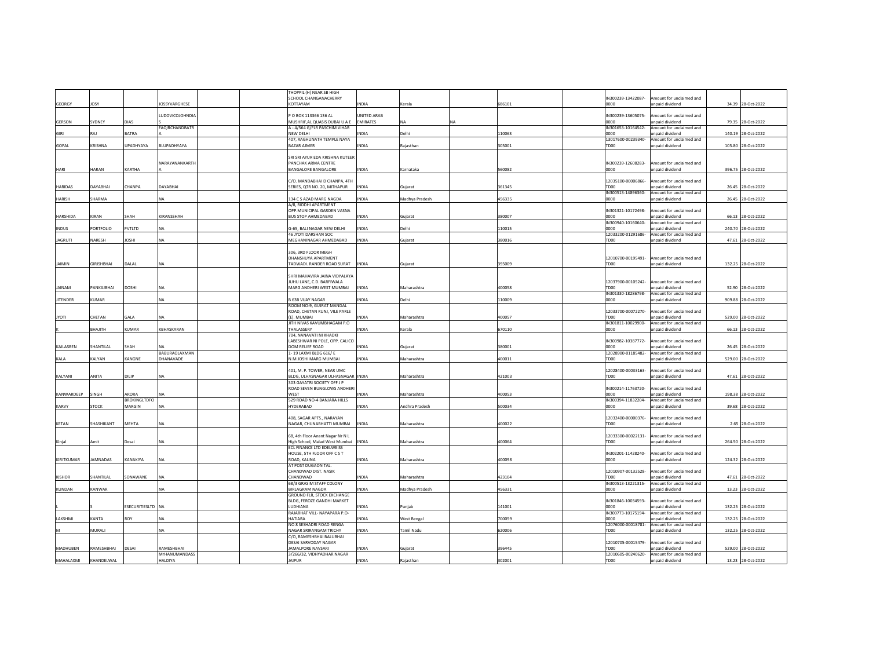|                |                   |                              |                                  |  | THOPPIL (H) NEAR SB HIGH<br>SCHOOL CHANGANACHERRY                          |                    |                |           |        | IN300239-13422087-                     | mount for unclaimed and                     |        |                    |
|----------------|-------------------|------------------------------|----------------------------------|--|----------------------------------------------------------------------------|--------------------|----------------|-----------|--------|----------------------------------------|---------------------------------------------|--------|--------------------|
| GEORGY         | <b>JOSY</b>       |                              | <b>JOSSYVARGHESE</b>             |  | KOTTAYAM                                                                   | <b>INDIA</b>       | Kerala         |           | 686101 | 0000                                   | inpaid dividend                             | 34.39  | 28-Oct-2022        |
|                |                   |                              |                                  |  |                                                                            |                    |                |           |        |                                        |                                             |        |                    |
|                |                   |                              | <b>UDOVICOJOHNDIA</b>            |  | P O BOX 113366 136 AL                                                      | <b>JNITED ARAB</b> |                |           |        | IN300239-13605075-                     | mount for unclaimed and                     |        |                    |
| GERSON         | SYDNEY            | DIAS                         |                                  |  | MUSHRIF, AL QUASIS DUBAI U A E                                             | <b>FMIRATES</b>    | <b>NA</b>      | <b>NA</b> |        | 0000                                   | npaid dividend                              | 79.35  | 28-Oct-2022        |
| GIRI           | RAJ               | <b>BATRA</b>                 | <b>FAQIRCHANDBATR</b>            |  | A - 4/564 G/FLR PASCHIM VIHAR<br><b>NEW DELHI</b>                          | <b>INDIA</b>       | Delhi          |           | 110063 | IN301653-10164542-<br>nnnn             | Amount for unclaimed and<br>npaid dividend  | 140.19 | 28-Oct-2022        |
|                |                   |                              |                                  |  | 407, RAGHUNATH TEMPLE NAYA                                                 |                    |                |           |        | 13017600-00239340-                     | Amount for unclaimed and                    |        |                    |
| GOPAL          | KRISHNA           | <b>UPADHYAYA</b>             | BLUPADHYAYA                      |  | <b>BAZAR AJMER</b>                                                         | <b>INDIA</b>       | Rajasthan      |           | 305001 | TD00                                   | inpaid dividend                             |        | 105.80 28-Oct-2022 |
|                |                   |                              |                                  |  |                                                                            |                    |                |           |        |                                        |                                             |        |                    |
|                |                   |                              |                                  |  | SRI SRI AYUR EDA KRISHNA KUTEER                                            |                    |                |           |        |                                        |                                             |        |                    |
|                | HARAN             | <b>KARTHA</b>                | NARAYANANKARTH                   |  | PANCHAK ARMA CENTRE<br><b>BANGALORE BANGALORE</b>                          | <b>INDIA</b>       | Karnataka      |           | 560082 | IN300239-12608283-<br>0000             | mount for unclaimed and<br>inpaid dividend  |        | 396.75 28-Oct-2022 |
| HARI           |                   |                              |                                  |  |                                                                            |                    |                |           |        |                                        |                                             |        |                    |
|                |                   |                              |                                  |  | C/O. MANDABHAI D CHANPA, 4TH                                               |                    |                |           |        | 12035100-00006866-                     | mount for unclaimed and                     |        |                    |
| <b>HARIDAS</b> | DAYABHAI          | CHANPA                       | DAYABHAI                         |  | SERIES, QTR NO. 20, MITHAPUR                                               | <b>INDIA</b>       | Gujarat        |           | 361345 | TD00                                   | unpaid dividend                             |        | 26.45 28-Oct-2022  |
|                |                   |                              |                                  |  |                                                                            |                    |                |           |        | IN300513-14896360-                     | Amount for unclaimed and                    |        |                    |
| <b>HARISH</b>  | SHARMA            |                              | NA                               |  | 134 C S AZAD MARG NAGDA                                                    | INDIA              | Madhya Pradesh |           | 456335 | 0000                                   | unpaid dividend                             | 26.45  | 28-Oct-2022        |
|                |                   |                              |                                  |  | A/8, RIDDHI APARTMENT<br>OPP.MUNICIPAL GARDEN VASNA                        |                    |                |           |        | IN301321-10172498-                     | mount for unclaimed and                     |        |                    |
| HARSHIDA       | <b>KIRAN</b>      | SHAH                         | KIRANSSHAH                       |  | <b>BUS STOP AHMEDABAD</b>                                                  | <b>INDIA</b>       | Guiarat        |           | 380007 | noon                                   | npaid dividend                              | 66.13  | 28-Oct-2022        |
|                |                   |                              |                                  |  |                                                                            |                    |                |           |        | IN300940-10160640-                     | Amount for unclaimed and                    |        |                    |
| <b>INDUS</b>   | PORTFOLIO         | PVTLTD                       | ΝA                               |  | G-65, BALI NAGAR NEW DELHI                                                 | <b>INDIA</b>       | Delhi          |           | 110015 | 0000                                   | npaid dividend                              |        | 240.70 28-Oct-2022 |
|                |                   |                              |                                  |  | 46 JYOTI DARSHAN SOC                                                       |                    |                |           |        | 12033200-01291686-                     | Amount for unclaimed and                    |        |                    |
| <b>JAGRUTI</b> | NARESH            | <b>JOSHI</b>                 | NA                               |  | MEGHANINAGAR AHMEDABAD                                                     | <b>INDIA</b>       | Gujarat        |           | 380016 | TD00                                   | npaid dividend                              |        | 47.61 28-Oct-2022  |
|                |                   |                              |                                  |  | 306, 3RD FLOOR MEGH                                                        |                    |                |           |        |                                        |                                             |        |                    |
|                |                   |                              |                                  |  | <b>DHANSHUYA APARTMENT</b>                                                 |                    |                |           |        | 12010700-00195491-                     | Amount for unclaimed and                    |        |                    |
| <b>JAIMIN</b>  | <b>GIRISHBHAI</b> | DALAL                        | <b>NA</b>                        |  | TADWADI. RANDER ROAD SURAT INDIA                                           |                    | Guiarat        |           | 395009 | TD00                                   | unpaid dividend                             |        | 132.25 28-Oct-2022 |
|                |                   |                              |                                  |  |                                                                            |                    |                |           |        |                                        |                                             |        |                    |
|                |                   |                              |                                  |  | SHRI MAHAVIRA JAINA VIDYALAYA                                              |                    |                |           |        |                                        |                                             |        |                    |
| JAINAM         | PANKAJBHAI        | <b>DOSHI</b>                 | <b>NA</b>                        |  | JUHU LANE, C.D. BARFIWALA<br>MARG ANDHERI WEST MUMBAI                      | <b>INDIA</b>       | Maharashtra    |           | 400058 | 12037900-00105242-<br>TD <sub>00</sub> | Amount for unclaimed and<br>inpaid dividend | 52.90  | 28-Oct-2022        |
|                |                   |                              |                                  |  |                                                                            |                    |                |           |        | IN301330-18286798-                     | Amount for unclaimed and                    |        |                    |
| JITENDER       | <b>KUMAR</b>      |                              | NA                               |  | <b>B 63B VIJAY NAGAR</b>                                                   | <b>INDIA</b>       | Delhi          |           | 110009 | 0000                                   | unpaid dividend                             | 909.88 | 28-Oct-2022        |
|                |                   |                              |                                  |  | ROOM NO-9, GUJRAT MANDAL                                                   |                    |                |           |        |                                        |                                             |        |                    |
|                |                   |                              |                                  |  | ROAD, CHETAN KUNJ, VILE PARLE                                              |                    |                |           |        | 12033700-00072270-                     | mount for unclaimed and                     |        |                    |
| <b>ITOYL</b>   | CHETAN            | GALA                         | ΝA                               |  | (E), MUMBAI                                                                | <b>INDIA</b>       | Maharashtra    |           | 400057 | TD <sub>00</sub>                       | npaid dividend                              |        | 529.00 28-Oct-2022 |
|                | HTILAHB           | KUMAR                        | KBHASKARAN                       |  | JITH NIVAS KAVUMBHAGAM P.O<br>HALASSERY                                    | NDIA.              | Kerala         |           | 670110 | IN301811-10029900-<br>0000             | Amount for unclaimed and<br>npaid dividend  |        | 66.13 28-Oct-2022  |
|                |                   |                              |                                  |  | 704, NANAVATI NI KHADKI                                                    |                    |                |           |        |                                        |                                             |        |                    |
|                |                   |                              |                                  |  | LABESHWAR NI POLE, OPP. CALICO                                             |                    |                |           |        | IN300982-10387772-                     | Amount for unclaimed and                    |        |                    |
| KAILASBEN      | SHANTILAL         | SHAH                         | <b>NA</b>                        |  | DOM RELIEF ROAD                                                            | <b>INDIA</b>       | Guiarat        |           | 380001 | 0000                                   | inpaid dividend                             | 26.45  | 28-Oct-2022        |
|                |                   |                              | BABURAOLAXMAN                    |  | 1-19 LAXMI BLDG 616/E                                                      |                    |                |           |        | 12028900-01185482-                     | Amount for unclaimed and                    |        |                    |
| KALA           | KALYAN            | KANGNE                       | DHANAVADE                        |  | N.M.JOSHI MARG MUMBAI                                                      | <b>INDIA</b>       | Maharashtra    |           | 400011 | TD00                                   | inpaid dividend                             | 529.00 | 28-Oct-2022        |
|                |                   |                              |                                  |  | 401. M. P. TOWER. NEAR UMC                                                 |                    |                |           |        | 12028400-00033163-                     | mount for unclaimed and                     |        |                    |
| KALYANI        | ANITA             | DILIP                        | <b>NA</b>                        |  | BLDG, ULHASNAGAR ULHASNAGAR INDIA                                          |                    | Maharashtra    |           | 421003 | TD00                                   | unpaid dividend                             | 47.61  | 8-Oct-2022         |
|                |                   |                              |                                  |  | 303 GAYATRI SOCIETY OFF J P                                                |                    |                |           |        |                                        |                                             |        |                    |
|                |                   |                              |                                  |  | ROAD SEVEN BUNGLOWS ANDHERI                                                |                    |                |           |        | IN300214-11763720-                     | mount for unclaimed and                     |        |                    |
| KANWARDEEP     | SINGH             | ARORA<br><b>BROKINGLTDFO</b> | NA                               |  | WEST<br>529 ROAD NO-4 BANJARA HILLS                                        | <b>INDIA</b>       | Maharashtra    |           | 400053 | 0000<br>IN300394-11832204-             | npaid dividend<br>Amount for unclaimed and  |        | 198.38 28-Oct-2022 |
| KARVY          | STOCK             | MARGIN                       | NA                               |  | <b>HYDERABAD</b>                                                           | <b>INDIA</b>       | Andhra Pradesh |           | 500034 | 0000                                   | inpaid dividend                             | 39.68  | 28-Oct-2022        |
|                |                   |                              |                                  |  |                                                                            |                    |                |           |        |                                        |                                             |        |                    |
|                |                   |                              |                                  |  | 408, SAGAR APTS., NARAYAN                                                  |                    |                |           |        | 12032400-00000376-                     | mount for unclaimed and                     |        |                    |
| KETAN          | SHASHIKANT        | MEHTA                        | <b>NA</b>                        |  | NAGAR, CHUNABHATTI MUMBAI                                                  | <b>INDIA</b>       | Maharashtra    |           | 400022 | TD00                                   | npaid dividend                              |        | 2.65 28-Oct-2022   |
|                |                   |                              |                                  |  |                                                                            |                    |                |           |        |                                        |                                             |        |                    |
|                |                   |                              | <b>NA</b>                        |  | 68, 4th Floor Anant Nagar Nr N L<br>High School, Malad West Mumbai   INDIA |                    | Maharashtra    |           |        | 12033300-00022131-                     | Amount for unclaimed and                    |        | 264.50 28-Oct-2022 |
| Kinjal         | Amit              | Desai                        |                                  |  | ECL FINANCE LTD EDELWEISS                                                  |                    |                |           | 400064 | TD00                                   | unpaid dividend                             |        |                    |
|                |                   |                              |                                  |  | HOUSE, 5TH FLOOR OFF C S T                                                 |                    |                |           |        | IN302201-11428240-                     | mount for unclaimed and                     |        |                    |
| KIRITKUMAR     | AMNADAS           | KANAKIYA                     | NA                               |  | ROAD, KALINA                                                               | <b>NDIA</b>        | Maharashtra    |           | 400098 | noon                                   | unpaid dividend                             | 124.32 | 28-Oct-2022        |
|                |                   |                              |                                  |  | AT POST DUGAON TAL.                                                        |                    |                |           |        |                                        |                                             |        |                    |
|                |                   |                              |                                  |  | CHANDWAD DIST, NASIK                                                       |                    |                |           |        | 12010907-00132528-                     | mount for unclaimed and                     |        |                    |
| <b>KISHOR</b>  | SHANTILAL         | SONAWANE                     | <b>NA</b>                        |  | CHANDWAD<br>68/3 GRASIM STAFF COLONY                                       | <b>INDIA</b>       | Maharashtra    |           | 423104 | TD00<br>IN300513-13221315-             | unpaid dividend<br>Amount for unclaimed and |        | 47.61 28-Oct-2022  |
| <b>KUNDAN</b>  | KANWAR            |                              | ΝA                               |  | <b>BIRLAGRAM NAGDA</b>                                                     | <b>NDIA</b>        | Madhya Pradesh |           | 456331 | 0000                                   | inpaid dividend                             |        | 13.23 28-Oct-2022  |
|                |                   |                              |                                  |  | GROUND FLR, STOCK EXCHANGE                                                 |                    |                |           |        |                                        |                                             |        |                    |
|                |                   |                              |                                  |  | BLDG, FEROZE GANDHI MARKET                                                 |                    |                |           |        | IN301846-10034593-                     | mount for unclaimed and                     |        |                    |
|                |                   | ESECURITIESLTD NA            |                                  |  | LUDHIANA                                                                   | INDIA              | Punjab         |           | 141001 | 0000                                   | paid dividend                               |        | 132.25 28-Oct-2022 |
| <b>LAKSHMI</b> | <b>KANTA</b>      | <b>ROY</b>                   | <b>NA</b>                        |  | RAJARHAT VILL- NAYAPARA P.O-<br><b>HATIARA</b>                             | <b>INDIA</b>       |                |           | 700059 | IN300773-10175194-<br>noon             | Amount for unclaimed and<br>nnaid dividend  |        |                    |
|                |                   |                              |                                  |  | NO 8 SESHADRI ROAD RENGA                                                   |                    | West Bengal    |           |        | 12076000-00018781-                     | Amount for unclaimed and                    |        | 132.25 28-Oct-2022 |
|                | MURALI            |                              | <b>NA</b>                        |  | NAGAR SRIRANGAM TRICHY                                                     | <b>INDIA</b>       | Tamil Nadu     |           | 620006 | TD00                                   | unpaid dividend                             |        | 132.25 28-Oct-2022 |
|                |                   |                              |                                  |  | C/O. RAMESHBHAI BALUBHAI                                                   |                    |                |           |        |                                        |                                             |        |                    |
|                |                   |                              |                                  |  | <b>DESAI SARVODAY NAGAR</b>                                                |                    |                |           |        | 12010705-00015479                      | mount for unclaimed and                     |        |                    |
| MADHUBEN       | RAMESHBHAI        | DESAI                        | RAMESHBHAI                       |  | JAMALPORE NAVSARI                                                          | INDIA              | Gujarat        |           | 396445 | TD00                                   | npaid dividend                              | 529.00 | 28-Oct-2022        |
| MAHALAXMI      | KHANDFI WAI       |                              | MrHANUMANDASS<br><b>HAI DIYA</b> |  | 3/266/32, VIDHYADHAR NAGAR<br><b>JAIPUR</b>                                | <b>INDIA</b>       | Raiasthan      |           | 302001 | 12010605-00240620-<br>TDOO             | Amount for unclaimed and<br>unnaid dividend |        |                    |
|                |                   |                              |                                  |  |                                                                            |                    |                |           |        |                                        |                                             |        | 13.23 28-Oct-2022  |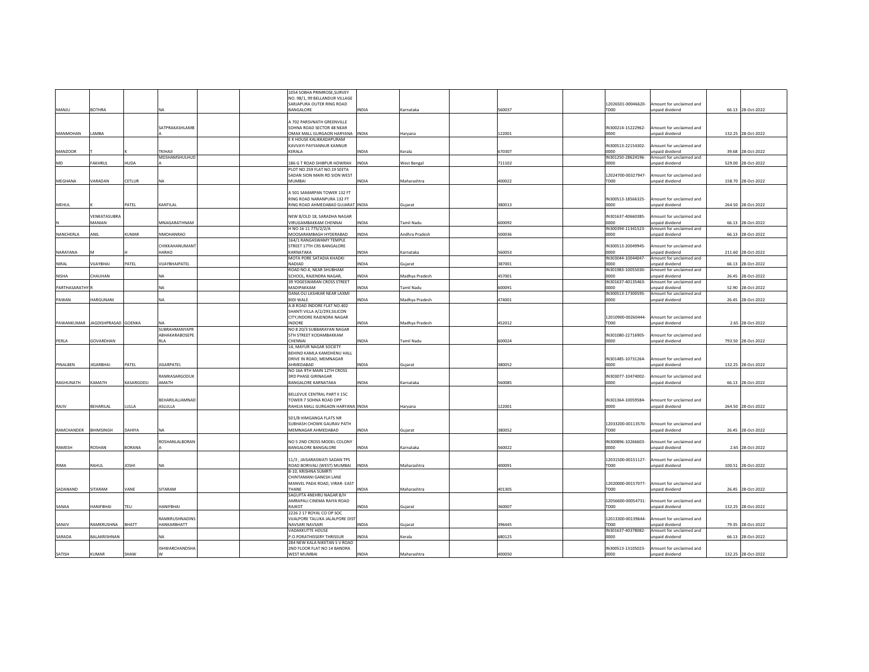|               |                      |                  |                       | 1054 SOBHA PRIMROSE, SURVEY                                 |              |                    |        |                            |                          |                    |
|---------------|----------------------|------------------|-----------------------|-------------------------------------------------------------|--------------|--------------------|--------|----------------------------|--------------------------|--------------------|
|               |                      |                  |                       | NO. 98/1, 99 BELLANDUR VILLAGE                              |              |                    |        |                            |                          |                    |
|               |                      |                  |                       | SARJAPURA OUTER RING ROAD                                   |              |                    |        | 12026501-00046620-         | mount for unclaimed and  |                    |
| MANJU         | <b>BOTHRA</b>        |                  | NA                    | BANGALORE                                                   | <b>INDIA</b> | Karnataka          | 560037 | TD00                       | unpaid dividend          | 66.13 28-Oct-2022  |
|               |                      |                  |                       |                                                             |              |                    |        |                            |                          |                    |
|               |                      |                  |                       | 4 702 PARSVNATH GREENVILLE                                  |              |                    |        |                            |                          |                    |
|               |                      |                  | SATPRAKASHLAMB        | SOHNA ROAD SECTOR 48 NEAR                                   |              |                    |        | IN300214-15222962-         | mount for unclaimed and  |                    |
| MANMOHAN      | LAMBA                |                  |                       | OMAX MALL GURGAON HARYANA  INDIA                            |              | Haryana            | 122001 | 0000                       | unpaid dividend          | 132.25 28-Oct-2022 |
|               |                      |                  |                       | E K HOUSE KALIKKADAPURAM                                    |              |                    |        |                            |                          |                    |
|               |                      |                  |                       | KAVVAYI PAYYANNUR KANNUR                                    |              |                    |        | IN300513-22154302-         | mount for unclaimed and  |                    |
| MANZOOR       |                      |                  | <b>TKIHAJI</b>        | KERALA                                                      | <b>INDIA</b> | Kerala             | 670307 | 0000                       | inpaid dividend          | 39.68 28-Oct-2022  |
|               |                      |                  | MDSHAMSHULHUD         |                                                             |              |                    |        | IN301250-28624196-         | mount for unclaimed and  |                    |
| MD            | FAKHRUL              | <b>AUDA</b>      |                       | 186 G T ROAD SHIBPUR HOWRAH                                 | <b>INDIA</b> | <b>West Bengal</b> | 711102 | noon                       | inpaid dividend          | 529.00 28-Oct-2022 |
|               |                      |                  |                       | PLOT NO 259 FLAT NO.19 SEETA                                |              |                    |        |                            |                          |                    |
|               |                      |                  |                       | SADAN SION MAIN RD SION WEST                                |              |                    |        | 12024700-00327947          | mount for unclaimed and  |                    |
| MEGHANA       | VARADAN              | CETLUR           | NA                    | MUMBAI                                                      | <b>INDIA</b> | Maharashtra        | 400022 | TD00                       | npaid dividend           | 158.70 28-Oct-2022 |
|               |                      |                  |                       |                                                             |              |                    |        |                            |                          |                    |
|               |                      |                  |                       | A 501 SAMARPAN TOWER 132 FT                                 |              |                    |        |                            |                          |                    |
|               |                      |                  |                       |                                                             |              |                    |        | IN300513-18566325-         |                          |                    |
|               |                      |                  |                       | RING ROAD NARANPURA 132 FT                                  |              |                    |        |                            | Amount for unclaimed and |                    |
| MEHUL         |                      | PATEL            | KANTILAL              | RING ROAD AHMEDABAD GUJARAT INDIA                           |              | Gujarat            | 380013 | 0000                       | unpaid dividend          | 264.50 28-Oct-2022 |
|               |                      |                  |                       |                                                             |              |                    |        |                            |                          |                    |
|               | VENKATASUBRA         |                  |                       | NEW 8/OLD 18, SARADHA NAGAR                                 |              |                    |        | IN301637-40660385-         | mount for unclaimed and  |                    |
|               | MANIAN               |                  | MNAGARATHNAM          | <b>VIRUGAMBAKKAM CHENNAL</b>                                | <b>INDIA</b> | <b>Tamil Nadu</b>  | 600092 | 0000                       | npaid dividend           | 66.13 28-Oct-2022  |
|               |                      |                  |                       | H NO 16 11 775/2/2/A                                        |              |                    |        | IN300394-11341523-         | mount for unclaimed and  |                    |
| NANCHERLA     | ANIL                 | <b>CUMAR</b>     | NMOHANRAO             | MOOSARAMBAGH HYDERABAD                                      | <b>INDIA</b> | Andhra Pradesh     | 500036 | 0000                       | unpaid dividend          | 66.13 28-Oct-2022  |
|               |                      |                  |                       | 164/1 RANGASWAMY TEMPLE                                     |              |                    |        |                            |                          |                    |
|               |                      |                  | CHIKKAHANUMANT        | STREET 17TH CRS BANGALORE                                   |              |                    |        | IN300513-20049945-         | Amount for unclaimed and |                    |
| NARAYANA      |                      |                  | HARAO                 | KARNATAKA                                                   | <b>INDIA</b> | Karnataka          | 560053 | 0000                       | inpaid dividend          | 211.60 28-Oct-2022 |
|               |                      |                  |                       | MOTA PORE SATADIA KHADKI                                    |              |                    |        | IN303044-10044047-         | mount for unclaimed and  |                    |
| NIRAL         | <b>JUAYBHAI</b>      | ATEL             | VIJAYBHAIPATEL        | <b>NADIAD</b>                                               | <b>INDIA</b> | Gujarat            | 387001 | noon                       | npaid dividend           | 66.13 28-Oct-2022  |
|               |                      |                  |                       | ROAD NO.4, NEAR SHUBHAM                                     |              |                    |        | IN301983-10055030-         | mount for unclaimed and  |                    |
| <b>NISHA</b>  | <b>HAUHAN</b>        |                  |                       | SCHOOL, RAJENDRA NAGAR.                                     | <b>INDIA</b> | Madhya Pradesh     | 457001 | noon                       | npaid dividend           | 26.45 28-Oct-2022  |
|               |                      |                  |                       | 39 YOGESWARAN CROSS STREET                                  |              |                    |        | IN301637-40135463-         | mount for unclaimed and  |                    |
| PARTHASARATHY |                      |                  | <b>NA</b>             | MADIPAKKAM                                                  | <b>INDIA</b> | <b>Tamil Nadu</b>  | 600091 | 0000                       | npaid dividend           | 52.90 28-Oct-2022  |
|               |                      |                  |                       | DANA OLI LASHKAR NEAR LAXMI                                 |              |                    |        | IN300513-17300595-         | mount for unclaimed and  |                    |
| PAWAN         | HARGUNANI            |                  | <b>NA</b>             | <b>BIDI WALE</b>                                            | <b>INDIA</b> | Madhya Pradesh     | 474001 | 0000                       | npaid dividend           | 26.45 28-Oct-2022  |
|               |                      |                  |                       | A.B ROAD INDORE FLAT NO.402                                 |              |                    |        |                            |                          |                    |
|               |                      |                  |                       |                                                             |              |                    |        |                            |                          |                    |
|               |                      |                  |                       | SHANTI VILLA A/2/293, SILICON<br>CITY INDORF RAIFNDRA NAGAR |              |                    |        |                            |                          |                    |
|               |                      |                  |                       | <b>INDORF</b>                                               |              |                    |        | 12010900-00260444-<br>TD00 | Amount for unclaimed and |                    |
| PAWANKUMAR    | JAGDISHPRASAD GOENKA |                  |                       |                                                             | <b>INDIA</b> | Madhya Pradesh     | 452012 |                            | unpaid dividend          | 2.65 28-Oct-2022   |
|               |                      |                  | SUBRAHMANYAPR         | NO 8 20/3 SUBBARAYAN NAGAR                                  |              |                    |        |                            |                          |                    |
|               |                      |                  | ABHAKARABOSEPE        | <b>5TH STREET KODAMBAKKAM</b>                               |              |                    |        | IN301080-22716905-         | mount for unclaimed and  |                    |
| PERLA         | GOVARDHAN            |                  | <b>RLA</b>            | CHENNAL                                                     | <b>INDIA</b> | <b>Tamil Nadu</b>  | 600024 | 0000                       | npaid dividend           | 793.50 28-Oct-2022 |
|               |                      |                  |                       | 14, MAYUR NAGAR SOCIETY                                     |              |                    |        |                            |                          |                    |
|               |                      |                  |                       | BEHIND KAMLA KAMDHENU HALL                                  |              |                    |        |                            |                          |                    |
|               |                      |                  |                       | DRIVE IN ROAD, MEMNAGAR                                     |              |                    |        | IN301485-10731264-         | Amount for unclaimed and |                    |
| PINALBEN      | <b>IIGARBHAI</b>     | PATEL            | <b>IIGARPATEL</b>     | AHMEDABAD                                                   | <b>INDIA</b> | Gujarat            | 380052 | 0000                       | unpaid dividend          | 132.25 28-Oct-2022 |
|               |                      |                  |                       | NO 16A 9TH MAIN 12TH CROSS                                  |              |                    |        |                            |                          |                    |
|               |                      |                  | RAMKASARGODUK         | <b>3RD PHASE GIRINAGAR</b>                                  |              |                    |        | IN303077-10474002-         | mount for unclaimed and  |                    |
| RAGHUNATH     | KAMATH               | <b>CASARGODU</b> | AMATH                 | BANGALORE KARNATAKA                                         | <b>INDIA</b> | Karnataka          | 560085 | 0000                       | inpaid dividend          | 66.13 28-Oct-2022  |
|               |                      |                  |                       |                                                             |              |                    |        |                            |                          |                    |
|               |                      |                  |                       | BELLEVUE CENTRAL PART II 15C                                |              |                    |        |                            |                          |                    |
|               |                      |                  | BEHARILALJAMNAD       | TOWER 7 SOHNA ROAD OPP                                      |              |                    |        | IN301364-10059584-         | Amount for unclaimed and |                    |
| RAJIV         | BEHARILAL            | LULLA            | ASLULLA               | RAHEJA MALL GURGAON HARYANA INDIA                           |              | Harvana            | 122001 | 0000                       | unpaid dividend          | 264.50 28-Oct-2022 |
|               |                      |                  |                       |                                                             |              |                    |        |                            |                          |                    |
|               |                      |                  |                       | 501/B HIMGANGA FLATS NR                                     |              |                    |        |                            |                          |                    |
|               |                      |                  |                       | SUBHASH CHOWK GAURAV PATH                                   |              |                    |        | 12033200-00113570-         | Amount for unclaimed and |                    |
| RAMCHANDER    | <b>BHIMSINGH</b>     | DAHIYA           |                       | MEMNAGAR AHMEDABAD                                          | <b>INDIA</b> | Guiarat            | 380052 | TD00                       | unpaid dividend          | 26.45 28-Oct-2022  |
|               |                      |                  |                       |                                                             |              |                    |        |                            |                          |                    |
|               |                      |                  | ROSHANLALBORAN        | NO 5 2ND CROSS MODEL COLONY                                 |              |                    |        |                            | mount for unclaimed and  |                    |
|               |                      |                  |                       |                                                             |              |                    |        | IN300896-10266603-         |                          |                    |
| RAMESH        | ROSHAN               | BORANA           |                       | <b>BANGALORE BANGALORE</b>                                  | <b>INDIA</b> | Karnataka          | 560022 | 0000                       | unpaid dividend          | 2.65 28-Oct-2022   |
|               |                      |                  |                       |                                                             |              |                    |        |                            |                          |                    |
|               |                      |                  |                       | 11/3, JAISARASWATI SADAN TPS                                |              |                    |        | 12031500-00151127-         | Amount for unclaimed and |                    |
| RIMA          | RAHUL                | <b>IHZOI</b>     |                       | ROAD BORIVALI (WEST) MUMBAI                                 | <b>INDIA</b> | Maharashtra        | 400091 | TD00                       | unpaid dividend          | 100.51 28-Oct-2022 |
|               |                      |                  |                       | B-10, KRISHNA SUMRTI                                        |              |                    |        |                            |                          |                    |
|               |                      |                  |                       | CHINTAMANI GANESH LANE                                      |              |                    |        |                            |                          |                    |
|               |                      |                  |                       | MANVEL PADA ROAD, VIRAR- EAST                               |              |                    |        | 12020000-00157077-         | Amount for unclaimed and |                    |
| SADANAND      | <b>SITARAM</b>       | VANE             | SITARAM               | THANF                                                       | INDIA        | Maharashtra        | 401305 | TD00                       | inpaid dividend          | 26.45 28-Oct-2022  |
|               |                      |                  |                       | SAGUFTA 4NEHRU NAGAR B/H                                    |              |                    |        |                            |                          |                    |
|               |                      |                  |                       | AMRAPALI CINEMA RAIYA ROAD                                  |              |                    |        | 12056600-00054731-         | Amount for unclaimed and |                    |
| SANAA         | <b>HANIFBHAI</b>     | TELI             | <b>HANIFBHAI</b>      | RAJKOT                                                      | <b>INDIA</b> | Guiarat            | 360007 | TDOO                       | npaid dividend           | 132.25 28-Oct-2022 |
|               |                      |                  |                       | 2226 2 17 ROYAL CO OP SOC                                   |              |                    |        |                            |                          |                    |
|               |                      |                  | RAMKRUSHNADINS        | VIJALPORE TALUKA JALALPORE DIST                             |              |                    |        | 12013300-00139644-         | mount for unclaimed and  |                    |
| SANJIV        | RAMKRUSHNA           | BHATT            | HANKARBHATT           | NAVSARI NAVSARI                                             | <b>INDIA</b> | Gujarat            | 396445 | TD <sub>00</sub>           | unpaid dividend          | 79.35 28-Oct-2022  |
|               |                      |                  |                       | <b>VADAKKUTTE HOUSE</b>                                     |              |                    |        | IN301637-40378082-         | mount for unclaimed and  |                    |
| SARADA        | BALAKRISHNAN         |                  |                       | P.O.PORATHISSERY THRISSUR                                   | <b>INDIA</b> | Kerala             | 680125 | noon                       | unpaid dividend          | 66.13 28-Oct-2022  |
|               |                      |                  |                       | 284 NEW KALA NIKETAN S V ROAD                               |              |                    |        |                            |                          |                    |
|               |                      |                  | <b>ISHWARCHANDSHA</b> | 2ND FLOOR FLAT NO 14 BANDRA                                 |              |                    |        | IN300513-13105023-         | mount for unclaimed and  |                    |
| SATISH        | KUMAR                | SHAW             |                       | WEST MUMBAL                                                 | INDIA        | Maharashtra        | 400050 | noon                       | Innaid dividend          | 132.25 28-Oct-2022 |
|               |                      |                  |                       |                                                             |              |                    |        |                            |                          |                    |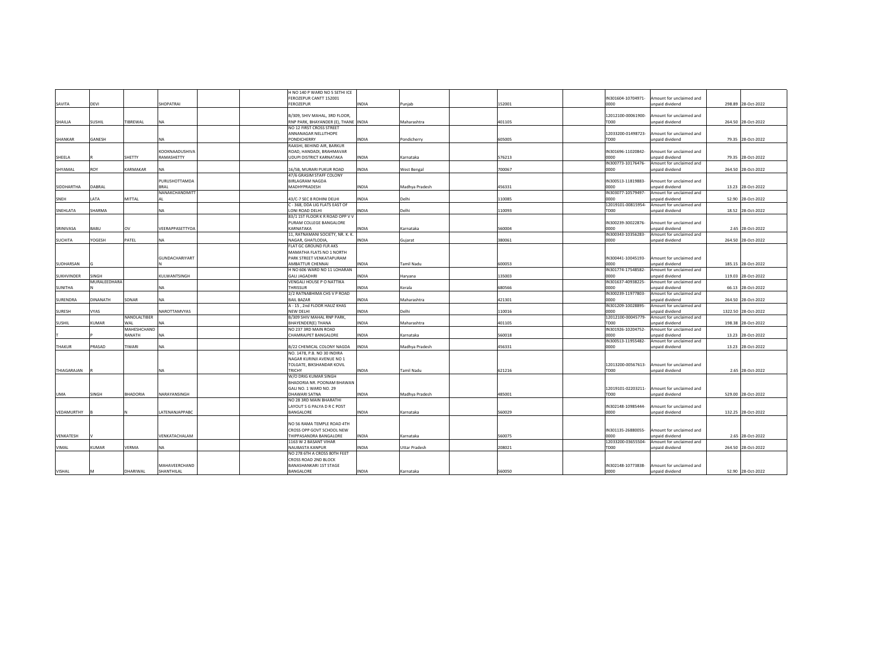|                   |                 |                 |                       | H NO 140 P WARD NO 5 SETHI ICE       |              |                      |        |                    |                          |                     |
|-------------------|-----------------|-----------------|-----------------------|--------------------------------------|--------------|----------------------|--------|--------------------|--------------------------|---------------------|
|                   |                 |                 |                       | FEROZEPUR CANTT 152001               |              |                      |        | IN301604-10704971- | Amount for unclaimed and |                     |
| SAVITA            | DEVI            |                 | SHOPATRAI             | <b>FEROZEPUR</b>                     | <b>INDIA</b> | Punjab               | 152001 | 0000               | inpaid dividend          | 298.89 28-Oct-2022  |
|                   |                 |                 |                       |                                      |              |                      |        |                    |                          |                     |
|                   |                 |                 |                       | B/309, SHIV MAHAL, 3RD FLOOR         |              |                      |        | 12012100-00061900- | mount for unclaimed and  |                     |
| SHAILIA           | <b>SUSHIL</b>   | TIBREWAL        | NA                    | RNP PARK, BHAYANDER (E), THANE INDIA |              | Maharashtra          | 401105 | TD <sub>00</sub>   | unpaid dividend          | 264.50 28-Oct-2022  |
|                   |                 |                 |                       | NO 12 FIRST CROSS STREET             |              |                      |        |                    |                          |                     |
|                   |                 |                 |                       | ANNANAGAR NELLITHOPE                 |              |                      |        | 12033200-01498723  | Amount for unclaimed and |                     |
|                   |                 |                 |                       |                                      |              |                      |        |                    |                          |                     |
| SHANKAR           | GANESH          |                 | <b>NA</b>             | PONDICHERRY                          | <b>INDIA</b> | Pondicherry          | 605005 | TD00               | unpaid dividend          | 79.35 28-Oct-2022   |
|                   |                 |                 |                       | RAASHI, BEHIND AIR, BARKUR           |              |                      |        |                    |                          |                     |
|                   |                 |                 | KOOKNAADUSHIVA        | ROAD, HANDADI, BRAHMAVAR             |              |                      |        | IN301696-11020842- | Amount for unclaimed and |                     |
| SHEELA            |                 | SHETTY          | RAMASHETTY            | <b>UDUPI DISTRICT KARNATAKA</b>      | <b>INDIA</b> | Karnataka            | 576213 | 0000               | unpaid dividend          | 79.35 28-Oct-2022   |
|                   |                 |                 |                       |                                      |              |                      |        | IN300773-10176476- | Amount for unclaimed and |                     |
| SHYAMAL           | ROY             | KARMAKAR        | <b>NA</b>             | 16/5B, MURARI PUKUR ROAD             | INDIA        | West Bengal          | 700067 | 0000               | unpaid dividend          | 264.50 28-Oct-2022  |
|                   |                 |                 |                       | 47/6 GRASIM STAFF COLONY             |              |                      |        |                    |                          |                     |
|                   |                 |                 |                       |                                      |              |                      |        |                    |                          |                     |
|                   |                 |                 | PURUSHOTTAMDA         | <b>BIRLAGRAM NAGDA</b>               |              |                      |        | IN300513-11819883- | Amount for unclaimed and |                     |
| SIDDHARTHA        | DABRAL          |                 | <b>BRAL</b>           | MADHYPRADESH                         | <b>INDIA</b> | Madhya Pradesh       | 456331 | 0000               | unpaid dividend          | 13.23 28-Oct-2022   |
|                   |                 |                 | NANAKCHANDMITT        |                                      |              |                      |        | IN303077-10579497- | Amount for unclaimed and |                     |
| SNEH              | LATA            | <b>MITTAL</b>   | AL                    | 43/C-7 SEC 8 ROHINI DELHI            | <b>INDIA</b> | Delhi                | 110085 | 0000               | unpaid dividend          | 52.90 28-Oct-2022   |
|                   |                 |                 |                       | C - 368, DDA LIG FLATS EAST OF       |              |                      |        | 12019101-00815954- | Amount for unclaimed and |                     |
| SNEHLATA          | SHARMA          |                 | <b>NA</b>             | LONI ROAD DELHI                      | <b>INDIA</b> | Delhi                | 110093 | TD00               | unpaid dividend          | 18.52 28-Oct-2022   |
|                   |                 |                 |                       |                                      |              |                      |        |                    |                          |                     |
|                   |                 |                 |                       | 83/1 1ST FLOOR K R ROAD OPP V V      |              |                      |        |                    |                          |                     |
|                   |                 |                 |                       | PURAM COLLEGE BANGALORE              |              |                      |        | IN300239-30022876- | Amount for unclaimed and |                     |
| SRINIVASA         | BABU            | OV              | VEERAPPASETTYOA       | KARNATAKA                            | INDIA        | Karnataka            | 560004 | 0000               | unpaid dividend          | 2.65 28-Oct-2022    |
|                   |                 |                 |                       | 11, RATNAMANI SOCIETY, NR. K. K.     |              |                      |        | IN300343-10356283- | Amount for unclaimed and |                     |
| <b>SUCHITA</b>    | YOGESH          | PATEL           | <b>NA</b>             | NAGAR, GHATLODIA,                    | <b>INDIA</b> | Gujarat              | 380061 | 0000               | unpaid dividend          | 264.50 28-Oct-2022  |
|                   |                 |                 |                       | FLAT GC GROUND FLR AKS               |              |                      |        |                    |                          |                     |
|                   |                 |                 |                       | MAMATHA FLATS NO 1 NORTH             |              |                      |        |                    |                          |                     |
|                   |                 |                 | <b>GUNDACHARIYART</b> | PARK STREET VENKATAPURAM             |              |                      |        | IN300441-10045193- | Amount for unclaimed and |                     |
|                   |                 |                 |                       |                                      |              |                      |        |                    |                          |                     |
| SUDHARSAN         |                 |                 |                       | AMBATTUR CHENNAI                     | INDIA        | <b>Tamil Nadu</b>    | 600053 | noon               | inpaid dividend          | 185.15 28-Oct-2022  |
|                   |                 |                 |                       | H NO 606 WARD NO 11 LOHARAN          |              |                      |        | IN301774-17548582- | Amount for unclaimed and |                     |
| <b>SUKHVINDER</b> | SINGH           |                 | KULWANTSINGH          | <b>GALI JAGADHRI</b>                 | <b>INDIA</b> | Haryana              | 135003 | 0000               | unpaid dividend          | 119.03 28-Oct-2022  |
|                   | MURALEEDHARA    |                 |                       | VENGALI HOUSE P O NATTIKA            |              |                      |        | IN301637-40938225- | Amount for unclaimed and |                     |
| <b>SUNITHA</b>    |                 |                 | NA                    | THRISSUR                             | <b>INDIA</b> | Kerala               | 680566 | 0000               | unpaid dividend          | 66.13 28-Oct-2022   |
|                   |                 |                 |                       | 2/2 RATNABHIMA CHS V P ROAD          |              |                      |        | IN300239-11977803- | Amount for unclaimed and |                     |
| SURENDRA          | <b>DINANATH</b> | SONAR           | <b>NA</b>             | <b>BAIL BAZAR</b>                    | <b>INDIA</b> | Maharashtra          | 421301 | 0000               | inpaid dividend          | 264.50 28-Oct-2022  |
|                   |                 |                 |                       |                                      |              |                      |        |                    |                          |                     |
|                   |                 |                 |                       | A - 15, 2nd FLOOR HAUZ KHAS          |              |                      |        | IN301209-10028895- | Amount for unclaimed and |                     |
| <b>SURESH</b>     | <b>VYAS</b>     |                 | NAROTTAMVYAS          | <b>NEW DELHI</b>                     | <b>INDIA</b> | Delhi                | 110016 | noon               | unpaid dividend          | 1322.50 28-Oct-2022 |
|                   |                 | NANDLALTIBER    |                       | B/309 SHIV MAHAL RNP PARK,           |              |                      |        | 12012100-00045779- | Amount for unclaimed and |                     |
| <b>SUSHIL</b>     | <b>KUMAR</b>    | WAI             | NA                    | <b>BHAYENDER(E) THANA</b>            | <b>INDIA</b> | Maharashtra          | 401105 | <b>TDOO</b>        | inpaid dividend          | 198.38 28-Oct-2022  |
|                   |                 | MAHESHCHAND     |                       | NO 237 3RD MAIN ROAD                 |              |                      |        | IN301926-10204752- | Amount for unclaimed and |                     |
|                   |                 | RANATH          | <b>NA</b>             | CHAMRAJPET BANGALORE                 | <b>INDIA</b> | Karnataka            | 560018 | noon               | unpaid dividend          | 13.23 28-Oct-2022   |
|                   |                 |                 |                       |                                      |              |                      |        | IN300513-11955482- | Amount for unclaimed and |                     |
| THAKUR            | PRASAD          | TIWARI          | NA                    | B/22 CHEMICAL COLONY NAGDA           | <b>INDIA</b> | Madhya Pradesh       | 456331 | 0000               | unpaid dividend          | 13.23 28-Oct-2022   |
|                   |                 |                 |                       |                                      |              |                      |        |                    |                          |                     |
|                   |                 |                 |                       | NO. 1478, P.B. NO 30 INDIRA          |              |                      |        |                    |                          |                     |
|                   |                 |                 |                       | NAGAR KURINJI AVENUE NO 1            |              |                      |        |                    |                          |                     |
|                   |                 |                 |                       | TOLGATE, BIKSHANDAR KOVIL            |              |                      |        | 12013200-00567613  | Amount for unclaimed and |                     |
| THIAGARAJAN       |                 |                 | <b>NA</b>             | TRICHY                               | <b>INDIA</b> | Tamil Nadu           | 621216 | TD00               | unpaid dividend          | 2.65 28-Oct-2022    |
|                   |                 |                 |                       | W/O DRIG KUMAR SINGH                 |              |                      |        |                    |                          |                     |
|                   |                 |                 |                       | BHADORIA NR, POONAM BHAWAN           |              |                      |        |                    |                          |                     |
|                   |                 |                 |                       | GALI NO. 1 WARD NO. 29               |              |                      |        | 12019101-02203211- | Amount for unclaimed and |                     |
|                   |                 |                 |                       |                                      |              |                      |        |                    |                          |                     |
| UMA               | SINGH           | <b>BHADORIA</b> | NARAYANSINGH          | DHAWARI SATNA                        | <b>INDIA</b> | Madhya Pradesh       | 485001 | TD00               | unpaid dividend          | 529.00 28-Oct-2022  |
|                   |                 |                 |                       | NO 28 3RD MAIN BHARATHI              |              |                      |        |                    |                          |                     |
|                   |                 |                 |                       | LAYOUT S G PALYA D R C POST          |              |                      |        | IN302148-10985444- | Amount for unclaimed and |                     |
| VEDAMURTHY        |                 |                 | LATENANJAPPABC        | BANGALORE                            | <b>INDIA</b> | Karnataka            | 560029 | 0000               | unpaid dividend          | 132.25 28-Oct-2022  |
|                   |                 |                 |                       |                                      |              |                      |        |                    |                          |                     |
|                   |                 |                 |                       | NO 56 RAMA TEMPLE ROAD 4TH           |              |                      |        |                    |                          |                     |
|                   |                 |                 |                       | CROSS OPP GOVT SCHOOL NEW            |              |                      |        | IN301135-26880055- | Amount for unclaimed and |                     |
| VENKATESH         |                 |                 | VENKATACHALAM         | THIPPASANDRA BANGALORE               | <b>INDIA</b> | Karnataka            | 560075 | 0000               | unpaid dividend          | 2.65 28-Oct-2022    |
|                   |                 |                 |                       |                                      |              |                      |        |                    |                          |                     |
|                   |                 |                 |                       | 1163 W 2 BASANT VIHAR                |              |                      |        | 12033200-03655504- | Amount for unclaimed and |                     |
| VIMAL             | <b>KUMAR</b>    | VERMA           | NA                    | <b>NAUBASTA KANPUR</b>               | INDIA        | <b>Uttar Pradesh</b> | 208021 | TD00               | unpaid dividend          | 264.50 28-Oct-2022  |
|                   |                 |                 |                       | NO 278 6TH A CROSS 80TH FEET         |              |                      |        |                    |                          |                     |
|                   |                 |                 |                       | CROSS ROAD 2ND BLOCK                 |              |                      |        |                    |                          |                     |
|                   |                 |                 | MAHAVEERCHAND         | <b>BANASHANKARI 1ST STAGE</b>        |              |                      |        | IN302148-10773838- | Amount for unclaimed and |                     |
| VISHAL            | M               | DHARIWAL        | SHANTHILAL            | BANGALORE                            | <b>INDIA</b> | Karnataka            | 560050 | 0000               | unpaid dividend          | 52.90 28-Oct-2022   |
|                   |                 |                 |                       |                                      |              |                      |        |                    |                          |                     |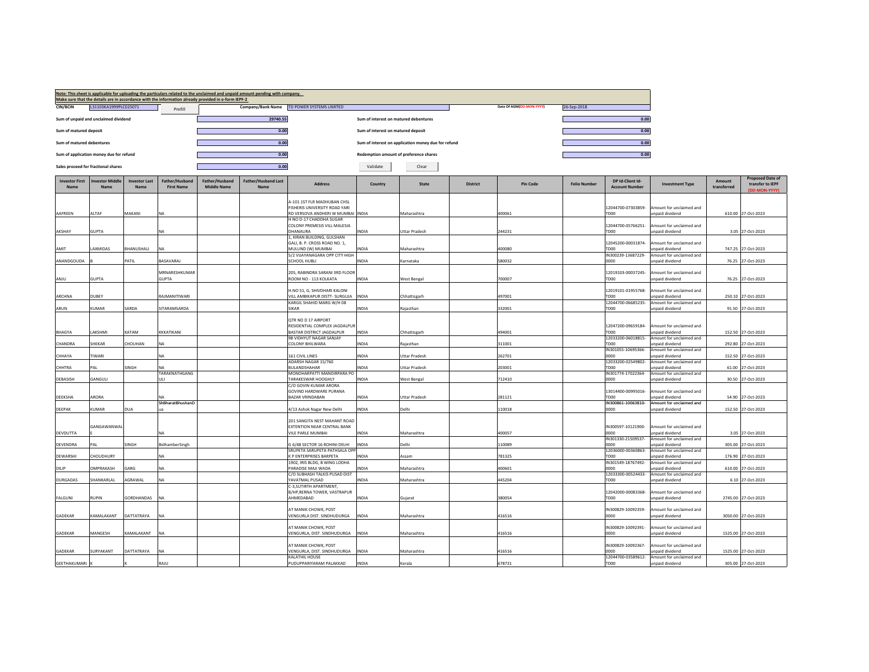|                               |                                         |                              |                                     | Make sure that the details are in accordance with the information already provided in e-form IEPF-2 | Note: This sheet is applicable for uploading the particulars related to the unclaimed and unpaid amount pending with company. |                                                                    |                                        |                                                     |                 |                          |                     |                                           |                                             |                       |                                                              |
|-------------------------------|-----------------------------------------|------------------------------|-------------------------------------|-----------------------------------------------------------------------------------------------------|-------------------------------------------------------------------------------------------------------------------------------|--------------------------------------------------------------------|----------------------------------------|-----------------------------------------------------|-----------------|--------------------------|---------------------|-------------------------------------------|---------------------------------------------|-----------------------|--------------------------------------------------------------|
| <b>CIN/BCIN</b>               | L31103KA1999PLC025071                   |                              | Prefill                             |                                                                                                     |                                                                                                                               | Company/Bank Name TD POWER SYSTEMS LIMITED                         |                                        |                                                     |                 | Date Of AGM(DD-MON-YYYY) | 26-Sep-2018         |                                           |                                             |                       |                                                              |
|                               | Sum of unpaid and unclaimed dividend    |                              |                                     |                                                                                                     | 29740.55                                                                                                                      |                                                                    | Sum of interest on matured debentures  |                                                     |                 |                          |                     | 0.00                                      |                                             |                       |                                                              |
| Sum of matured deposit        |                                         |                              |                                     |                                                                                                     | 0.00                                                                                                                          |                                                                    | Sum of interest on matured deposit     |                                                     |                 |                          |                     | 0.00                                      |                                             |                       |                                                              |
| Sum of matured debentures     |                                         |                              |                                     |                                                                                                     | 0.00                                                                                                                          |                                                                    |                                        | Sum of interest on application money due for refund |                 |                          |                     | 0.00                                      |                                             |                       |                                                              |
|                               | Sum of application money due for refund |                              |                                     |                                                                                                     | 0.00                                                                                                                          |                                                                    | Redemption amount of preference shares |                                                     |                 |                          |                     | 0.00                                      |                                             |                       |                                                              |
|                               | Sales proceed for fractional shares     |                              |                                     |                                                                                                     | 0.00                                                                                                                          |                                                                    | Validate                               | Clear                                               |                 |                          |                     |                                           |                                             |                       |                                                              |
| <b>Investor First</b><br>Name | nvestor Middle<br>Name                  | <b>Investor Last</b><br>Name | Father/Husband<br><b>First Name</b> | Father/Husband<br><b>Middle Name</b>                                                                | <b>Father/Husband Last</b><br><b>Name</b>                                                                                     | <b>Address</b>                                                     | Country                                | State                                               | <b>District</b> | <b>Pin Code</b>          | <b>Folio Number</b> | DP Id-Client Id-<br><b>Account Number</b> | <b>Investment Type</b>                      | Amount<br>transferred | <b>Proposed Date of</b><br>transfer to IEPF<br>(DD-MON-YYYY) |
|                               |                                         |                              |                                     |                                                                                                     |                                                                                                                               | 4-101 1ST FLR MADHUBAN CHSL                                        |                                        |                                                     |                 |                          |                     |                                           |                                             |                       |                                                              |
| AAFREEN                       | AI TAF                                  | MAKANI                       | NA                                  |                                                                                                     |                                                                                                                               | FISHERIS UNIVERSITY ROAD YARI<br>RD VERSOVA ANDHERI W MUMBAI INDIA |                                        | Maharashtra                                         |                 | 400061                   |                     | 12044700-07303859-<br>TDOO                | mount for unclaimed and<br>hnabivib hison   |                       | 610.00 27-Oct-2023                                           |
|                               |                                         |                              |                                     |                                                                                                     |                                                                                                                               | H NO D-17 CHADDHA SUGAR<br>COLONY PREMESIS VILL MALESIA            |                                        |                                                     |                 |                          |                     | 12044700-05766251-                        | mount for unclaimed and                     |                       |                                                              |
| AKSHAY                        | <b>GUPTA</b>                            |                              | NA                                  |                                                                                                     |                                                                                                                               | DHANAURA                                                           | <b>NDIA</b>                            | <b>Uttar Pradesh</b>                                |                 | 244231                   |                     | TD00                                      | unpaid dividend                             |                       | 3.05 27-Oct-2023                                             |
|                               |                                         |                              |                                     |                                                                                                     |                                                                                                                               | , KIRAN BUILDING, GULSHAN<br>GALI, B. P. CROSS ROAD NO. 1,         |                                        |                                                     |                 |                          |                     | 12045200-00031874-                        | mount for unclaimed and                     |                       |                                                              |
| AMIT                          | LAXMIDAS                                | BHANUSHALI                   | NA                                  |                                                                                                     |                                                                                                                               | MULUND (W) MUMBAI<br>5/2 VUAYANAGARA OPP CITY HIGH                 | <b>INDIA</b>                           | Maharashtra                                         |                 | 400080                   |                     | TDOO<br>IN300239-13687229-                | unpaid dividend<br>Amount for unclaimed and |                       | 747.25 27-Oct-2023                                           |
| ANANDGOUDA                    |                                         | PATIL                        | BASAVARAJ                           |                                                                                                     |                                                                                                                               | SCHOOL HUBLI                                                       | <b>INDIA</b>                           | Karnataka                                           |                 | 580032                   |                     | 0000                                      | unpaid dividend                             |                       | 76.25 27-Oct-2023                                            |
|                               |                                         |                              | MRNARESHKUMAR                       |                                                                                                     |                                                                                                                               | 205, RABINDRA SARANI 3RD FLOOR                                     |                                        |                                                     |                 |                          |                     | 12019103-00037245-                        | mount for unclaimed and                     |                       |                                                              |
| ANJU                          | <b>GUPTA</b>                            |                              | <b>GUPTA</b>                        |                                                                                                     |                                                                                                                               | ROOM NO - 113 KOLKATA                                              | INDIA                                  | <b>West Bengal</b>                                  |                 | 700007                   |                     | TD00                                      | npaid dividend                              |                       | 76.25 27-Oct-2023                                            |
|                               |                                         |                              |                                     |                                                                                                     |                                                                                                                               | H.NO 51. G. SHIVDHARI KALONI                                       |                                        |                                                     |                 |                          |                     | 12019101-01955768                         | Amount for unclaimed and                    |                       |                                                              |
| ARCHNA                        | DUBEY                                   |                              | RAJMANITIWARI                       |                                                                                                     |                                                                                                                               | VILL AMBIKAPUR DISTT- SURGUJA<br>KARGIL SHAHID MARG W/H 08         | <b>INDIA</b>                           | Chhattisgarh                                        |                 | 497001                   |                     | TD00<br>12044700-06685235-                | unpaid dividend<br>Amount for unclaimed and |                       | 250.10 27-Oct-2023                                           |
| ARUN                          | KUMAR                                   | SARDA                        | SITARAMSARDA                        |                                                                                                     |                                                                                                                               | <b>SIKAR</b>                                                       | INDIA                                  | Rajasthan                                           |                 | 332001                   |                     | TD00                                      | npaid dividend                              |                       | 91.50 27-Oct-2023                                            |
|                               |                                         |                              |                                     |                                                                                                     |                                                                                                                               | QTR NO D 17 AIRPORT                                                |                                        |                                                     |                 |                          |                     |                                           |                                             |                       |                                                              |
| <b>BHAGYA</b>                 | LAKSHMI                                 | KATAM                        | KKKATIKANI                          |                                                                                                     |                                                                                                                               | RESIDENTIAL COMPLEX JAGDALPUR<br>BASTAR DISTRICT JAGDALPUR         | INDIA                                  | Chhattisgarh                                        |                 | 494001                   |                     | 12047200-09659184-<br>TD00                | Amount for unclaimed and<br>unpaid dividend |                       | 152.50 27-Oct-2023                                           |
| CHANDRA                       | SHEKAR                                  | CHOUHAN                      | ΝA                                  |                                                                                                     |                                                                                                                               | 98 VIDHYUT NAGAR SANJAY<br>COLONY BHILWARA                         | <b>INDIA</b>                           | Rajasthan                                           |                 | 311001                   |                     | 12033200-06018815-<br>TD <sub>00</sub>    | Amount for unclaimed and<br>npaid dividend  |                       | 292.80 27-Oct-2023                                           |
|                               |                                         |                              |                                     |                                                                                                     |                                                                                                                               |                                                                    |                                        |                                                     |                 |                          |                     | IN301055-10695366-                        | Amount for unclaimed and                    |                       |                                                              |
| CHHAYA                        | TIWARI                                  |                              | <b>NA</b>                           |                                                                                                     |                                                                                                                               | 161 CIVIL LINES<br>ADARSH NAGAR 15/760                             | <b>INDIA</b>                           | <b>Uttar Pradesh</b>                                |                 | 262701                   |                     | oooo<br>12033200-02549802-                | npaid dividend<br>Amount for unclaimed and  |                       | 152.50 27-Oct-2023                                           |
| CHHTRA                        | PAI                                     | SINGH                        | NΔ<br>TARAKNATHGANG                 |                                                                                                     |                                                                                                                               | BULANDSHAHAR<br>MONOHARPATTI MANDIRPARA PO                         | <b>INDIA</b>                           | Uttar Pradesh                                       |                 | 203001                   |                     | TD <sub>00</sub><br>IN301774-17022364-    | npaid dividend<br>Amount for unclaimed and  |                       | 61.00 27-Oct-2023                                            |
| DEBASISH                      | GANGULI                                 |                              | ULI                                 |                                                                                                     |                                                                                                                               | TARAKESWAR HOOGHLY                                                 | <b>INDIA</b>                           | <b>West Bengal</b>                                  |                 | 712410                   |                     | 0000                                      | npaid dividend                              |                       | 30.50 27-Oct-2023                                            |
|                               |                                         |                              |                                     |                                                                                                     |                                                                                                                               | C/O GOVIN KUMAR ARORA<br>GOVIND HARDWARE PURANA                    |                                        |                                                     |                 |                          |                     | 13014400-00995016-                        | mount for unclaimed and                     |                       |                                                              |
| <b>DEEKSHA</b>                | ARORA                                   |                              |                                     |                                                                                                     |                                                                                                                               | BAZAR VRINDABAN                                                    | INDIA                                  | Uttar Pradesh                                       |                 | 281121                   |                     | TD00                                      | npaid dividend                              |                       | 54.90 27-Oct-2023                                            |
| <b>DEEPAK</b>                 | KUMAR                                   | <b>DUA</b>                   | ShBharatBhushanD<br>на              |                                                                                                     |                                                                                                                               | 4/13 Ashok Nagar New Delhi                                         | <b>INDIA</b>                           | Delhi                                               |                 | 110018                   |                     | IN300861-10063810-<br>0000                | Amount for unclaimed and<br>unpaid dividend |                       | 152.50 27-Oct-2023                                           |
|                               | GANGAWANWA                              |                              |                                     |                                                                                                     |                                                                                                                               | 201 SANGITA NEST MAHANT ROAD<br>EXTENTION NEAR CENTRAL BANK        |                                        |                                                     |                 |                          |                     | IN300597-10121900-                        | Amount for unclaimed and                    |                       |                                                              |
| DEVDUTTA                      |                                         |                              | NΑ                                  |                                                                                                     |                                                                                                                               | VILE PARLE MUMBAI                                                  | <b>INDIA</b>                           | Maharashtra                                         |                 | 400057                   |                     | 0000                                      | inpaid dividend                             |                       | 3.05 27-Oct-2023                                             |
| DEVENDRA                      | PAI                                     | SINGH                        | <b>BidhamberSingh</b>               |                                                                                                     |                                                                                                                               | G 6/48 SECTOR 16 ROHINI DELHI                                      | <b>INDIA</b>                           | Delhi                                               |                 | 110089                   |                     | IN301330-21509537-<br>nnnn                | Amount for unclaimed and<br>npaid dividend  |                       | 305.00 27-Oct-2023                                           |
| <b>DEWARSHI</b>               | CHOUDHURY                               |                              | NA                                  |                                                                                                     |                                                                                                                               | SRUPETA SARUPETA PATHSALA OPI<br>K P ENTERPRISES BARPETA           | <b>INDIA</b>                           | Assam                                               |                 | 781325                   |                     | 12036000-00360863-<br>TD00                | Amount for unclaimed and<br>unpaid dividend |                       | 176.90 27-Oct-2023                                           |
| DILIP                         | OMPRAKASH                               | GARG                         | <b>NA</b>                           |                                                                                                     |                                                                                                                               | 1902, IRIS BLDG, B WING LODHA<br>PARADISE MAJI WADA                | <b>NDIA</b>                            | Maharashtra                                         |                 | 400601                   |                     | IN301549-18767492-<br>0000                | Amount for unclaimed and<br>npaid dividend  |                       | 610.00 27-Oct-2023                                           |
|                               |                                         |                              |                                     |                                                                                                     |                                                                                                                               | C/O SUBHASH TALKIS PUSAD DIST                                      |                                        |                                                     |                 |                          |                     | 12033300-00524433-                        | mount for unclaimed and                     |                       |                                                              |
| <b>DURGADAS</b>               | SHANKARLAL                              | AGRAWAL                      | <b>NA</b>                           |                                                                                                     |                                                                                                                               | YAVATMAL PUSAD<br>C-3, SUTIRTH APARTMENT,                          | <b>INDIA</b>                           | Maharashtra                                         |                 | 445204                   |                     | TD <sub>00</sub>                          | unpaid dividend                             |                       | 6.10 27-Oct-2023                                             |
| FALGUNI                       | RUPIN                                   | <b>GORDHANDAS</b>            | NA                                  |                                                                                                     |                                                                                                                               | B/HP, RERNA TOWER, VASTRAPUR<br>AHMEDABAD                          | INDIA                                  | Gujarat                                             |                 | 380054                   |                     | 12042000-00083368-<br>TD00                | mount for unclaimed and<br>unpaid dividend  |                       | 2745.00 27-Oct-2023                                          |
|                               |                                         |                              |                                     |                                                                                                     |                                                                                                                               | AT MANIK CHOWK, POST                                               |                                        |                                                     |                 |                          |                     | IN300829-10092359-                        | mount for unclaimed and                     |                       |                                                              |
| GADEKAR                       | KAMALAKANT                              | DATTATRAYA                   | NA                                  |                                                                                                     |                                                                                                                               | VENGURLA DIST. SINDHUDURGA                                         | <b>INDIA</b>                           | Maharashtra                                         |                 | 416516                   |                     | 0000                                      | npaid dividend                              |                       | 3050.00 27-Oct-2023                                          |
|                               |                                         |                              |                                     |                                                                                                     |                                                                                                                               | AT MANIK CHOWK, POST                                               |                                        |                                                     |                 |                          |                     | IN300829-10092391-                        | mount for unclaimed and                     |                       |                                                              |
| GADEKAR                       | MANGESH                                 | <b>CAMALAKANT</b>            | <b>NA</b>                           |                                                                                                     |                                                                                                                               | VENGURLA, DIST. SINDHUDURGA  INDIA                                 |                                        | Maharashtra                                         |                 | 416516                   |                     | 0000                                      | unpaid dividend                             |                       | 1525.00 27-Oct-2023                                          |
| <b>GADEKAR</b>                | SURYAKANT                               | <b>DATTATRAYA</b>            | NA                                  |                                                                                                     |                                                                                                                               | AT MANIK CHOWK, POST<br>VENGURLA, DIST. SINDHUDURGA                | <b>INDIA</b>                           | Maharashtra                                         |                 | 416516                   |                     | IN300829-10092367-<br>nnon                | mount for unclaimed and<br>nnaid dividend   |                       | 1525.00 27-Oct-2023                                          |
|                               |                                         |                              |                                     |                                                                                                     |                                                                                                                               | <b>KALATHIL HOUSE</b><br>PUDUPPARIYARAM PALAKKAD                   |                                        |                                                     |                 | 678731                   |                     | 12044700-03589612-<br>TDOO                | Amount for unclaimed and                    |                       |                                                              |
| <b>GEETHAKUMARI</b>           |                                         |                              | RAILL                               |                                                                                                     |                                                                                                                               |                                                                    | INDIA                                  | Kerala                                              |                 |                          |                     |                                           | Innaid dividend                             |                       | 305.00 27-Oct-2023                                           |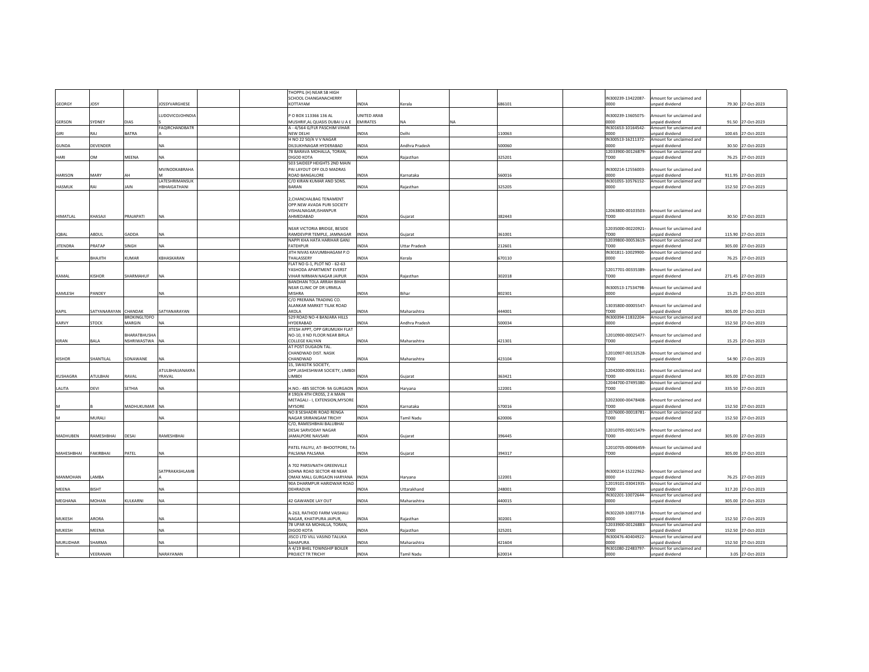|                 |                  |                     |                        | THOPPIL (H) NEAR SB HIGH                                  |                 |                   |           |        |                    |                                             |                    |
|-----------------|------------------|---------------------|------------------------|-----------------------------------------------------------|-----------------|-------------------|-----------|--------|--------------------|---------------------------------------------|--------------------|
|                 |                  |                     |                        | SCHOOL CHANGANACHERRY                                     |                 |                   |           |        | IN300239-13422087- | Amount for unclaimed and                    |                    |
| GEORGY          | <b>IOSY</b>      |                     | <b>IOSSYVARGHESE</b>   | KOTTAYAM                                                  | <b>INDIA</b>    | Kerala            |           | 686101 | 0000               | unpaid dividend                             | 79.30 27-Oct-2023  |
|                 |                  |                     |                        |                                                           |                 |                   |           |        |                    |                                             |                    |
|                 |                  |                     | <b>UDOVICO IOHNDIA</b> | P O BOX 113366 136 AL                                     | UNITED ARAB     |                   |           |        | IN300239-13605075- | Amount for unclaimed and                    |                    |
| GERSON          | SYDNEY           | DIAS                |                        | MUSHRIF, AL QUASIS DUBAI U A E                            | <b>EMIRATES</b> | <b>NA</b>         | <b>NA</b> |        | 0000               | inpaid dividend                             | 91.50 27-Oct-2023  |
|                 |                  |                     | AQIRCHANDBATR          | A - 4/564 G/FLR PASCHIM VIHAR                             |                 |                   |           |        | IN301653-10164542- | Amount for unclaimed and                    |                    |
| GIRI            | ιAλ              | BATRA               |                        | <b>NEW DELHI</b>                                          | <b>INDIA</b>    | Delhi             |           | 110063 | 0000               | unpaid dividend                             | 100.65 27-Oct-2023 |
|                 |                  |                     |                        | H NO 22 50/A V V NAGAR                                    |                 |                   |           |        | IN300513-16211372- | Amount for unclaimed and                    |                    |
| <b>GUNDA</b>    | <b>DEVENDER</b>  |                     | <b>NA</b>              | DILSUKHNAGAR HYDERABAD                                    | <b>INDIA</b>    | Andhra Pradesh    |           | 500060 | 0000               | unpaid dividend                             | 30.50 27-Oct-2023  |
|                 |                  |                     |                        | 78 BARAVA MOHALLA, TORAN,                                 |                 |                   |           |        | 12033900-00126879- | Amount for unclaimed and                    |                    |
| HARI            | MC               | MEENA               | NA.                    | <b>DIGOD KOTA</b>                                         | <b>INDIA</b>    | Rajasthan         |           | 325201 | TD00               | unpaid dividend                             | 76.25 27-Oct-2023  |
|                 |                  |                     | MVINODKABRAHA          | 503 SAIDEEP HEIGHTS 2ND MAIN<br>PAI LAYOUT OFF OLD MADRAS |                 |                   |           |        | IN300214-12556003- | mount for unclaimed and                     |                    |
| <b>HARISON</b>  | MARY             |                     |                        | ROAD BANGALORE                                            | <b>INDIA</b>    | Karnataka         |           | 560016 | noon               | inpaid dividend                             | 911.95 27-Oct-2023 |
|                 |                  |                     | LATESHRIMANSUK         | C/O KIRAN KUMAR AND SONS.                                 |                 |                   |           |        | IN301055-10576152- | Amount for unclaimed and                    |                    |
| HASMUK          | RAI              | <b>JAIN</b>         | HBHAIGATHANI           | <b>BARAN</b>                                              | <b>INDIA</b>    | Rajasthan         |           | 325205 | 0000               | npaid dividend                              | 152.50 27-Oct-2023 |
|                 |                  |                     |                        |                                                           |                 |                   |           |        |                    |                                             |                    |
|                 |                  |                     |                        | 2, CHANCHALBAG TENAMENT                                   |                 |                   |           |        |                    |                                             |                    |
|                 |                  |                     |                        | OPP.NEW AVADA PURI SOCIETY                                |                 |                   |           |        |                    |                                             |                    |
|                 |                  |                     |                        | VISHALNAGAR, ISHANPUR                                     |                 |                   |           |        | 12063800-00103503- | Amount for unclaimed and                    |                    |
| <b>HIMATLAL</b> |                  | PRAJAPATI           | <b>NA</b>              | AHMEDABAD                                                 | <b>INDIA</b>    |                   |           | 382443 | TD00               |                                             | 30.50 27-Oct-2023  |
|                 | KHASAJI          |                     |                        |                                                           |                 | Gujarat           |           |        |                    | unpaid dividend                             |                    |
|                 |                  |                     |                        | NEAR VICTORIA BRIDGE, BESIDE                              |                 |                   |           |        | 12035000-00220921- | mount for unclaimed and                     |                    |
| <b>IQBAL</b>    | ABDUL            | GADDA               | <b>NA</b>              | RAMDEVPIR TEMPLE, JAMNAGAR INDIA                          |                 | Guiarat           |           | 361001 | TD00               | inpaid dividend                             | 115.90 27-Oct-2023 |
|                 |                  |                     |                        | NAPPI KHA HATA HARIHAR GANJ                               |                 |                   |           |        | 12039800-00053619- | Amount for unclaimed and                    |                    |
| <b>JITENDRA</b> | PRATAP           | <b>SINGH</b>        | <b>NA</b>              | <b>FATEHPUR</b>                                           | <b>INDIA</b>    | Uttar Pradesh     |           | 212601 | TD00               | inpaid dividend                             |                    |
|                 |                  |                     |                        |                                                           |                 |                   |           |        |                    |                                             | 305.00 27-Oct-2023 |
|                 |                  |                     | KRHASKARAN             | JITH NIVAS KAVUMBHAGAM P.O<br><b>THAI ASSERY</b>          |                 |                   |           |        | IN301811-10029900- | Amount for unclaimed and                    |                    |
|                 | <b>HTILAH</b>    | <b>CUMAR</b>        |                        |                                                           | <b>INDIA</b>    | Kerala            |           | 670110 | 0000               | unpaid dividend                             | 76.25 27-Oct-2023  |
|                 |                  |                     |                        | FLAT NO G-1, PLOT NO - 62-63<br>YASHODA APARTMENT EVERST  |                 |                   |           |        | 12017701-00335389  | Amount for unclaimed and                    |                    |
|                 |                  |                     |                        |                                                           |                 |                   |           |        |                    |                                             |                    |
| KAMAI           | <b>CISHOR</b>    | <b>HARMAHUF</b>     | NΔ                     | <b>IHAR NIRMAN NAGAR JAIPUR</b>                           | <b>INDIA</b>    | Rajasthan         |           | 302018 | TDOO               | Innaid dividend                             | 271.45 27-Oct-2023 |
|                 |                  |                     |                        | <b>BANDHAN TOLA ARRAH BIHAR</b>                           |                 |                   |           |        |                    |                                             |                    |
|                 |                  |                     |                        | NEAR CLINIC OF DR URMILA                                  |                 |                   |           |        | IN300513-17534798- | Amount for unclaimed and                    |                    |
| KAMLESH         | PANDEY           |                     | <b>NA</b>              | <b>MISHRA</b>                                             | <b>INDIA</b>    | Bihar             |           | 802301 | noon               | inpaid dividend                             | 15.25 27-Oct-2023  |
|                 |                  |                     |                        | C/O PRERANA TRADING CO.                                   |                 |                   |           |        |                    |                                             |                    |
|                 |                  |                     |                        | ALANKAR MARKET TILAK ROAD                                 |                 |                   |           |        | 13035800-00005547- | Amount for unclaimed and                    |                    |
| KAPIL           | SATYANARAYAN     | CHANDAK             | SATYANARAYAN           | AKOLA                                                     | <b>INDIA</b>    | Maharashtra       |           | 444001 | TD00               | unpaid dividend                             | 305.00 27-Oct-2023 |
|                 |                  | <b>ROKINGI TDEO</b> |                        | 529 ROAD NO-4 BANJARA HILLS                               |                 |                   |           |        | IN300394-11832204- | Amount for unclaimed and                    |                    |
| KARVY           | <b>STOCK</b>     | MARGIN              |                        | <b>HYDERABAD</b>                                          | INDIA           | Andhra Pradesh    |           | 500034 | noon               | unpaid dividend                             | 152.50 27-Oct-2023 |
|                 |                  |                     |                        | JITESH APPT, OPP GRUMUKH FLAT                             |                 |                   |           |        |                    |                                             |                    |
|                 |                  | <b>HARATBHUSHA</b>  |                        | NO-10, II ND FLOOR NEAR BIRLA                             |                 |                   |           |        | 12010900-00025477- | mount for unclaimed and                     |                    |
| KIRAN           | BALA             | NSHRIWASTWA NA      |                        | <b>COLLEGE KALYAN</b>                                     | <b>INDIA</b>    | Maharashtra       |           | 421301 | TD00               | unpaid dividend                             | 15.25 27-Oct-2023  |
|                 |                  |                     |                        | AT POST DUGAON TAL.                                       |                 |                   |           |        |                    |                                             |                    |
|                 |                  |                     |                        | CHANDWAD DIST, NASIK                                      |                 |                   |           |        | 12010907-00132528- | Amount for unclaimed and                    |                    |
| KISHOR          | <b>SHANTILAL</b> | SONAWANE            | NA                     | CHANDWAD                                                  | <b>INDIA</b>    | Maharashtra       |           | 423104 | TD00               | unpaid dividend                             | 54.90 27-Oct-2023  |
|                 |                  |                     |                        | 15, SWASTIK SOCIETY,                                      |                 |                   |           |        |                    |                                             |                    |
|                 |                  |                     | ATULBHAIJANAKRA        | OPP JASHESHWAR SOCIETY, LIMBD                             |                 |                   |           |        | 12042000-00063161- | Amount for unclaimed and                    |                    |
| <b>KUSHAGRA</b> | ATULBHAI         | RAVAL               | YRAVAL                 | <b>LIMBDI</b>                                             | NDIA            | Guiarat           |           | 363421 | TD00               | unpaid dividend                             | 305.00 27-Oct-2023 |
|                 |                  |                     |                        |                                                           |                 |                   |           |        | 12044700-07495380- | Amount for unclaimed and                    |                    |
| LALITA          | DEVI             | SETHIA              |                        | H.NO.- 485 SECTOR- 9A GURGAON INDIA                       |                 | Haryana           |           | 122001 | TD00               | inpaid dividend                             | 335.50 27-Oct-2023 |
|                 |                  |                     |                        | #190/A 4TH CROSS, 2 A MAIN                                |                 |                   |           |        |                    |                                             |                    |
|                 |                  |                     |                        | METAGALI - I, EXTENSION, MYSORE                           |                 |                   |           |        | 12023000-00478408- | Amount for unclaimed and                    |                    |
|                 |                  | MADHUKUMAR NA       |                        | <b>MYSORE</b>                                             | <b>INDIA</b>    | Karnataka         |           | 570016 | TD00               | unpaid dividend                             | 152.50 27-Oct-2023 |
|                 |                  |                     |                        | NO 8 SESHADRI ROAD RENGA                                  |                 |                   |           |        | 12076000-00018781  | Amount for unclaimed and                    |                    |
|                 | MURALI           |                     | NA                     | NAGAR SRIRANGAM TRICHY                                    | <b>INDIA</b>    | <b>Tamil Nadu</b> |           | 620006 | TD00               | unpaid dividend                             | 152.50 27-Oct-2023 |
|                 |                  |                     |                        | C/O, RAMESHBHAI BALUBHAI                                  |                 |                   |           |        |                    |                                             |                    |
|                 |                  |                     |                        | <b>DESAI SARVODAY NAGAR</b>                               |                 |                   |           |        | 12010705-00015479- | Amount for unclaimed and                    |                    |
| MADHUBEN        | RAMESHBHAI       | <b>DESAI</b>        | RAMESHBHAI             | JAMALPORE NAVSARI                                         | <b>INDIA</b>    | Gujarat           |           | 396445 | TD00               | unpaid dividend                             | 305.00 27-Oct-2023 |
|                 |                  |                     |                        |                                                           |                 |                   |           |        |                    |                                             |                    |
|                 |                  |                     |                        | PATEL FALIYU, AT- BHOOTPORE, TA-                          |                 |                   |           |        | 12010705-00046459- | mount for unclaimed and                     |                    |
| MAHESHBHAI      | FAKIRBHAI        | PATEL               | <b>NA</b>              | PALSANA PALSANA                                           | INDIA           | Gujarat           |           | 394317 | TD00               | unpaid dividend                             | 305.00 27-Oct-2023 |
|                 |                  |                     |                        |                                                           |                 |                   |           |        |                    |                                             |                    |
|                 |                  |                     |                        | A 702 PARSVNATH GREENVILLE                                |                 |                   |           |        |                    |                                             |                    |
|                 |                  |                     | SATPRAKASHLAMB         | SOHNA ROAD SECTOR 48 NEAR                                 |                 |                   |           |        | IN300214-15222962- | Amount for unclaimed and                    |                    |
| MANMOHAN        | AMRA             |                     |                        | OMAX MALL GURGAON HARYANA INDIA                           |                 | Haryana           |           | 122001 | noon               | Innaid dividend                             | 76.25 27-Oct-2023  |
|                 |                  |                     |                        | 90A DHARMPUR HARIDWAR ROAD                                |                 |                   |           |        | 12019101-03041935- | Amount for unclaimed and                    |                    |
| MEENA           | <b>ISHT</b>      |                     |                        | DEHRADUN                                                  | <b>NDIA</b>     | Uttarakhand       |           | 248001 | TD00               | npaid dividend                              | 317.20 27-Oct-2023 |
|                 |                  |                     |                        |                                                           |                 |                   |           |        | IN302201-10072644- | Amount for unclaimed and                    |                    |
| MEGHANA         | MOHAN            | KULKARNI            | <b>NA</b>              | 42 GAWANDE LAY OUT                                        | <b>INDIA</b>    | Maharashtra       |           | 440015 | 0000               | npaid dividend                              | 305.00 27-Oct-2023 |
|                 |                  |                     |                        |                                                           |                 |                   |           |        |                    |                                             |                    |
|                 |                  |                     |                        | A-263, RATHOD FARM VAISHALI                               |                 |                   |           |        | IN302269-10837718- | Amount for unclaimed and                    |                    |
| MUKESH          | ARORA            |                     | <b>NA</b>              | NAGAR, KHATIPURA JAIPUR,                                  | <b>INDIA</b>    | Rajasthan         |           | 302001 | 0000               | unpaid dividend                             | 152.50 27-Oct-2023 |
|                 |                  |                     |                        | 78 UPAR KA MOHALLA, TORAN.                                |                 |                   |           |        | 12033900-00126883- | Amount for unclaimed and                    |                    |
| MUKESH          | MEENA            |                     | <b>NA</b>              | <b>DIGOD KOTA</b>                                         | <b>INDIA</b>    | Raiasthan         |           | 325201 | TD <sub>00</sub>   | inpaid dividend                             | 152.50 27-Oct-2023 |
|                 |                  |                     |                        | JISCO LTD VILL VASIND TALUKA                              |                 |                   |           |        | IN300476-40404922- | mount for unclaimed and                     |                    |
| MURLIDHAR       | <b>SHARMA</b>    |                     | NΑ                     | SAHAPURA                                                  | <b>NDIA</b>     | Maharashtra       |           | 421604 | noon               | inpaid dividend                             | 152.50 27-Oct-2023 |
|                 |                  |                     |                        | A 4/19 BHEL TOWNSHIP BOILER                               |                 |                   |           |        |                    | IN301080-22483797- Amount for unclaimed and |                    |
|                 | VEERANAN         |                     | NARAYANAN              | PROJECT TR TRICHY                                         | <b>INDIA</b>    | Tamil Nadu        |           | 620014 | noon               | Innaid dividend                             | 3.05 27-Oct-2023   |
|                 |                  |                     |                        |                                                           |                 |                   |           |        |                    |                                             |                    |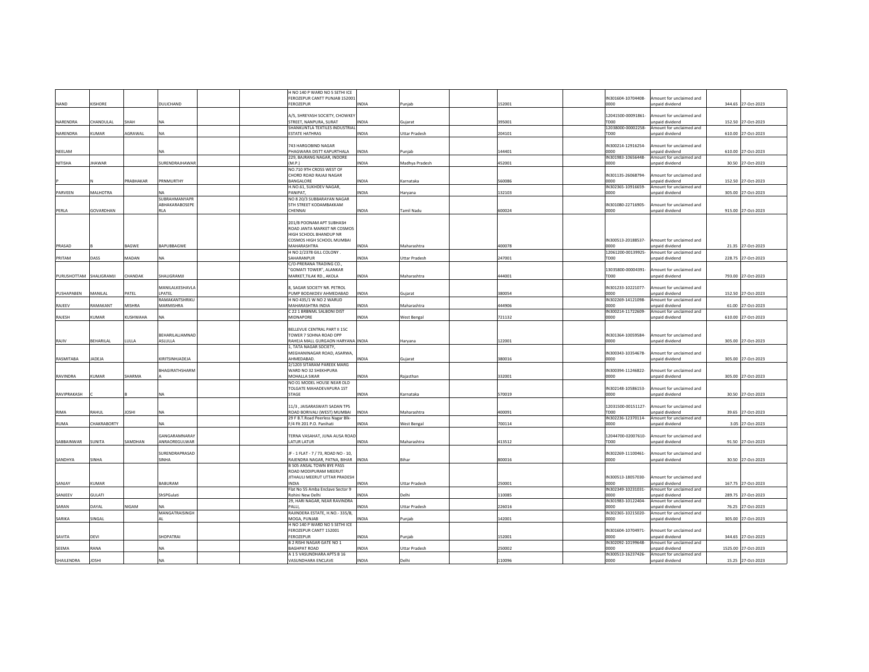|                  |                  |                 |                       | H NO 140 P WARD NO 5 SETHI ICE<br>FEROZEPUR CANTT PUNJAB 152001 |              |                      |        | IN301604-10704408-         | mount for unclaimed and                     |                     |
|------------------|------------------|-----------------|-----------------------|-----------------------------------------------------------------|--------------|----------------------|--------|----------------------------|---------------------------------------------|---------------------|
| NAND             | <b>ISHORE</b>    |                 | DULICHAND             | FEROZEPUR                                                       | INDIA        | Punjab               | 152001 | 0000                       | unpaid dividend                             | 344.65 27-Oct-2023  |
|                  |                  |                 |                       |                                                                 |              |                      |        |                            |                                             |                     |
|                  |                  |                 |                       | A/5, SHREYASH SOCIETY, CHOWKEY                                  |              |                      |        | 12041500-00091861-         | mount for unclaimed and                     |                     |
| NARENDRA         | CHANDULAL        | SHAH            | <b>NA</b>             | STREET, NANPURA, SURAT                                          | INDIA        | Gujarat              | 395001 | TD <sub>00</sub>           | inpaid dividend                             | 152.50 27-Oct-2023  |
|                  |                  |                 |                       | SHANKUNTLA TEXTILES INDUSTRIAL                                  |              |                      |        | 12038000-00002258-         | Amount for unclaimed and                    |                     |
| NARENDRA         | <b>CUMAR</b>     | AGRAWAL         | NA                    | <b>ESTATE HATHRAS</b>                                           | <b>INDIA</b> | Uttar Pradesh        | 204101 | TD00                       | unpaid dividend                             | 610.00 27-Oct-2023  |
|                  |                  |                 |                       |                                                                 |              |                      |        |                            |                                             |                     |
| NEELAM           |                  |                 | NΔ                    | 743 HARGOBIND NAGAR<br>PHAGWARA DISTT KAPURTHALA                | <b>INDIA</b> | Puniab               | 144401 | IN300214-12916254-<br>noon | Amount for unclaimed and<br>Innaid dividend | 610.00 27-Oct-2023  |
|                  |                  |                 |                       | 229, BAJRANG NAGAR, INDORE                                      |              |                      |        | IN301983-10656448-         | Amount for unclaimed and                    |                     |
| NITISHA          | <b>HAWAR</b>     |                 | SURENDRAJHAWAR        | (M.P.)                                                          | INDIA        | Madhya Pradesh       | 452001 | 0000                       | inpaid dividend                             | 30.50 27-Oct-2023   |
|                  |                  |                 |                       | NO.710 9TH CROSS WEST OF                                        |              |                      |        |                            |                                             |                     |
|                  |                  |                 |                       | CHORD ROAD RAJAJI NAGAR                                         |              |                      |        | IN301135-26068794-         | Amount for unclaimed and                    |                     |
|                  |                  | <b>RABHAKAR</b> | PRNMURTHY             | BANGALORE                                                       | <b>INDIA</b> | Karnataka            | 560086 | 0000                       | unpaid dividend                             | 152.50 27-Oct-2023  |
|                  |                  |                 |                       | H.NO.61, SUKHDEV NAGAR,                                         |              |                      |        | IN302365-10916659-         | Amount for unclaimed and                    |                     |
| PARVEEN          | <b>MALHOTRA</b>  |                 | <b>SUBRAHMANYAPR</b>  | PANIPAT                                                         | INDIA        | Harvana              | 132103 | noon                       | unpaid dividend                             | 305.00 27-Oct-2023  |
|                  |                  |                 | ABHAKARABOSEPE        | NO 8 20/3 SUBBARAYAN NAGAR<br><b>5TH STREET KODAMBAKKAM</b>     |              |                      |        | IN301080-22716905-         | mount for unclaimed and                     |                     |
| PERLA            | GOVARDHAN        |                 | <b>RIA</b>            | CHENNAL                                                         | <b>INDIA</b> | <b>Tamil Nadu</b>    | 600024 | 0000                       | unpaid dividend                             | 915.00 27-Oct-2023  |
|                  |                  |                 |                       |                                                                 |              |                      |        |                            |                                             |                     |
|                  |                  |                 |                       | 201/B POONAM APT SUBHASH                                        |              |                      |        |                            |                                             |                     |
|                  |                  |                 |                       | ROAD JANTA MARKET NR COSMOS                                     |              |                      |        |                            |                                             |                     |
|                  |                  |                 |                       | HIGH SCHOOL BHANDUP NR                                          |              |                      |        |                            |                                             |                     |
|                  |                  |                 |                       | COSMOS HIGH SCHOOL MUMBAI                                       |              |                      |        | IN300513-20188537-         | Amount for unclaimed and                    |                     |
| PRASAD           |                  | BAGWE           | BAPUBBAGWE            | MAHARASHTRA                                                     | INDIA        | Maharashtra          | 400078 | 0000                       | inpaid dividend                             | 21.35 27-Oct-2023   |
| PRITAM           | DASS             | MADAN           | <b>NA</b>             | H NO 2/2378 GILL COLONY.<br>SAHARANPUR                          | <b>INDIA</b> | <b>Uttar Pradesh</b> | 247001 | 12061200-00139925-<br>TD00 | Amount for unclaimed and<br>unpaid dividend | 228.75 27-Oct-2023  |
|                  |                  |                 |                       | C/O-PRERANA TRADING CO.,                                        |              |                      |        |                            |                                             |                     |
|                  |                  |                 |                       | "GOMATI TOWER", ALANKAR                                         |              |                      |        | 13035800-00004391-         | Amount for unclaimed and                    |                     |
| PURUSHOTTAM      | SHALIGRAMJI      | CHANDAK         | SHALIGRAMJI           | MARKET, TILAK RD., AKOLA                                        | <b>INDIA</b> | Maharashtra          | 444001 | TD00                       | unpaid dividend                             | 793.00 27-Oct-2023  |
|                  |                  |                 |                       |                                                                 |              |                      |        |                            |                                             |                     |
|                  |                  |                 | MANILALKESHAVLA       | 8, SAGAR SOCIETY NR. PETROL                                     |              |                      |        | IN301233-10221077-         | mount for unclaimed and                     |                     |
| PUSHAPABEN       | MANILAL          | <b>ATEL</b>     | LPATEL                | PUMP BODAKDEV AHMEDABAD                                         | <b>INDIA</b> | Gujarat              | 380054 | 0000                       | inpaid dividend                             | 152.50 27-Oct-2023  |
|                  |                  |                 | RAMAKANTSHRIKU        | H NO 435/1 W NO 2 WARUD                                         |              |                      |        | IN302269-14121098-         | Amount for unclaimed and                    |                     |
| RAJEEV           | <b>AMAKANT</b>   | <b>MISHRA</b>   | MARMISHRA             | MAHARASHTRA INDIA                                               | <b>INDIA</b> | Maharashtra          | 144906 | 0000                       | unpaid dividend                             | 61.00 27-Oct-2023   |
| RAJESH           | <b>CUMAR</b>     | KUSHWAHA        | <b>NA</b>             | C 22 1 BRBNML SALBONI DIST<br>MIDNAPORE                         | <b>INDIA</b> | <b>West Bengal</b>   | 721132 | IN300214-11722609-<br>noon | Amount for unclaimed and<br>hnebivib hisonu | 610.00 27-Oct-2023  |
|                  |                  |                 |                       |                                                                 |              |                      |        |                            |                                             |                     |
|                  |                  |                 |                       | BELLEVUE CENTRAL PART II 15C                                    |              |                      |        |                            |                                             |                     |
|                  |                  |                 | BEHARILALJAMNAD       | TOWER 7 SOHNA ROAD OPP                                          |              |                      |        | IN301364-10059584-         | Amount for unclaimed and                    |                     |
| RAJIV            | <b>BEHARILAL</b> | <b>TULLA</b>    | ASLULLA               | RAHEJA MALL GURGAON HARYANA INDIA                               |              | Haryana              | 122001 | 0000                       | Innaid dividend                             | 305.00 27-Oct-2023  |
|                  |                  |                 |                       | 1, TATA NAGAR SOCIETY,                                          |              |                      |        |                            |                                             |                     |
|                  |                  |                 |                       | MEGHANINAGAR ROAD, ASARWA,                                      |              |                      |        | IN300343-10354678-         | mount for unclaimed and                     |                     |
| <b>RASMITABA</b> | <b>ADEJA</b>     |                 | <b>IRITSINHJADEJA</b> | AHMFDARAD                                                       | <b>INDIA</b> | Gujarat              | 380016 | 0000                       | unpaid dividend                             | 305.00 27-Oct-2023  |
|                  |                  |                 |                       | 2/1203 SITARAM PAREEK MARG                                      |              |                      |        |                            |                                             |                     |
| RAVINDRA         | CUMAR            | SHARMA          | <b>HAGIRATHSHARM</b>  | WARD NO 32 SHEKHPURA<br><b>MOHALLA SIKAR</b>                    | <b>INDIA</b> | Raiasthan            | 332001 | IN300394-11246822-<br>0000 | mount for unclaimed and<br>unpaid dividend  | 305.00 27-Oct-2023  |
|                  |                  |                 |                       | NO 01 MODEL HOUSE NEAR OLD                                      |              |                      |        |                            |                                             |                     |
|                  |                  |                 |                       | TOLGATE MAHADEVAPURA 1ST                                        |              |                      |        | IN302148-10586153-         | mount for unclaimed and                     |                     |
| RAVIPRAKASH      |                  |                 | <b>NA</b>             | <b>STAGE</b>                                                    | <b>INDIA</b> | Karnataka            | 570019 | 0000                       | unpaid dividend                             | 30.50 27-Oct-2023   |
|                  |                  |                 |                       |                                                                 |              |                      |        |                            |                                             |                     |
|                  |                  |                 |                       | 11/3, JAISARASWATI SADAN TPS                                    |              |                      |        | 12031500-00151127-         | mount for unclaimed and                     |                     |
| RIMA             | RAHUL            | <b>IOSHI</b>    | <b>NA</b>             | ROAD BORIVALI (WEST) MUMBAI                                     | <b>INDIA</b> | Maharashtra          | 400091 | TD <sub>00</sub>           | inpaid dividend                             | 39.65 27-Oct-2023   |
|                  |                  |                 |                       | 29 F B.T.Road Peerless Nagar Blk-                               |              |                      |        | IN302236-12370114-         | Amount for unclaimed and                    |                     |
| <b>RUMA</b>      | CHAKRABORTY      |                 | <b>NA</b>             | F/4 Flt 201 P.O. Panihati                                       | <b>INDIA</b> | West Bengal          | 700114 | 0000                       | npaid dividend                              | 3.05 27-Oct-2023    |
|                  |                  |                 | GANGARAMNARAY         | TERNA VASAHAT, JUNA AUSA ROAD                                   |              |                      |        | 12044700-02007610-         | mount for unclaimed and                     |                     |
| SABBAINWAR       | <b>SUNITA</b>    | SAMDHAN         | ANRAOREGULWAR         | LATUR LATUR                                                     | <b>INDIA</b> | Maharashtra          | 413512 | TD00                       | unpaid dividend                             | 91.50 27-Oct-2023   |
|                  |                  |                 |                       |                                                                 |              |                      |        |                            |                                             |                     |
|                  |                  |                 | SURENDRAPRASAD        | JF - 1 FLAT - 7 / 73, ROAD NO - 10,                             |              |                      |        | IN302269-11100461-         | mount for unclaimed and                     |                     |
| SANDHYA          | SINHA            |                 | SINHA                 | RAJENDRA NAGAR, PATNA, BIHAR                                    | <b>INDIA</b> | Bihar                | 800016 | 0000                       | unpaid dividend                             | 30.50 27-Oct-2023   |
|                  |                  |                 |                       | <b>B 505 ANSAL TOWN BYE PASS</b>                                |              |                      |        |                            |                                             |                     |
|                  |                  |                 |                       | ROAD MODIPURAM MEERUT                                           |              |                      |        |                            |                                             |                     |
|                  |                  |                 |                       | JITHAULI MEERUT UTTAR PRADESH<br><b>INDIA</b>                   |              |                      |        | IN300513-18057030-         | Amount for unclaimed and                    |                     |
| SANJAY           | KUMAR            |                 | BABURAM               | Flat No 55 Amba Enclave Sector 9                                | INDIA        | <b>Uttar Pradesh</b> | 250001 | 0000<br>IN302349-10231031- | unpaid dividend<br>Amount for unclaimed and | 167.75 27-Oct-2023  |
| SANJEEV          | SULATI           |                 | ShSPGulat             | Rohini New Delhi                                                | NDIA         | Delhi                | 110085 | 0000                       | npaid dividend                              | 289.75 27-Oct-2023  |
|                  |                  |                 |                       | 29, HARI NAGAR, NEAR RAVINDRA                                   |              |                      |        | IN301983-10122404-         | Amount for unclaimed and                    |                     |
| SARAN            | DAYAI            | NIGAM           | <b>NA</b>             | PALLE.                                                          | <b>INDIA</b> | <b>Uttar Pradesh</b> | 226016 | noon                       | Innaid dividend                             | 76.25 27-Oct-2023   |
|                  |                  |                 | MANGATRAISINGH        | RAJINDERA ESTATE, H.NO.- 335/B,                                 |              |                      |        | IN302365-10215020-         | Amount for unclaimed and                    |                     |
| SARIKA           | <b>INGAL</b>     |                 |                       | MOGA, PUNJAB                                                    | <b>INDIA</b> | Puniab               | 142001 | 0000                       | unpaid dividend                             | 305.00 27-Oct-2023  |
|                  |                  |                 |                       | H NO 140 P WARD NO 5 SETHI ICE                                  |              |                      |        |                            |                                             |                     |
|                  |                  |                 |                       | FEROZEPUR CANTT 152001                                          |              |                      |        | IN301604-10704971-         | Amount for unclaimed and                    |                     |
| SAVITA           | DEVI             |                 | <b>SHOPATRAI</b>      | <b>FEROZEPUR</b><br><b>B 2 RISHI NAGAR GATE NO 1</b>            | <b>NDIA</b>  | Punjab               | 152001 | 0000<br>IN302092-10199648- | inpaid dividend<br>Amount for unclaimed and | 344.65 27-Oct-2023  |
| <b>SEEMA</b>     | RANA             |                 | <b>NA</b>             | <b>RAGHPAT ROAD</b>                                             | <b>INDIA</b> | Uttar Pradesh        | 250002 | noon                       | unpaid dividend                             | 1525.00 27-Oct-2023 |
|                  |                  |                 |                       | A 1 5 VASUNDHARA APTS B 16                                      |              |                      |        | IN300513-16237426-         | Amount for unclaimed and                    |                     |
| SHAILENDRA       | <b>IHZOL</b>     |                 | <b>NA</b>             | VASUNDHARA ENCLAVE                                              | <b>INDIA</b> | Delhi                | 110096 | 0000                       | unpaid dividend                             | 15.25 27-Oct-2023   |
|                  |                  |                 |                       |                                                                 |              |                      |        |                            |                                             |                     |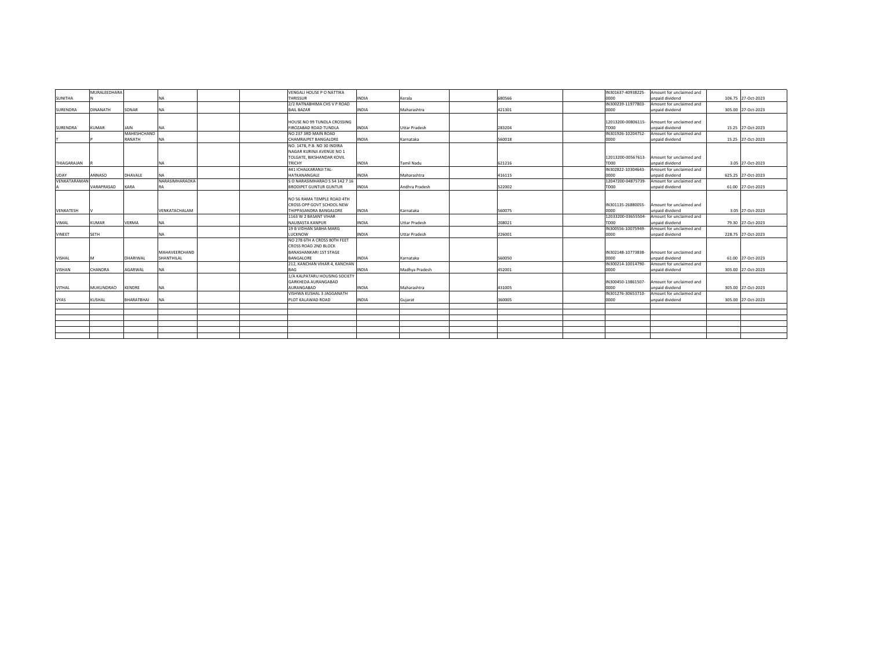|                 | MURALEEDHARA     |               |                | VENGALI HOUSE P O NATTIKA      |              |                      |        |                    | IN301637-40938225- Amount for unclaimed and |                    |
|-----------------|------------------|---------------|----------------|--------------------------------|--------------|----------------------|--------|--------------------|---------------------------------------------|--------------------|
| <b>SUNITHA</b>  |                  |               | <b>NA</b>      | THRISSUR                       | <b>INDIA</b> | Kerala               | 680566 | noon               | unpaid dividend                             | 106.75 27-Oct-2023 |
|                 |                  |               |                | 2/2 RATNABHIMA CHS V P ROAD    |              |                      |        | IN300239-11977803- | Amount for unclaimed and                    |                    |
| <b>SURENDRA</b> | <b>DINANATH</b>  | SONAR         | <b>NA</b>      | <b>BAIL BAZAR</b>              | <b>INDIA</b> | Maharashtra          | 421301 | noon               | unpaid dividend                             | 305.00 27-Oct-2023 |
|                 |                  |               |                |                                |              |                      |        |                    |                                             |                    |
|                 |                  |               |                | HOUSE NO 99 TUNDLA CROSSING    |              |                      |        | 12013200-00806115- | Amount for unclaimed and                    |                    |
| <b>SURENDRA</b> | <b>KUMAR</b>     | JAIN          | <b>NA</b>      | FIROZABAD ROAD TUNDLA          | <b>INDIA</b> | <b>Uttar Pradesh</b> | 283204 | TD00               | unpaid dividend                             | 15.25 27-Oct-2023  |
|                 |                  | MAHESHCHAND   |                | NO 237 3RD MAIN ROAD           |              |                      |        | IN301926-10204752- | Amount for unclaimed and                    |                    |
|                 |                  | RANATH        | <b>NA</b>      | <b>CHAMRAJPET BANGALORE</b>    | <b>INDIA</b> | Karnataka            | 560018 | 0000               | unpaid dividend                             | 15.25 27-Oct-2023  |
|                 |                  |               |                | NO. 1478, P.B. NO 30 INDIRA    |              |                      |        |                    |                                             |                    |
|                 |                  |               |                | NAGAR KURINJI AVENUE NO 1      |              |                      |        |                    |                                             |                    |
|                 |                  |               |                | TOLGATE, BIKSHANDAR KOVIL      |              |                      |        |                    | 12013200-00567613- Amount for unclaimed and |                    |
| THIAGARAJAN     |                  |               | <b>NA</b>      | TRICHY                         | <b>INDIA</b> | Tamil Nadu           | 621216 | TD00               | hnebivib hisonu                             | 3.05 27-Oct-2023   |
|                 |                  |               |                | 441 ICHALKARANJI TAL-          |              |                      |        | IN302822-10304643- | Amount for unclaimed and                    |                    |
| UDAY            | ANNASO           | DHAVALE       | <b>NA</b>      | HATKANANGALE                   | <b>INDIA</b> | Maharashtra          | 416115 | 0000               | unpaid dividend                             | 625.25 27-Oct-2023 |
| VENKATARAMAN    |                  |               | NARASIMHARAOKA | S O NARASIMHARAO S 54 142 7 16 |              |                      |        | 12047200-04875739- | Amount for unclaimed and                    |                    |
|                 |                  |               |                |                                |              |                      | 522002 |                    |                                             |                    |
|                 | VARAPRASAD       | KARA          | RA             | <b>BRODIPET GUNTUR GUNTUR</b>  | <b>INDIA</b> | Andhra Pradesh       |        | TD <sub>00</sub>   | unpaid dividend                             | 61.00 27-Oct-2023  |
|                 |                  |               |                |                                |              |                      |        |                    |                                             |                    |
|                 |                  |               |                | NO 56 RAMA TEMPLE ROAD 4TH     |              |                      |        |                    |                                             |                    |
|                 |                  |               |                | CROSS OPP GOVT SCHOOL NEW      |              |                      |        | IN301135-26880055- | Amount for unclaimed and                    |                    |
| VENKATESH       |                  |               | VENKATACHALAM  | THIPPASANDRA BANGALORE         | <b>INDIA</b> | Karnataka            | 560075 | 0000               | unpaid dividend                             | 3.05 27-Oct-2023   |
|                 |                  |               |                | 1163 W 2 BASANT VIHAR          |              |                      |        | 12033200-03655504- | Amount for unclaimed and                    |                    |
| VIMAL           | KUMAR            | <b>VERMA</b>  | <b>NA</b>      | NAUBASTA KANPUR                | INDIA        | <b>Uttar Pradesh</b> | 208021 | TD00               | unpaid dividend                             | 79.30 27-Oct-2023  |
|                 |                  |               |                | 19 B VIDHAN SABHA MARG         |              |                      |        | IN300556-10075949- | Amount for unclaimed and                    |                    |
| VINEET          | <b>SETH</b>      |               | <b>NA</b>      | LUCKNOW                        | <b>INDIA</b> | <b>Uttar Pradesh</b> | 226001 | 0000               | unpaid dividend                             | 228.75 27-Oct-2023 |
|                 |                  |               |                | NO 278 6TH A CROSS 80TH FEET   |              |                      |        |                    |                                             |                    |
|                 |                  |               |                | CROSS ROAD 2ND BLOCK           |              |                      |        |                    |                                             |                    |
|                 |                  |               | MAHAVEERCHAND  | <b>BANASHANKARI 1ST STAGE</b>  |              |                      |        | IN302148-10773838- | Amount for unclaimed and                    |                    |
| VISHAL          |                  | DHARIWAL      | SHANTHILAL     | <b>BANGALORE</b>               | <b>INDIA</b> | Karnataka            | 560050 | 0000               | unpaid dividend                             | 61.00 27-Oct-2023  |
|                 |                  |               |                | 212, KANCHAN VIHAR 4, KANCHAN  |              |                      |        | IN300214-10014790- | Amount for unclaimed and                    |                    |
| <b>VISHAN</b>   | CHANDRA          | AGARWAL       | <b>NA</b>      | <b>BAG</b>                     | <b>INDIA</b> | Madhva Pradesh       | 452001 | noon               | unpaid dividend                             | 305.00 27-Oct-2023 |
|                 |                  |               |                | 1/A KALPATARU HOUSING SOCIETY  |              |                      |        |                    |                                             |                    |
|                 |                  |               |                | <b>GARKHEDA AURANGABAD</b>     |              |                      |        | IN300450-13861507- | Amount for unclaimed and                    |                    |
| VITHAL          | <b>MUKUNDRAO</b> | <b>KENDRE</b> | <b>NA</b>      | AURANGABAD                     | INDIA        | Maharashtra          | 431005 | 0000               | unpaid dividend                             | 305.00 27-Oct-2023 |
|                 |                  |               |                | VISHWA KUSHAL 3 JAGGANATH      |              |                      |        | IN301276-30653710- | Amount for unclaimed and                    |                    |
| <b>VYAS</b>     | KUSHAL           | BHARATBHAI    | <b>NA</b>      | PLOT KALAWAD ROAD              | <b>INDIA</b> | Gujarat              | 360005 | 0000               | unpaid dividend                             | 305.00 27-Oct-2023 |
|                 |                  |               |                |                                |              |                      |        |                    |                                             |                    |
|                 |                  |               |                |                                |              |                      |        |                    |                                             |                    |
|                 |                  |               |                |                                |              |                      |        |                    |                                             |                    |
|                 |                  |               |                |                                |              |                      |        |                    |                                             |                    |
|                 |                  |               |                |                                |              |                      |        |                    |                                             |                    |
|                 |                  |               |                |                                |              |                      |        |                    |                                             |                    |
|                 |                  |               |                |                                |              |                      |        |                    |                                             |                    |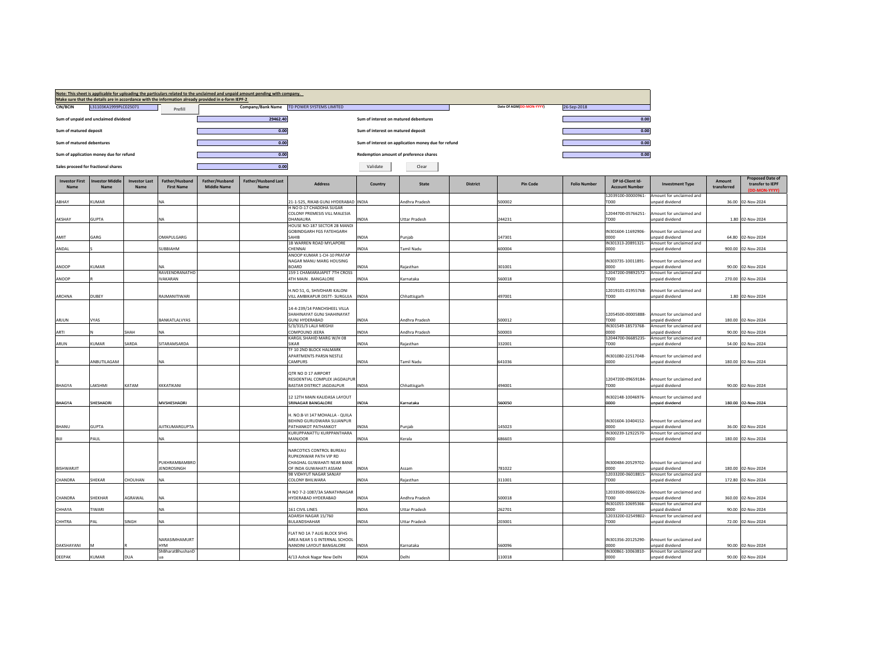|                               |                                         |                              |                                     |                                                                                                     | Note: This sheet is applicable for uploading the particulars related to the unclaimed and unpaid amount pending with company. |                                                           |                                        |                                                     |                 |                          |                     |                                           |                                             |                       |                                                              |
|-------------------------------|-----------------------------------------|------------------------------|-------------------------------------|-----------------------------------------------------------------------------------------------------|-------------------------------------------------------------------------------------------------------------------------------|-----------------------------------------------------------|----------------------------------------|-----------------------------------------------------|-----------------|--------------------------|---------------------|-------------------------------------------|---------------------------------------------|-----------------------|--------------------------------------------------------------|
| <b>CIN/BCIN</b>               | L31103KA1999PLC025071                   |                              |                                     | Make sure that the details are in accordance with the information already provided in e-form IEPF-2 |                                                                                                                               | Company/Bank Name TD POWER SYSTEMS LIMITED                |                                        |                                                     |                 | Date Of AGM(DD-MON-YYYY) | 26-Sep-2018         |                                           |                                             |                       |                                                              |
|                               |                                         |                              | Prefill                             |                                                                                                     | 29462.40                                                                                                                      |                                                           | Sum of interest on matured debentures  |                                                     |                 |                          |                     | 0.00                                      |                                             |                       |                                                              |
|                               | Sum of unpaid and unclaimed dividend    |                              |                                     |                                                                                                     |                                                                                                                               |                                                           |                                        |                                                     |                 |                          |                     |                                           |                                             |                       |                                                              |
| Sum of matured deposit        |                                         |                              |                                     |                                                                                                     | 0.00                                                                                                                          |                                                           | Sum of interest on matured deposit     |                                                     |                 |                          |                     | 0.00                                      |                                             |                       |                                                              |
| Sum of matured debentures     |                                         |                              |                                     |                                                                                                     | 0.00                                                                                                                          |                                                           |                                        | Sum of interest on application money due for refund |                 |                          |                     | 0.00                                      |                                             |                       |                                                              |
|                               | Sum of application money due for refund |                              |                                     |                                                                                                     | 0.00                                                                                                                          |                                                           | Redemption amount of preference shares |                                                     |                 |                          |                     | 0.00                                      |                                             |                       |                                                              |
|                               | Sales proceed for fractional shares     |                              |                                     |                                                                                                     | 0.00                                                                                                                          |                                                           | Validate                               | Clear                                               |                 |                          |                     |                                           |                                             |                       |                                                              |
| <b>Investor First</b><br>Name | <b>Investor Middle</b><br>Nam           | <b>Investor Last</b><br>Name | Father/Husband<br><b>First Name</b> | Father/Husband<br><b>Middle Name</b>                                                                | Father/Husband Last<br>Name                                                                                                   | <b>Address</b>                                            | Country                                | State                                               | <b>District</b> | <b>Pin Code</b>          | <b>Folio Number</b> | DP Id-Client Id-<br><b>Account Number</b> | <b>Investment Type</b>                      | Amount<br>transferred | <b>Proposed Date of</b><br>transfer to IEPF<br>(DD-MON-YYYY) |
| ABHAY                         | KUMAR                                   |                              | NA                                  |                                                                                                     |                                                                                                                               | 21-1-525, RIKAB GUNJ HYDERABAD INDIA                      |                                        | Andhra Pradesh                                      |                 | 500002                   |                     | 12039100-00000961-<br>TDOO                | Amount for unclaimed and<br>unpaid dividend |                       |                                                              |
|                               |                                         |                              |                                     |                                                                                                     |                                                                                                                               | H NO D-17 CHADDHA SUGAR                                   |                                        |                                                     |                 |                          |                     |                                           |                                             |                       | 36.00 02-Nov-2024                                            |
| AKSHAY                        | <b>GUPTA</b>                            |                              | <b>NA</b>                           |                                                                                                     |                                                                                                                               | COLONY PREMESIS VILL MALESIA<br>DHANAURA                  | <b>NDIA</b>                            | <b>Uttar Pradesh</b>                                |                 | 244231                   |                     | 12044700-05766251-<br>TDOO                | Amount for unclaimed and<br>unpaid dividend |                       | 1.80 02-Nov-2024                                             |
|                               |                                         |                              |                                     |                                                                                                     |                                                                                                                               | HOUSE NO-187 SECTOR 2B MANDI                              |                                        |                                                     |                 |                          |                     |                                           |                                             |                       |                                                              |
| AMIT                          | GARG                                    |                              | OMAPULGARG                          |                                                                                                     |                                                                                                                               | <b>GOBINDGARH FGS FATEHGARH</b><br>SAHIR                  | <b>INDIA</b>                           | Punjab                                              |                 | 147301                   |                     | IN301604-11692906-<br>0000                | Amount for unclaimed and<br>Innaid dividend |                       | 64.80 02-Nov-2024                                            |
| ANDAL                         |                                         |                              | SUBBIAHM                            |                                                                                                     |                                                                                                                               | 1B WARREN ROAD MYLAPORE<br>CHENNAI                        | <b>INDIA</b>                           |                                                     |                 | 600004                   |                     | IN301313-20891321-                        | Amount for unclaimed and<br>unpaid dividend |                       | 900.00 02-Nov-2024                                           |
|                               |                                         |                              |                                     |                                                                                                     |                                                                                                                               | ANOOP KUMAR 1-CH-10 PRATAP                                |                                        | Tamil Nadu                                          |                 |                          |                     | 0000                                      |                                             |                       |                                                              |
| ANOOP                         | KUMAR                                   |                              |                                     |                                                                                                     |                                                                                                                               | NAGAR MANU MARG HOUSING<br><b>BOARD</b>                   | <b>NDIA</b>                            | Raiasthan                                           |                 | 301001                   |                     | IN303735-10011891-<br>0000                | Amount for unclaimed and<br>unpaid dividend |                       | 90.00 02-Nov-2024                                            |
|                               |                                         |                              | RAVEENDRANATHD                      |                                                                                                     |                                                                                                                               | 159 1 CHAMARAJAPET 7TH CROSS                              |                                        |                                                     |                 |                          |                     | 12047200-09892572-                        | Amount for unclaimed and                    |                       |                                                              |
| ANOOP                         |                                         |                              | <b>IVAKARAN</b>                     |                                                                                                     |                                                                                                                               | 4TH MAIN . BANGALORE                                      | <b>INDIA</b>                           | Karnataka                                           |                 | 60018                    |                     | TD00                                      | unpaid dividend                             |                       | 270.00 02-Nov-2024                                           |
|                               |                                         |                              |                                     |                                                                                                     |                                                                                                                               | I.NO 51, G, SHIVDHARI KALONI                              |                                        |                                                     |                 |                          |                     | 12019101-01955768-                        | Amount for unclaimed and                    |                       |                                                              |
| ARCHNA                        | DUBEY                                   |                              | RAJMANITIWARI                       |                                                                                                     |                                                                                                                               | VILL AMBIKAPUR DISTT- SURGUJA  INDIA                      |                                        | Chhattisgarh                                        |                 | 497001                   |                     | TD00                                      | unpaid dividend                             |                       | 1.80 02-Nov-2024                                             |
|                               |                                         |                              |                                     |                                                                                                     |                                                                                                                               | 14-4-239/14 PANCHSHEEL VILLA                              |                                        |                                                     |                 |                          |                     |                                           |                                             |                       |                                                              |
| ARJUN                         | VYAS                                    |                              | BANKATLALVYAS                       |                                                                                                     |                                                                                                                               | HAHINAYAT GUNJ SHAHINAYAT<br><b>GUNJ HYDERABAD</b>        | <b>INDIA</b>                           | Andhra Pradesh                                      |                 | 500012                   |                     | 12054500-00005888-<br>TD00                | Amount for unclaimed and<br>unpaid dividend |                       | 180.00 02-Nov-2024                                           |
|                               |                                         |                              |                                     |                                                                                                     |                                                                                                                               | 5/3/315/3 LALJI MEGHJI                                    |                                        |                                                     |                 |                          |                     | IN301549-18573768-                        | Amount for unclaimed and                    |                       |                                                              |
| ARTI                          |                                         | SHAH                         | <b>NA</b>                           |                                                                                                     |                                                                                                                               | COMPOUND JEERA<br>KARGIL SHAHID MARG W/H 08               | <b>INDIA</b>                           | Andhra Pradesh                                      |                 | 500003                   |                     | 0000<br>12044700-06685235-                | unpaid dividend<br>Amount for unclaimed and |                       | 90.00 02-Nov-2024                                            |
| ARUN                          | KUMAR                                   | SARDA                        | SITARAMSARDA                        |                                                                                                     |                                                                                                                               | <b>SIKAR</b>                                              | <b>INDIA</b>                           | Rajasthan                                           |                 | 332001                   |                     | TDOO                                      | unpaid dividend                             |                       | 54.00 02-Nov-2024                                            |
|                               |                                         |                              |                                     |                                                                                                     |                                                                                                                               | TF 10 2ND BLOCK HALMARK<br>APARTMENTS PARSN NESTLE        |                                        |                                                     |                 |                          |                     | IN301080-22517048-                        | Amount for unclaimed and                    |                       |                                                              |
|                               | ANBUTILAGAM                             |                              | NA                                  |                                                                                                     |                                                                                                                               | CAMPURS                                                   | <b>INDIA</b>                           | amil Nadu                                           |                 | 641036                   |                     | 0000                                      | <b>unpaid dividend</b>                      |                       | 180.00 02-Nov-2024                                           |
|                               |                                         |                              |                                     |                                                                                                     |                                                                                                                               | QTR NO D 17 AIRPORT                                       |                                        |                                                     |                 |                          |                     |                                           |                                             |                       |                                                              |
|                               |                                         |                              |                                     |                                                                                                     |                                                                                                                               | RESIDENTIAL COMPLEX JAGDALPUR                             |                                        |                                                     |                 |                          |                     | 12047200-09659184-                        | Amount for unclaimed and                    |                       |                                                              |
| <b>BHAGYA</b>                 | LAKSHMI                                 | KATAM                        | KKKATIKANI                          |                                                                                                     |                                                                                                                               | BASTAR DISTRICT JAGDALPUR                                 | <b>INDIA</b>                           | Chhattisgarh                                        |                 | 494001                   |                     | TD00                                      | unpaid dividend                             |                       | 90.00 02-Nov-2024                                            |
|                               |                                         |                              |                                     |                                                                                                     |                                                                                                                               | 12 12TH MAIN KALIDASA LAYOUT                              |                                        |                                                     |                 |                          |                     | IN302148-10046976-                        | Amount for unclaimed and                    |                       |                                                              |
| <b>BHAGYA</b>                 | <b>SHESHADRI</b>                        |                              | MVSHESHADRI                         |                                                                                                     |                                                                                                                               | SRINAGAR BANGALORE                                        | <b>INDIA</b>                           | Karnataka                                           |                 | 560050                   |                     | 0000                                      | Inpaid dividend                             |                       | 180.00 02-Nov-2024                                           |
|                               |                                         |                              |                                     |                                                                                                     |                                                                                                                               | I. NO.B-VI 147 MOHALLA - QUILA                            |                                        |                                                     |                 |                          |                     |                                           |                                             |                       |                                                              |
| <b>RHANU</b>                  | <b>GUPTA</b>                            |                              | AJITKUMARGUPTA                      |                                                                                                     |                                                                                                                               | BEHIND GURUDWARA SUJANPUR<br>PATHANKOT PATHANKOT          | <b>INDIA</b>                           | Puniab                                              |                 | 145023                   |                     | IN301604-10404152-<br>0000                | Amount for unclaimed and<br>Innaid dividend |                       | 36.00 02-Nov-2024                                            |
| RIII                          |                                         |                              | NA                                  |                                                                                                     |                                                                                                                               | KURUPPANATTU KURPPANTHARA                                 |                                        |                                                     |                 |                          |                     | IN300239-12922570-<br>nnnn                | Amount for unclaimed and                    |                       |                                                              |
|                               | PAUL                                    |                              |                                     |                                                                                                     |                                                                                                                               | MANJOOR                                                   | <b>INDIA</b>                           | Kerala                                              |                 | 686603                   |                     |                                           | unpaid dividend                             |                       | 180.00 02-Nov-2024                                           |
|                               |                                         |                              |                                     |                                                                                                     |                                                                                                                               | NARCOTICS CONTROL BUREAU<br><b>RUPKONWAR PATH VIP RD</b>  |                                        |                                                     |                 |                          |                     |                                           |                                             |                       |                                                              |
|                               |                                         |                              | PUKHRAMBAMBRO                       |                                                                                                     |                                                                                                                               | CHAGHAL GUWAHATI NEAR BANK                                |                                        |                                                     |                 |                          |                     | IN300484-20529702-                        | Amount for unclaimed and                    |                       |                                                              |
| <b>BISHWARJIT</b>             |                                         |                              | <b>JENDROSINGH</b>                  |                                                                                                     |                                                                                                                               | OF INDA GUWAHATI ASSAM<br>98 VIDHYUT NAGAR SANJAY         | <b>INDIA</b>                           | Assam                                               |                 | 781022                   |                     | nnnn<br>12033200-06018815-                | Innaid dividend<br>Amount for unclaimed and |                       | 180.00 02-Nov-2024                                           |
| CHANDRA                       | SHEKAR                                  | CHOUHAN                      | ΝA                                  |                                                                                                     |                                                                                                                               | COLONY BHILWARA                                           | <b>INDIA</b>                           | Rajasthan                                           |                 | 311001                   |                     | TDOO                                      | unpaid dividend                             |                       | 172.80 02-Nov-2024                                           |
|                               |                                         |                              |                                     |                                                                                                     |                                                                                                                               | H NO 7-2-1087/3A SANATHNAGAR                              |                                        |                                                     |                 |                          |                     | 12033500-00660226-                        | Amount for unclaimed and                    |                       |                                                              |
| CHANDRA                       | <b>SHEKHAR</b>                          | AGRAWAL                      | <b>NA</b>                           |                                                                                                     |                                                                                                                               | YDERABAD HYDERABAD                                        | INDIA                                  | Andhra Pradesh                                      |                 | 500018                   |                     | TD00                                      | npaid dividend                              |                       | 360.00 02-Nov-2024                                           |
| CHHAYA                        | TIWARI                                  |                              | NA                                  |                                                                                                     |                                                                                                                               | 161 CIVIL LINES                                           | <b>INDIA</b>                           | Uttar Pradesh                                       |                 | 262701                   |                     | IN301055-10695366-<br>nnnn                | Amount for unclaimed and<br>npaid dividend  |                       | 90.00 02-Nov-2024                                            |
|                               |                                         |                              |                                     |                                                                                                     |                                                                                                                               | ADARSH NAGAR 15/760                                       |                                        |                                                     |                 |                          |                     | 12033200-02549802-                        | Amount for unclaimed and                    |                       |                                                              |
| CHHTRA                        | PAL                                     | SINGH                        | NA                                  |                                                                                                     |                                                                                                                               | BULANDSHAHAR                                              | <b>INDIA</b>                           | <b>Uttar Pradesh</b>                                |                 | 203001                   |                     | TD00                                      | unpaid dividend                             |                       | 72.00 02-Nov-2024                                            |
|                               |                                         |                              |                                     |                                                                                                     |                                                                                                                               | FLAT NO 1A 7 ALIG BLOCK SFHS                              |                                        |                                                     |                 |                          |                     |                                           |                                             |                       |                                                              |
| DAKSHAYANI                    |                                         |                              | NARASIMHAMURT<br><b>HYM</b>         |                                                                                                     |                                                                                                                               | AREA NEAR S G INTERNAL SCHOOL<br>NANDINI LAYOUT BANGALORE | <b>INDIA</b>                           | Karnataka                                           |                 | 560096                   |                     | IN301356-20125290-<br>noon                | Amount for unclaimed and<br>unpaid dividend |                       | 90.00 02-Nov-2024                                            |
|                               |                                         |                              | ShBharatBhushanD                    |                                                                                                     |                                                                                                                               |                                                           |                                        |                                                     |                 |                          |                     | IN300861-10063810-                        | Amount for unclaimed and                    |                       |                                                              |
| DEEPAK                        | KUMAR                                   | DUA                          |                                     |                                                                                                     |                                                                                                                               | 4/13 Ashok Nagar New Delhi                                | <b>INDIA</b>                           | Delhi                                               |                 | 110018                   |                     | noon                                      | unpaid dividend                             |                       | 90.00 02-Nov-2024                                            |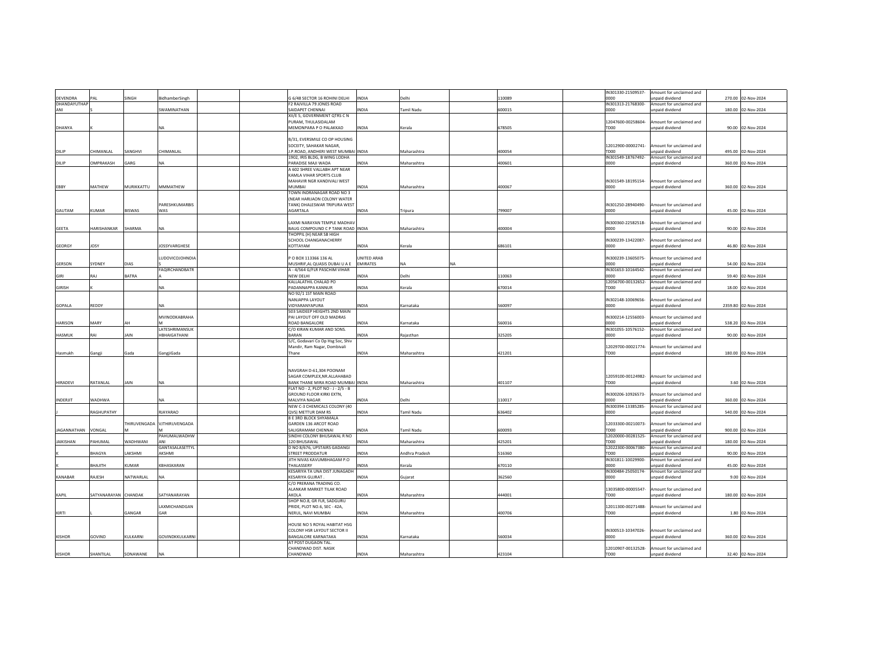|                    |                      |                     |                       |              |                                                     |              |                |           |        |                  | IN301330-21509537- | Amount for unclaimed and                    |        |                     |
|--------------------|----------------------|---------------------|-----------------------|--------------|-----------------------------------------------------|--------------|----------------|-----------|--------|------------------|--------------------|---------------------------------------------|--------|---------------------|
| DEVENDRA           | AL                   | <b>SINGH</b>        | <b>BidhamberSingh</b> |              | G 6/48 SECTOR 16 ROHINI DELHI                       | <b>INDIA</b> | Delhi          |           | 110089 | 0000             |                    | unpaid dividend                             | 270.00 | 02-Nov-2024         |
| DHANDAYUTHAP       |                      |                     |                       |              | F2 RAJVILLA 79 JONES ROAD                           |              |                |           |        |                  | IN301313-21768300- | Amount for unclaimed and                    |        |                     |
| ANI                |                      |                     | SWAMINATHAN           |              | SAIDAPET CHENNAI                                    | INDIA        | Tamil Nadu     |           | 600015 | 0000             |                    | unpaid dividend                             |        | 180.00 02-Nov-2024  |
|                    |                      |                     |                       |              | XII/E 5, GOVERNMENT QTRS C N                        |              |                |           |        |                  |                    |                                             |        |                     |
|                    |                      |                     |                       |              | PURAM, THULASIDALAM                                 |              |                |           |        |                  | 12047600-00258604- | mount for unclaimed and                     |        |                     |
| DHANYA             |                      |                     |                       |              | MEMONPARA P O PALAKKAD                              | INDIA        | Kerala         |           | 678505 | TD00             |                    | unpaid dividend                             |        | 90.00 02-Nov-2024   |
|                    |                      |                     |                       |              | B/31, EVERSMILE CO OP HOUSING                       |              |                |           |        |                  |                    |                                             |        |                     |
|                    |                      |                     |                       |              | SOCEITY, SAHAKAR NAGAR.                             |              |                |           |        |                  | 12012900-00002741- | Amount for unclaimed and                    |        |                     |
|                    | <b>HIMANLAL</b>      |                     | CHIMANLAL             |              |                                                     |              |                |           |        | TD00             |                    | unpaid dividend                             |        |                     |
| DILIP              |                      | SANGHVI             |                       |              | J.P.ROAD, ANDHERI WEST MUMBAI INDIA                 |              | Maharashtra    |           | 400054 |                  |                    |                                             |        | 495.00 02-Nov-2024  |
| DILIP              | <b>DMPRAKASH</b>     | <b>ARG</b>          | NΔ                    |              | 1902, IRIS BLDG, B WING LODHA<br>PARADISE MAJI WADA | INDIA        | Maharashtra    |           |        | noon             | IN301549-18767492- | Amount for unclaimed and<br>inpaid dividend |        |                     |
|                    |                      |                     |                       |              | A 602 SHREE VALLABH APT NEAR                        |              |                |           | 400601 |                  |                    |                                             |        | 360.00 02-Nov-2024  |
|                    |                      |                     |                       |              | KAMLA VIHAR SPORTS CLUB                             |              |                |           |        |                  |                    |                                             |        |                     |
|                    |                      |                     |                       |              | MAHAVIR NGR KANDIVALI WEST                          |              |                |           |        |                  | IN301549-18195154- | Amount for unclaimed and                    |        |                     |
| EBBY               | MATHEW               | MURIKKATTU          | MMMATHEW              | MUMBAI       |                                                     | INDIA        | Maharashtra    |           | 400067 | 0000             |                    | npaid dividend                              |        | 360.00 02-Nov-2024  |
|                    |                      |                     |                       |              | TOWN INDRANAGAR ROAD NO 3                           |              |                |           |        |                  |                    |                                             |        |                     |
|                    |                      |                     |                       |              | (NEAR HARIJAON COLONY WATER                         |              |                |           |        |                  |                    |                                             |        |                     |
|                    |                      |                     | PARESHKUMARBIS        |              | TANK) DHALESWAR TRIPURA WEST                        |              |                |           |        |                  | IN301250-28940490- | mount for unclaimed and                     |        |                     |
| GAUTAM             | KUMAR                | BISWAS              | WAS                   | AGARTALA     |                                                     | INDIA        | Tripura        |           | 799007 | 0000             |                    | unpaid dividend                             |        | 45.00 02-Nov-2024   |
|                    |                      |                     |                       |              |                                                     |              |                |           |        |                  |                    |                                             |        |                     |
|                    |                      |                     |                       |              | LAXMI NARAYAN TEMPLE MADHAV                         |              |                |           |        |                  | IN300360-22582518- | mount for unclaimed and                     |        |                     |
| <b>GEETA</b>       | <b>HARISHANKAR</b>   | SHARMA              | NA.                   |              | BAUG COMPOUND C P TANK ROAD INDIA                   |              | Maharashtra    |           | 400004 | 0000             |                    | unpaid dividend                             | 90.00  | 02-Nov-2024         |
|                    |                      |                     |                       |              | THOPPIL (H) NEAR SB HIGH                            |              |                |           |        |                  |                    |                                             |        |                     |
|                    |                      |                     |                       |              | SCHOOL CHANGANACHERRY                               |              |                |           |        |                  | IN300239-13422087- | Amount for unclaimed and                    |        |                     |
| GEORGY             | <b>JOSY</b>          |                     | <b>IOSSYVARGHESE</b>  | KOTTAYAM     |                                                     | <b>INDIA</b> | Kerala         |           | 686101 | noon             |                    | unpaid dividend                             | 46.80  | 02-Nov-2024         |
|                    |                      |                     |                       |              |                                                     |              |                |           |        |                  |                    |                                             |        |                     |
|                    |                      |                     | <b>UDOVICOJOHNDIA</b> |              | P O BOX 113366 136 AL                               | UNITED ARAB  |                |           |        |                  | IN300239-13605075- | mount for unclaimed and                     |        |                     |
| GERSON             | SYDNEY               | DIAS                |                       |              | MUSHRIF, AL QUASIS DUBAI U A E EMIRATES             |              | NA             | <b>NA</b> |        | 0000             |                    | unpaid dividend                             |        | 54.00 02-Nov-2024   |
|                    |                      |                     | FAQIRCHANDRATR        |              | A - 4/564 G/FLR PASCHIM VIHAR                       |              |                |           |        |                  | IN301653-10164542- | Amount for unclaimed and                    |        |                     |
| GIRI               | <b>IA</b>            | BATRA               |                       | NEW DELHI    |                                                     | <b>INDIA</b> | Delhi          |           | 110063 | oooo             |                    | nnaid dividend                              |        | 59.40 02-Nov-2024   |
|                    |                      |                     |                       |              | KALLALATHIL CHALAD PO                               |              |                |           |        |                  | 12056700-00132652- | Amount for unclaimed and                    |        |                     |
| <b>GIRISH</b>      |                      |                     |                       |              | PADANNAPPA KANNUR                                   | <b>INDIA</b> | Kerala         |           | 670014 | TD <sub>00</sub> |                    | npaid dividend                              | 18.00  | 02-Nov-2024         |
|                    |                      |                     |                       |              | NO 92/1 1ST MAIN ROAD                               |              |                |           |        |                  |                    |                                             |        |                     |
|                    |                      |                     |                       |              | NANJAPPA LAYOUT                                     |              |                |           |        |                  | IN302148-10069656- | Amount for unclaimed and                    |        |                     |
| GOPALA             | REDDY                |                     |                       |              | VIDYARANYAPURA                                      | <b>INDIA</b> | Karnataka      |           | 560097 | 0000             |                    | inpaid dividend                             |        | 2359.80 02-Nov-2024 |
|                    |                      |                     |                       |              | 503 SAIDEEP HEIGHTS 2ND MAIN                        |              |                |           |        |                  |                    |                                             |        |                     |
|                    |                      |                     | MVINODKABRAHA         |              | PAI LAYOUT OFF OLD MADRAS                           |              |                |           |        |                  | IN300214-12556003- | Amount for unclaimed and                    |        |                     |
| <b>HARISON</b>     | MARY                 |                     |                       |              | ROAD BANGALORE                                      | <b>INDIA</b> | Karnataka      |           | 560016 | noon             |                    | inpaid dividend                             |        | 538.20 02-Nov-2024  |
|                    |                      |                     | LATESHRIMANSUK        |              | C/O KIRAN KUMAR AND SONS.                           |              |                |           |        |                  | IN301055-10576152- | Amount for unclaimed and                    |        |                     |
| <b>HASMUK</b>      | IA                   | AIN                 | HBHAIGATHANI          | <b>BARAN</b> |                                                     | NDIA         | Rajasthan      |           | 325205 | oooo             |                    | unpaid dividend                             | 90.00  | 02-Nov-2024         |
|                    |                      |                     |                       |              | 5/C, Godavari Co Op Hsg Soc, Shiv                   |              |                |           |        |                  |                    |                                             |        |                     |
|                    |                      |                     |                       |              | Mandir, Ram Nagar, Dombivali                        |              |                |           |        |                  | 12029700-00021774- | Amount for unclaimed and                    |        |                     |
| Hasmukh            | Gangji               | Gada                | GangjiGada            | Thane        |                                                     | <b>INDIA</b> | Maharashtra    |           | 421201 | TD00             |                    | Innaid dividend                             |        | 180.00 02-Nov-2024  |
|                    |                      |                     |                       |              |                                                     |              |                |           |        |                  |                    |                                             |        |                     |
|                    |                      |                     |                       |              |                                                     |              |                |           |        |                  |                    |                                             |        |                     |
|                    |                      |                     |                       |              | NAVGRAH D-61,304 POONAM                             |              |                |           |        |                  |                    |                                             |        |                     |
|                    |                      |                     |                       |              | SAGAR COMPLEX.NR.ALLAHABAD                          |              |                |           |        |                  | 12059100-00124982- | Amount for unclaimed and                    |        |                     |
| HIRADEVI           | RATANLAL             | <b>AIN</b>          |                       |              | BANK THANE MIRA ROAD MUMBAI INDIA                   |              | Maharashtra    |           | 401107 | TD00             |                    | npaid dividend                              |        | 3.60 02-Nov-2024    |
|                    |                      |                     |                       |              | FLAT NO - 2, PLOT NO - J - 2/5 - B                  |              |                |           |        |                  |                    |                                             |        |                     |
|                    |                      |                     |                       |              | GROUND FLOOR KIRKI EXTN,                            |              |                |           |        |                  | IN300206-10926573- | mount for unclaimed and                     |        |                     |
| INDERJIT           | <b>WADHWA</b>        |                     | <b>NA</b>             |              | <b>MAI VIYA NAGAR</b>                               | <b>INDIA</b> | Delhi          |           | 110017 | noon             |                    | npaid dividend                              |        | 360.00 02-Nov-2024  |
|                    |                      |                     |                       |              | NEW C-3 CHEMICALS COLONY (40                        |              |                |           |        |                  | IN300394-13385285- | Amount for unclaimed and                    |        |                     |
|                    | <b>AGHUPATHY</b>     |                     | <b>RJAYARAO</b>       |              | QVS) METTUR DAM RS                                  | <b>INDIA</b> | Tamil Nadu     |           | 636402 | 0000             |                    | unpaid dividend                             | 540.00 | 02-Nov-2024         |
|                    |                      |                     |                       |              | 8 E 3RD BLOCK SHYAMALA                              |              |                |           |        |                  |                    |                                             |        |                     |
|                    |                      | <b>THIRUVENGADA</b> | VJTHIRUVENGADA        |              | GARDEN 136 ARCOT ROAD                               |              |                |           |        |                  | 12033300-00210073- | Amount for unclaimed and                    |        |                     |
| <b>JAGANNATHAN</b> | <b>JONGAL</b>        |                     |                       |              | SALIGRAMAM CHENNAI                                  | <b>INDIA</b> | Tamil Nadu     |           | 600093 | TD00             |                    | hnebivib hison                              | 900.00 | 02-Nov-2024         |
|                    |                      |                     | AHUMALWADHW           |              | SINDHI COLONY BHUSAWAL R NO                         |              |                |           |        |                  | 12020000-00281525- | Amount for unclaimed and                    |        |                     |
| <b>JAIKISHAN</b>   | PAHUMAL              | <b>NADHWANI</b>     | ΔNI                   |              | 120 BHUSAWAL                                        | INDIA        | Maharashtra    |           | 425201 | TD00             |                    | npaid dividend                              | 180.00 | 02-Nov-2024         |
|                    |                      |                     | GANTASALASETTYL       |              | D NO 8/676, UPSTAIRS GADANGI                        |              |                |           |        |                  | 12022300-00067380- | Amount for unclaimed and                    |        |                     |
|                    | <b>BHAGYA</b>        | AKSHMI              | AKSHMI                |              | STREET PRODDATUR                                    | <b>INDIA</b> | Andhra Pradesh |           | 516360 | TD <sub>00</sub> |                    | npaid dividend                              | 90.00  | 02-Nov-2024         |
|                    |                      |                     |                       |              | JITH NIVAS KAVUMBHAGAM P.O                          |              |                |           |        |                  | IN301811-10029900- | Amount for unclaimed and                    |        |                     |
|                    | <b>HTILAH</b>        | UMAR                | <b>CBHASKARAN</b>     | THALASSERY   |                                                     | <b>INDIA</b> | Kerala         |           | 670110 | 0000             |                    | unpaid dividend                             |        | 45.00 02-Nov-2024   |
|                    |                      |                     |                       |              | KESARIYA TA UNA DIST JUNAGADH                       |              |                |           |        |                  | IN300484-25050174- | Amount for unclaimed and                    |        |                     |
| KANARAR            | RAJESH               | VATWARLAL           |                       |              | <b>KESARIYA GUJRAT</b>                              | <b>INDIA</b> | Gujarat        |           | 362560 | noon             |                    | unpaid dividend                             |        | 9.00 02-Nov-2024    |
|                    |                      |                     |                       |              | C/O PRERANA TRADING CO.                             |              |                |           |        |                  |                    |                                             |        |                     |
|                    |                      |                     |                       |              | <b>ALANKAR MARKET TILAK ROAD</b>                    |              |                |           |        |                  | 13035800-00005547  | mount for unclaimed and                     |        |                     |
| <b>KAPIL</b>       | SATYANARAYAN CHANDAK |                     | SATYANARAYAN          | AKOLA        |                                                     | <b>INDIA</b> | Maharashtra    |           | 444001 | TD <sub>00</sub> |                    | npaid dividend                              |        | 180.00 02-Nov-2024  |
|                    |                      |                     |                       |              | SHOP NO.8, GR FLR, SADGURU                          |              |                |           |        |                  |                    |                                             |        |                     |
|                    |                      |                     | LAXMICHANDGAN         |              | PRIDE, PLOT NO.6, SEC - 42A.                        |              |                |           |        |                  | 12011300-00271488- | Amount for unclaimed and                    |        |                     |
| KIRTI              |                      | GANGAR              | GAR                   |              | NERUL, NAVI MUMBAI                                  | <b>INDIA</b> | Maharashtra    |           | 400706 | TD00             |                    | unpaid dividend                             |        | 1.80 02-Nov-2024    |
|                    |                      |                     |                       |              |                                                     |              |                |           |        |                  |                    |                                             |        |                     |
|                    |                      |                     |                       |              | HOUSE NO 5 ROYAL HABITAT HSG                        |              |                |           |        |                  |                    |                                             |        |                     |
|                    |                      |                     |                       |              | COLONY HSR LAYOUT SECTOR II                         |              |                |           |        |                  | IN300513-10347026- | mount for unclaimed and                     |        |                     |
| <b>KISHOR</b>      | GOVIND               | KULKARNI            | GOVINDKKULKARNI       |              | BANGALORE KARNATAKA                                 | INDIA        | Karnataka      |           | 560034 | noon             |                    | unpaid dividend                             | 360.00 | 02-Nov-2024         |
|                    |                      |                     |                       |              | AT POST DUGAON TAL.                                 |              |                |           |        |                  |                    |                                             |        |                     |
|                    |                      |                     |                       |              | CHANDWAD DIST. NASIK                                |              |                |           |        |                  | 12010907-00132528- | Amount for unclaimed and                    |        |                     |
| <b>KISHOR</b>      | SHANTII AI           | SONAWANE            | <b>NA</b>             | CHANDWAD     |                                                     | <b>INDIA</b> | Maharashtra    |           | 423104 | TDOO             |                    | unnaid dividend                             |        | 32.40 02-Nov-2024   |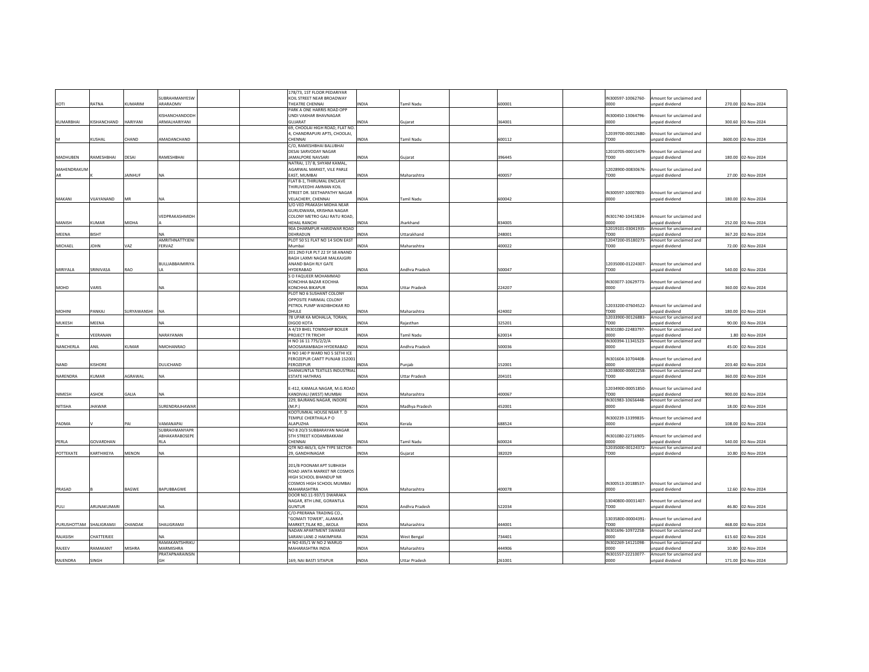|              |                  |                  |                                            | 178/73, 1ST FLOOR PEDARIYAR                            |              |                       |        |                            |                                             |                     |
|--------------|------------------|------------------|--------------------------------------------|--------------------------------------------------------|--------------|-----------------------|--------|----------------------------|---------------------------------------------|---------------------|
|              |                  | <b>UMARIM</b>    | <b>SUBRAHMANYESW</b><br>ARARAOMV           | KOIL STREET NEAR BROADWAY<br>THEATRE CHENNAI           |              |                       |        | IN300597-10062760-<br>0000 | mount for unclaimed and                     | 270.00 02-Nov-2024  |
| KOTI         | RATNA            |                  |                                            | PARK A ONE HARRIS ROAD OPP                             | <b>INDIA</b> | Tamil Nadu            | 500001 |                            | unpaid dividend                             |                     |
|              |                  |                  | <b>ISHANCHANDODH</b>                       | UNDI VAKHAR BHAVNAGAR                                  |              |                       |        | IN300450-13064796-         | mount for unclaimed and                     |                     |
| KUMARBHAI    | KISHANCHAND      | HARIYANI         | ARMALHARIYANI                              | <b>GUJARAT</b>                                         | <b>INDIA</b> | Gujarat               | 364001 | noon                       | npaid dividend                              | 300.60 02-Nov-2024  |
|              |                  |                  |                                            | 69, CHOOLAI HIGH ROAD, FLAT NO.                        |              |                       |        |                            |                                             |                     |
|              |                  |                  |                                            | 1, CHANDRAPURI APTS, CHOOLAI,                          |              |                       |        | 12039700-00012680-         | mount for unclaimed and                     |                     |
|              | <b>CUSHAL</b>    | HAND <sup></sup> | <b>MADANCHAND</b>                          | CHENNAI                                                | INDIA        | Tamil Nadu            | 600112 | TD00                       | unpaid dividend                             | 3600.00 02-Nov-2024 |
|              |                  |                  |                                            | C/O, RAMESHBHAI BALUBHAI<br>DESAL SARVODAY NAGAR       |              |                       |        | 12010705-00015479-         | mount for unclaimed and                     |                     |
| MADHUBEN     | RAMESHBHAI       | DESAI            | AMESHBHAI                                  | AMALPORE NAVSARI                                       | INDIA        | Guiarat               | 396445 | TD00                       | npaid dividend                              | 180.00 02-Nov-2024  |
|              |                  |                  |                                            | NATRAJ, 17/ B, SHYAM KAMAL,                            |              |                       |        |                            |                                             |                     |
| MAHENDRAKUN  |                  |                  |                                            | AGARWAL MARKET, VILE PARLE                             |              |                       |        | 12028900-00830676-         | Amount for unclaimed and                    |                     |
| AR           |                  | <b>AINHUF</b>    |                                            | EAST. MUMBAI                                           | <b>INDIA</b> | Maharashtra           | 400057 | TDOO                       | nnaid dividend                              | 27.00 02-Nov-2024   |
|              |                  |                  |                                            | FLAT B-1, THIRUMAL ENCLAVE                             |              |                       |        |                            |                                             |                     |
|              |                  |                  |                                            | THIRUVEEDHI AMMAN KOIL<br>STREET DR. SEETHAPATHY NAGAR |              |                       |        | IN300597-10007803-         | mount for unclaimed and                     |                     |
| MAKANI       | <b>JUAYANAND</b> | VIR              |                                            | <b>VELACHERY, CHENNAI</b>                              | INDIA        | Tamil Nadu            | 600042 | 0000                       | unpaid dividend                             | 180.00 02-Nov-2024  |
|              |                  |                  |                                            | S/O VED PRAKASH MIDHA NEAR                             |              |                       |        |                            |                                             |                     |
|              |                  |                  |                                            | GURUDWARA, KRISHNA NAGAR                               |              |                       |        |                            |                                             |                     |
|              |                  |                  | VEDPRAKASHMIDH                             | COLONY METRO GALI RATU ROAD,                           |              |                       |        | IN301740-10415824          | Amount for unclaimed and                    |                     |
| MANISH       | <b>CUMAR</b>     | MIDHA            |                                            | HEHAL RANCHI                                           | <b>INDIA</b> | Jharkhand             | 834005 | 0000                       | unpaid dividend                             | 252.00 02-Nov-2024  |
|              |                  |                  |                                            | 90A DHARMPUR HARIDWAR ROAD                             |              |                       |        | 12019101-03041935-         | mount for unclaimed and                     |                     |
| <b>MEENA</b> | <b>BISHT</b>     |                  | AMRITHNATTYJENI                            | DEHRADUN<br>PLOT 50 51 FLAT NO 14 SION EAST            | <b>INDIA</b> | Uttarakhand           | 248001 | TDOO<br>12047200-05180273- | inpaid dividend<br>mount for unclaimed and  | 367.20 02-Nov-2024  |
| MICHAEL      | OHN              | VAZ              | <b>ERVAZ</b>                               | Mumba                                                  | INDIA        | Maharashtra           | 400022 | TD00                       | <b>unpaid dividend</b>                      | 72.00 02-Nov-2024   |
|              |                  |                  |                                            | 201 2ND FLR PLT 22 SY 58 ANAND                         |              |                       |        |                            |                                             |                     |
|              |                  |                  |                                            | BAGH LAXMI NAGAR MALKAJGIRI                            |              |                       |        |                            |                                             |                     |
|              |                  |                  | BULLIABBAIMIRIYA                           | ANAND BAGH RLY GATE                                    |              |                       |        | 12035000-01224307          | Amount for unclaimed and                    |                     |
| MIRIYALA     | <b>SRINIVASA</b> | RAO              |                                            | HYDERARAD                                              | <b>INDIA</b> | Andhra Pradesh        | 500047 | TD00                       | unpaid dividend                             | 540.00 02-Nov-2024  |
|              |                  |                  |                                            | S O FAQUEER MOHAMMAD                                   |              |                       |        |                            |                                             |                     |
| MOHD         | VARIS            |                  | <b>NA</b>                                  | KONCHHA BAZAR KOCHHA<br><b>KONCHHA BIKAPUR</b>         | <b>INDIA</b> | <b>Uttar Pradesh</b>  | 224207 | IN303077-10629773-<br>noon | mount for unclaimed and<br>unpaid dividend  | 360.00 02-Nov-2024  |
|              |                  |                  |                                            | PLOT NO 6 SUSHANT COLONY                               |              |                       |        |                            |                                             |                     |
|              |                  |                  |                                            | OPPOSITE PARIMAL COLONY                                |              |                       |        |                            |                                             |                     |
|              |                  |                  |                                            | PETROL PUMP WADIBHOKAR RD                              |              |                       |        | 12033200-07604522-         | Amount for unclaimed and                    |                     |
| MOHINI       | PANKAJ           | SURYAWANSHI      | NA                                         | DHULE                                                  | INDIA        | Maharashtra           | 424002 | TD00                       | unpaid dividend                             | 180.00 02-Nov-2024  |
|              |                  |                  |                                            | 78 UPAR KA MOHALLA, TORAN,                             |              |                       |        | 12033900-00126883-         | Amount for unclaimed and                    |                     |
| MUKESH       | MEENA            |                  |                                            | <b>DIGOD KOTA</b>                                      | INDIA        | Raiasthan             | 325201 | TD00                       | npaid dividend                              | 90.00 02-Nov-2024   |
|              | <b>/EERANAN</b>  |                  |                                            | A 4/19 BHEL TOWNSHIP BOILER                            | <b>INDIA</b> |                       |        | IN301080-22483797-<br>0000 | mount for unclaimed and                     |                     |
|              |                  |                  | NARAYANAN                                  | PROJECT TR TRICHY<br>H NO 16 11 775/2/2/A              |              | <b>Tamil Nadu</b>     | 620014 | IN300394-11341523-         | npaid dividend<br>Amount for unclaimed and  | 1.80 02-Nov-2024    |
| NANCHERLA    | ANIL             | <b>CUMAR</b>     | NMOHANRAO                                  | MOOSARAMBAGH HYDERABAD                                 | <b>INDIA</b> | Andhra Pradesh        | 500036 | 0000                       | unpaid dividend                             | 45.00 02-Nov-2024   |
|              |                  |                  |                                            | H NO 140 P WARD NO 5 SETHI ICE                         |              |                       |        |                            |                                             |                     |
|              |                  |                  |                                            | FEROZEPUR CANTT PUNJAB 152001                          |              |                       |        | IN301604-10704408-         | Amount for unclaimed and                    |                     |
| <b>NAND</b>  | <b>ISHORE</b>    |                  | DULICHAND                                  | <b>FEROZEPUR</b>                                       | <b>INDIA</b> | Puniab                | 152001 | 0000                       | nnaid dividend                              | 203.40 02-Nov-2024  |
|              | <b>CLIMAR</b>    | AGRAWAL          |                                            | SHANKUNTLA TEXTILES INDUSTRIAL                         | <b>INDIA</b> |                       |        | 12038000-00002258-         | mount for unclaimed and                     |                     |
| NARENDRA     |                  |                  | NΑ                                         | <b>ESTATE HATHRAS</b>                                  |              | <b>Uttar Pradesh</b>  | 204101 | TD00                       | npaid dividend                              | 360.00 02-Nov-2024  |
|              |                  |                  |                                            | E-412, KAMALA NAGAR, M.G.ROAD                          |              |                       |        | 12034900-00051850-         | mount for unclaimed and                     |                     |
| NIMESH       | ASHOK            | GALIA            |                                            | KANDIVALI (WEST) MUMBAI                                | <b>INDIA</b> | Maharashtra           | 400067 | TD00                       | unpaid dividend                             | 900.00 02-Nov-2024  |
|              |                  |                  |                                            | 229, BAJRANG NAGAR, INDORE                             |              |                       |        | IN301983-10656448-         | mount for unclaimed and                     |                     |
| NITISHA      | HAWAR            |                  | <b>SURENDRAJHAWAR</b>                      | M.P.)                                                  | INDIA        | Madhya Pradesh        | 452001 | 0000                       | inpaid dividend                             | 18.00 02-Nov-2024   |
|              |                  |                  |                                            | KOOTUMKAL HOUSE NEAR T. D                              |              |                       |        |                            |                                             |                     |
| PADMA        |                  | PAI              | <b>JAMANAPAI</b>                           | TEMPLE CHERTHALA P O<br>ALAPUZHA                       | <b>INDIA</b> | Kerala                | 688524 | IN300239-13399835-<br>0000 | Amount for unclaimed and<br>npaid dividend  | 108.00 02-Nov-2024  |
|              |                  |                  | SUBRAHMANYAPR                              | NO 8 20/3 SUBBARAYAN NAGAR                             |              |                       |        |                            |                                             |                     |
|              |                  |                  | ABHAKARABOSEPE                             | <b>5TH STREET KODAMBAKKAM</b>                          |              |                       |        | IN301080-22716905-         | mount for unclaimed and                     |                     |
| PERLA        | <b>GOVARDHAN</b> |                  | RLA                                        | CHENNAL                                                | <b>INDIA</b> | <b>Tamil Nadu</b>     | 600024 | looon                      | npaid dividend                              | 540.00 02-Nov-2024  |
|              |                  |                  |                                            | QTR NO:465/3, G/H TYPE SECTOR-                         |              |                       |        | 12035000-00124372-         | mount for unclaimed and                     |                     |
| POTTEKATE    | KARTHIKEYA       | MENON            |                                            | 29, GANDHINAGAR                                        | <b>INDIA</b> | Gujarat               | 382029 | TD00                       | npaid dividend                              | 10.80 02-Nov-2024   |
|              |                  |                  |                                            | 201/B POONAM APT SURHASH                               |              |                       |        |                            |                                             |                     |
|              |                  |                  |                                            | ROAD JANTA MARKET NR COSMOS                            |              |                       |        |                            |                                             |                     |
|              |                  |                  |                                            | HIGH SCHOOL BHANDUP NR                                 |              |                       |        |                            |                                             |                     |
|              |                  |                  |                                            | COSMOS HIGH SCHOOL MUMBAI                              |              |                       |        | IN300513-20188537-         | Amount for unclaimed and                    |                     |
| PRASAD       |                  | BAGWE            | BAPUBBAGWE                                 | MAHARASHTRA                                            | INDIA        | Maharashtra           | 400078 | 0000                       | Inpaid dividend                             | 12.60 02-Nov-2024   |
|              |                  |                  |                                            | DOOR NO.11-937/1 DWARAKA                               |              |                       |        |                            |                                             |                     |
|              | ARUNAKUMARI      |                  |                                            | NAGAR, 8TH LINE, GORANTLA<br>GUNTUR                    | INDIA        | <b>Andhra Pradesh</b> | 522034 | 13040800-00031407-<br>TDOO | mount for unclaimed and<br>hnabivib hison   |                     |
| PULI         |                  |                  | <b>NA</b>                                  | C/O-PRERANA TRADING CO.,                               |              |                       |        |                            |                                             | 46.80 02-Nov-2024   |
|              |                  |                  |                                            | "GOMATI TOWER", ALANKAR                                |              |                       |        | 13035800-00004391          | mount for unclaimed and                     |                     |
| PURUSHOTTAM  | SHALIGRAMJI      | <b>HANDAK</b>    | SHALIGRAMJI                                | MARKET.TILAK RD., AKOLA                                | <b>INDIA</b> | Maharashtra           | 444001 | TDOO                       | unpaid dividend                             | 468.00 02-Nov-2024  |
|              |                  |                  |                                            | NADAN APARTMENT SWAMUI                                 |              |                       |        | IN301696-10972258-         | mount for unclaimed and                     |                     |
| RAJASISH     | <b>HATTERJEE</b> |                  |                                            | SARANI LANE-2 HAKIMPARA                                | INDIA        | West Bengal           | 734401 | 0000                       | npaid dividend                              | 615.60 02-Nov-2024  |
|              |                  |                  | RAMAKANTSHRIKU                             | H NO 435/1 W NO 2 WARUD                                |              |                       |        | IN302269-14121098-         | mount for unclaimed and                     |                     |
| RAJEEV       | RAMAKANT         | <b>MISHRA</b>    | MARMISHRA<br><b><i>PRATAPNARAINSIN</i></b> | MAHARASHTRA INDIA                                      | <b>INDIA</b> | Maharashtra           | 444906 | noon<br>IN301557-22210077- | inpaid dividend<br>Amount for unclaimed and | 10.80 02-Nov-2024   |
| RAJENDRA     | SINGH            |                  | GH                                         | 169, NAI BASTI SITAPUR                                 | <b>INDIA</b> | <b>Uttar Pradesh</b>  | 261001 | 0000                       | unpaid dividend                             | 171.00 02-Nov-2024  |
|              |                  |                  |                                            |                                                        |              |                       |        |                            |                                             |                     |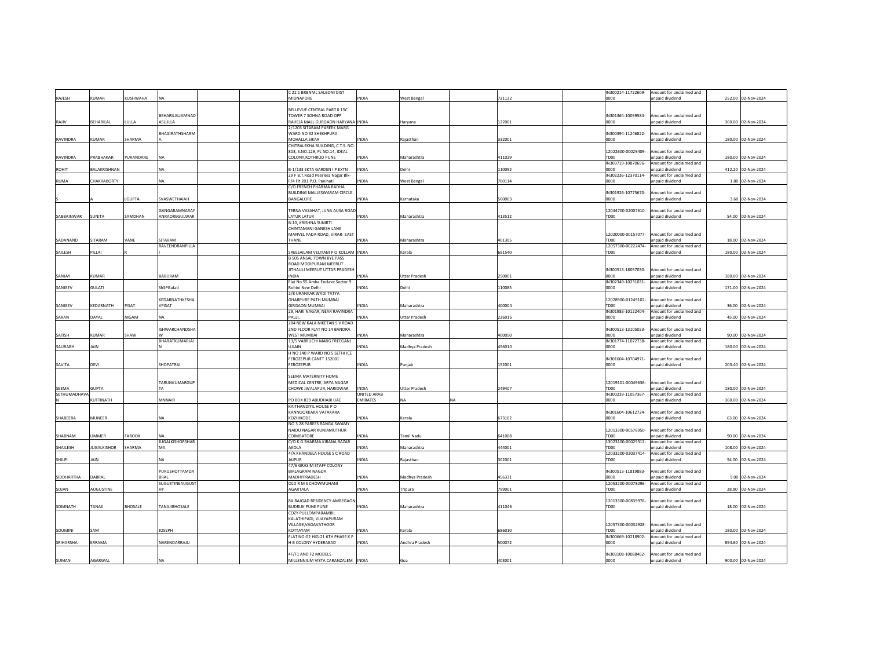|                     |                   |                 |                                   | C 22 1 BRBNML SALBONI DIST                                         |                    |                      |           |        | IN300214-11722609-         | Amount for unclaimed and                    |                    |
|---------------------|-------------------|-----------------|-----------------------------------|--------------------------------------------------------------------|--------------------|----------------------|-----------|--------|----------------------------|---------------------------------------------|--------------------|
| RAJESH              | <b>ILIMAR</b>     | <b>CUSHWAHA</b> |                                   | MIDNAPORE                                                          | <b>INDIA</b>       | <b>West Bengal</b>   |           | 721132 | noon                       | unpaid dividend                             | 252.00 02-Nov-2024 |
|                     |                   |                 |                                   | BELLEVUE CENTRAL PART II 15C                                       |                    |                      |           |        |                            |                                             |                    |
|                     |                   |                 | BEHARILALJAMNAD                   | TOWER 7 SOHNA ROAD OPP                                             |                    |                      |           |        | IN301364-10059584-         | mount for unclaimed and                     |                    |
| RAJIV               | BEHARILAL         | LULLA           | ASLULLA                           | RAHEJA MALL GURGAON HARYANA INDIA                                  |                    | Haryana              |           | 122001 | noon                       | unpaid dividend                             | 360.00 02-Nov-2024 |
|                     |                   |                 |                                   | 2/1203 SITARAM PAREEK MARG                                         |                    |                      |           |        |                            |                                             |                    |
|                     |                   |                 | BHAGIRATHSHARM                    | WARD NO 32 SHEKHPURA                                               |                    |                      |           |        | IN300394-11246822-         | mount for unclaimed and                     |                    |
| RAVINDRA            | <b>CUMAR</b>      | <b>HARMA</b>    |                                   | MOHALLA SIKAR                                                      | INDIA              | Rajasthan            |           | 332001 | 0000                       | unpaid dividend                             | 180.00 02-Nov-2024 |
|                     |                   |                 |                                   | CHITRALEKHA BUILDING, C.T.S. NO.<br>803. S.NO.129. PL NO.14. IDEAL |                    |                      |           |        | 12022600-00029409-         | Amount for unclaimed and                    |                    |
| RAVINDRA            | PRABHAKAR         | URANDARE        |                                   | COLONY.KOTHRUD PUNE                                                | <b>INDIA</b>       | Maharashtra          |           | 411029 | OOOT                       | npaid dividend                              | 180.00 02-Nov-2024 |
|                     |                   |                 |                                   |                                                                    |                    |                      |           |        | IN303719-10870696-         | Amount for unclaimed and                    |                    |
| <b>ROHIT</b>        | BALAKRISHNAN      |                 | NA                                | B-1/133 EKTA GARDEN I P EXTN                                       | <b>INDIA</b>       | Delhi                |           | 110092 | noon                       | npaid dividend                              | 412.20 02-Nov-2024 |
|                     |                   |                 |                                   | 29 F B.T.Road Peerless Nagar Blk-                                  |                    |                      |           |        | IN302236-12370114-         | Amount for unclaimed and                    |                    |
| RUMA                | <b>HAKRABORTY</b> |                 |                                   | F/4 Flt 201 P.O. Panihati                                          | <b>INDIA</b>       | <b>West Bengal</b>   |           | 700114 | 0000                       | inpaid dividend                             | 1.80 02-Nov-2024   |
|                     |                   |                 |                                   | C/O FRENCH PHARMA RADHA                                            |                    |                      |           |        |                            |                                             |                    |
|                     |                   | LGUPTA          | SVASWETHAIAH                      | BUILDING MALLESWARAM CIRCLE<br><b>BANGALORE</b>                    | <b>INDIA</b>       | Karnataka            |           | 560003 | IN301926-10775670-<br>noon | Amount for unclaimed and<br>unpaid dividend | 3.60 02-Nov-2024   |
|                     |                   |                 |                                   |                                                                    |                    |                      |           |        |                            |                                             |                    |
|                     |                   |                 | <b>SANGARAMNARAY</b>              | TERNA VASAHAT, JUNA AUSA ROAD                                      |                    |                      |           |        | 12044700-02007610-         | mount for unclaimed and                     |                    |
| SABBAINWAR          | SUNITA            | SAMDHAN         | ANRAOREGULWAR                     | LATUR LATUR                                                        | INDIA              | Maharashtra          |           | 413512 | TD00                       | npaid dividend                              | 54.00 02-Nov-2024  |
|                     |                   |                 |                                   | B-10, KRISHNA SUMRTI                                               |                    |                      |           |        |                            |                                             |                    |
|                     |                   |                 |                                   | CHINTAMANI GANESH LANE                                             |                    |                      |           |        |                            |                                             |                    |
|                     |                   |                 |                                   | MANVEL PADA ROAD, VIRAR- EAST                                      |                    |                      |           |        | 12020000-00157077-         | Amount for unclaimed and                    |                    |
| SADANAND            | <b>SITARAM</b>    | VANE            | <b>SITARAM</b><br>RAVEENDRANPILLA | THANE                                                              | INDIA              | Maharashtra          |           | 401305 | TD00<br>12057300-00222474- | npaid dividend<br>mount for unclaimed and   | 18.00 02-Nov-2024  |
| SAILESH             | PILLAI            |                 |                                   | SREESAILAM VELIYAM P O KOLLAM INDIA                                |                    | Kerala               |           | 691540 | TD00                       | inpaid dividend                             | 180.00 02-Nov-2024 |
|                     |                   |                 |                                   | <b>B 505 ANSAL TOWN BYE PASS</b>                                   |                    |                      |           |        |                            |                                             |                    |
|                     |                   |                 |                                   | ROAD MODIPURAM MEERUT                                              |                    |                      |           |        |                            |                                             |                    |
|                     |                   |                 |                                   | JITHAULI MEERUT UTTAR PRADESH                                      |                    |                      |           |        | IN300513-18057030-         | mount for unclaimed and                     |                    |
| SANJAY              | KUMAR             |                 | BABURAM                           | <b>INDIA</b>                                                       | INDIA              | <b>Uttar Pradesh</b> |           | 250001 | 0000                       | unpaid dividend                             | 180.00 02-Nov-2024 |
|                     |                   |                 |                                   | Flat No 55 Amba Enclave Sector 9                                   |                    |                      |           |        | IN302349-10231031-         | mount for unclaimed and                     |                    |
| SANJEEV             | SULATI            |                 | ShSPGulati                        | Rohini New Delhi<br>2/8 URANKAR WADI TATYA                         | <b>INDIA</b>       | Delhi                |           | 110085 | 0000                       | unpaid dividend                             | 171.00 02-Nov-2024 |
|                     |                   |                 | KEDARNATHKESHA                    | <b>GHARPURE PATH MUMBAI</b>                                        |                    |                      |           |        | 12028900-01249102-         | mount for unclaimed and                     |                    |
| SANJEEV             | KEDARNATH         | <b>TAPIS</b>    | VPISAT                            | <b>GIRGAON MUMBAL</b>                                              | <b>INDIA</b>       | Maharashtra          |           | 400004 | TDOO                       | inpaid dividend                             | 36.00 02-Nov-2024  |
|                     |                   |                 |                                   | 29, HARI NAGAR, NEAR RAVINDRA                                      |                    |                      |           |        | IN301983-10122404-         | Amount for unclaimed and                    |                    |
| SARAN               | DAYAL             | VIGAM           | NА                                | PALLI.                                                             | INDIA              | <b>Uttar Pradesh</b> |           | 226016 | 0000                       | unpaid dividend                             | 45.00 02-Nov-2024  |
|                     |                   |                 |                                   | 284 NEW KALA NIKETAN S V ROAD                                      |                    |                      |           |        |                            |                                             |                    |
|                     |                   |                 | <b>SHWARCHANDSHA</b>              | 2ND FLOOR FLAT NO 14 BANDRA                                        |                    |                      |           |        | IN300513-13105023-         | mount for unclaimed and                     |                    |
| SATISH              | <b>CUMAR</b>      | <b>HAW</b>      |                                   | WEST MUMBAI                                                        | INDIA              | Maharashtra          |           | 400050 | 0000                       | npaid dividend                              | 90.00 02-Nov-2024  |
| SAURABH             | <b>AIN</b>        |                 | BHARATKUMARJAI                    | 13/5 VARRUCHI MARG FREEGANJ<br>UJJAIN                              | <b>INDIA</b>       | Madhya Pradesh       |           | 456010 | IN301774-11072738-<br>0000 | Amount for unclaimed and<br>inpaid dividend | 180.00 02-Nov-2024 |
|                     |                   |                 |                                   | H NO 140 P WARD NO 5 SETHI ICE                                     |                    |                      |           |        |                            |                                             |                    |
|                     |                   |                 |                                   | FEROZEPUR CANTT 152001                                             |                    |                      |           |        | IN301604-10704971-         | Amount for unclaimed and                    |                    |
| SAVITA              | DEVI              |                 | SHOPATRAI                         | FEROZEPUR                                                          | <b>INDIA</b>       | Punjab               |           | 152001 | 0000                       | unpaid dividend                             | 203.40 02-Nov-2024 |
|                     |                   |                 |                                   |                                                                    |                    |                      |           |        |                            |                                             |                    |
|                     |                   |                 |                                   | SEEMA MATERNITY HOME                                               |                    |                      |           |        |                            |                                             |                    |
| <b>SFFMA</b>        | <b>GUPTA</b>      |                 | TARUNKUMARGUP<br>ТΔ               | MEDICAL CENTRE, ARYA NAGAR<br>CHOWK JWALAPUR, HARIDWAR             | <b>INDIA</b>       | <b>Uttar Pradesh</b> |           | 249407 | 12019101-00049636-<br>TDOO | mount for unclaimed and<br>Innaid dividend  | 180.00 02-Nov-2024 |
| <b>SETHUMADHAVA</b> |                   |                 |                                   |                                                                    | <b>UNITED ARAB</b> |                      |           |        | IN300239-11057367-         | Amount for unclaimed and                    |                    |
|                     | KUTTINATH         |                 | MNNAIR                            | PO BOX 839 ABUDHABI UAE                                            | <b>EMIRATES</b>    | <b>NA</b>            | <b>NA</b> |        | 0000                       | unpaid dividend                             | 360.00 02-Nov-2024 |
|                     |                   |                 |                                   | KAITHANDIYIL HOUSE PO                                              |                    |                      |           |        |                            |                                             |                    |
|                     |                   |                 |                                   | KANNOOKKARA VATAKARA                                               |                    |                      |           |        | IN301604-10612724-         | mount for unclaimed and                     |                    |
| SHABEERA            | MUNEER            |                 |                                   | <b>KOZHIKODE</b>                                                   | INDIA              | Kerala               |           | 673102 | 0000                       | npaid dividend                              | 63.00 02-Nov-2024  |
|                     |                   |                 |                                   | NO 3 28 PAREES RANGA SWAMY                                         |                    |                      |           |        |                            |                                             |                    |
| SHABNAM             | <b>JMMER</b>      | AROOK           |                                   | NAIDU NAGAR KUNIAMUTHUR<br>COIMBATORE                              | <b>INDIA</b>       | <b>Tamil Nadu</b>    |           | 641008 | 12013300-00576950-<br>TD00 | Amount for unclaimed and<br>unpaid dividend | 90.00 02-Nov-2024  |
|                     |                   |                 | <b>JUGALKISHORSHAR</b>            | C/O K.G.SHARMA KIRANA BAZAR                                        |                    |                      |           |        | 13023100-00025312-         | mount for unclaimed and                     |                    |
| SHAILESH            | <b>UGALKISHOR</b> | <b>HARMA</b>    | MA                                | AKOLA                                                              | <b>INDIA</b>       | Maharashtra          |           | 444001 | TDOO                       | npaid dividend                              | 108.00 02-Nov-2024 |
|                     |                   |                 |                                   | 4/A KHANDELA HOUSE S C ROAD                                        |                    |                      |           |        | 12033200-02037414-         | Amount for unclaimed and                    |                    |
| SHILPI              | AIN               |                 | NA.                               | AIPUR                                                              | INDIA              | Rajasthan            |           | 302001 | TD00                       | unpaid dividend                             | 54.00 02-Nov-2024  |
|                     |                   |                 |                                   | 47/6 GRASIM STAFF COLONY                                           |                    |                      |           |        |                            |                                             |                    |
| SIDDHARTHA          | DABRAL            |                 | PURUSHOTTAMDA<br><b>BRAL</b>      | <b>BIRLAGRAM NAGDA</b><br>MADHYPRADESH                             | <b>INDIA</b>       | Madhya Pradesh       |           | 456331 | IN300513-11819883-<br>0000 | mount for unclaimed and<br>unpaid dividend  | 9.00 02-Nov-2024   |
|                     |                   |                 | SUGUSTINEAUGUST                   | OLD R M S CHOWMUHANI                                               |                    |                      |           |        | 12053200-00078096          | mount for unclaimed and                     |                    |
| SOJAN               | <b>NUGUSTINE</b>  |                 | HY                                | AGARTALA                                                           | <b>INDIA</b>       | Tripura              |           | 799001 | TD00                       | npaid dividend                              | 28.80 02-Nov-2024  |
|                     |                   |                 |                                   |                                                                    |                    |                      |           |        |                            |                                             |                    |
|                     |                   |                 |                                   | 8A RAJGAD RESIDENCY AMBEGAON                                       |                    |                      |           |        | 12013300-00839976-         | mount for unclaimed and                     |                    |
| SOMNATH             | ILANAT            | HOSALE          | <b>TANAJIBHOSALE</b>              | <b>BUDRUK PUNE PUNE</b>                                            | <b>INDIA</b>       | Maharashtra          |           | 411046 | TD00                       | npaid dividend                              | 18.00 02-Nov-2024  |
|                     |                   |                 |                                   | COZY PULLOMPARAMBIL                                                |                    |                      |           |        |                            |                                             |                    |
|                     |                   |                 |                                   | KAI ATHIPADI, VIIAYAPURAM<br>VILLAGE, VADAVATHOOR                  |                    |                      |           |        | 12057300-00032928-         | Amount for unclaimed and                    |                    |
| SOUMINI             | SAM               |                 | <b>JOSEPH</b>                     | KOTTAYAM                                                           | INDIA              | Kerala               |           | 686010 | TD00                       | unpaid dividend                             | 180.00 02-Nov-2024 |
|                     |                   |                 |                                   | FLAT NO G2 HIG-21 6TH PHASE K P                                    |                    |                      |           |        | IN300669-10218902-         | mount for unclaimed and                     |                    |
| SRIHARSHA           | ERRAMA            |                 | NARENDARRAJU                      | H B COLONY HYDERABAD                                               | <b>INDIA</b>       | Andhra Pradesh       |           | 500072 | 0000                       | nnaid dividend                              | 894.60 02-Nov-2024 |
|                     |                   |                 |                                   |                                                                    |                    |                      |           |        |                            |                                             |                    |
|                     |                   |                 |                                   | 4F/F1 AND F2 MODELS                                                |                    |                      |           |        | IN303108-10088462-         | mount for unclaimed and                     |                    |
| SUMAN               | <b>AGARWAI</b>    |                 | <b>NA</b>                         | MILLENNIUM VISTA CARANZALEM INDIA                                  |                    | Goa                  |           | 403001 | noon                       | unnaid dividend                             | 900.00 02-Nov-2024 |